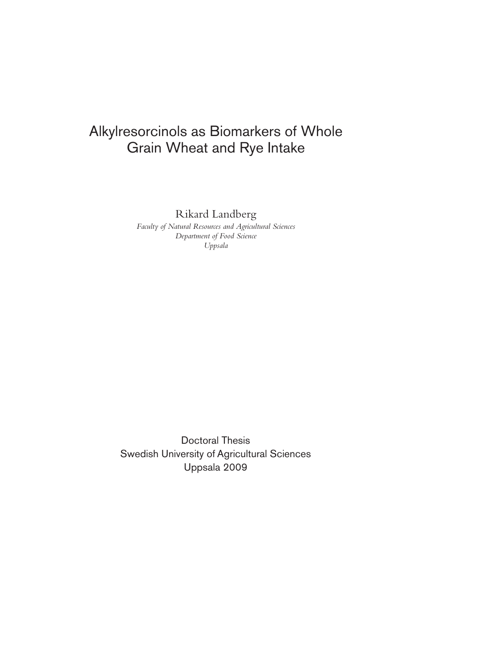# Alkylresorcinols as Biomarkers of Whole Grain Wheat and Rye Intake

Rikard Landberg

*Faculty of Natural Resources and Agricultural Sciences Department of Food Science Uppsala* 

Doctoral Thesis Swedish University of Agricultural Sciences Uppsala 2009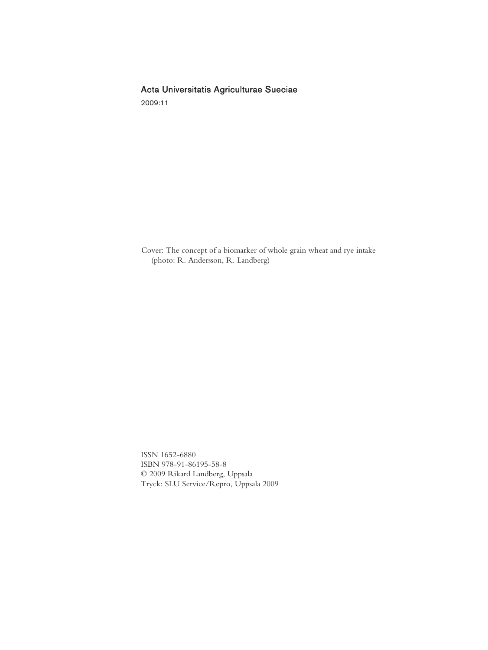# Acta Universitatis Agriculturae Sueciae

2009:11

Cover: The concept of a biomarker of whole grain wheat and rye intake (photo: R. Andersson, R. Landberg)

ISSN 1652-6880 ISBN 978-91-86195-58-8 © 2009 Rikard Landberg, Uppsala Tryck: SLU Service/Repro, Uppsala 2009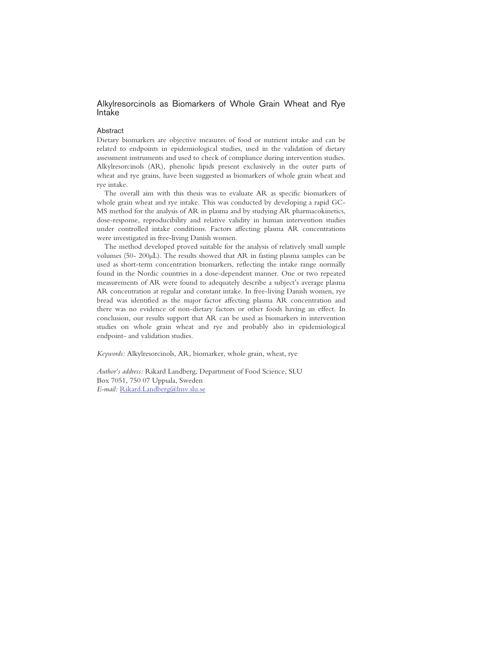# Alkylresorcinols as Biomarkers of Whole Grain Wheat and Rye Intake

#### Abstract

Dietary biomarkers are objective measures of food or nutrient intake and can be related to endpoints in epidemiological studies, used in the validation of dietary assessment instruments and used to check of compliance during intervention studies. Alkylresorcinols (AR), phenolic lipids present exclusively in the outer parts of wheat and rye grains, have been suggested as biomarkers of whole grain wheat and rye intake.

The overall aim with this thesis was to evaluate AR as specific biomarkers of whole grain wheat and rye intake. This was conducted by developing a rapid GC-MS method for the analysis of AR in plasma and by studying AR pharmacokinetics, dose-response, reproducibility and relative validity in human intervention studies under controlled intake conditions. Factors affecting plasma AR concentrations were investigated in free-living Danish women.

The method developed proved suitable for the analysis of relatively small sample volumes (50-  $200\mu$ ). The results showed that AR in fasting plasma samples can be used as short-term concentration biomarkers, reflecting the intake range normally found in the Nordic countries in a dose-dependent manner. One or two repeated measurements of AR were found to adequately describe a subject's average plasma AR concentration at regular and constant intake. In free-living Danish women, rye bread was identified as the major factor affecting plasma AR concentration and there was no evidence of non-dietary factors or other foods having an effect. In conclusion, our results support that AR can be used as biomarkers in intervention studies on whole grain wheat and rye and probably also in epidemiological endpoint- and validation studies.

*Keywords:* Alkylresorcinols, AR, biomarker, whole grain, wheat, rye

*Author's address:* Rikard Landberg, Department of Food Science, SLU Box 7051, 750 07 Uppsala, Sweden *E-mail:* Rikard.Landberg@lmv.slu.se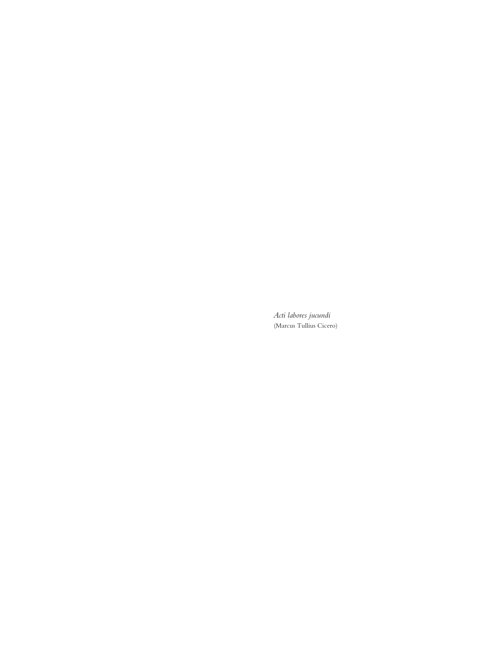*Acti labores jucundi*  (Marcus Tullius Cicero)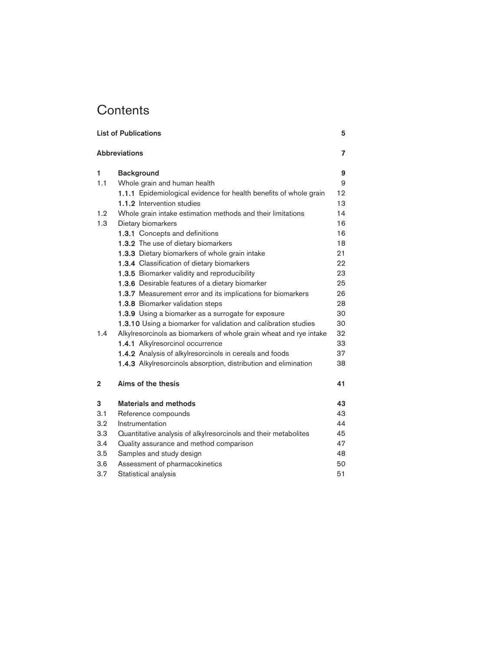# **Contents**

| <b>List of Publications</b> |                                                                    |                         |  |
|-----------------------------|--------------------------------------------------------------------|-------------------------|--|
|                             | <b>Abbreviations</b>                                               | $\overline{\mathbf{z}}$ |  |
| 1                           | <b>Background</b>                                                  | 9                       |  |
| 1.1                         | Whole grain and human health                                       | 9                       |  |
|                             | 1.1.1 Epidemiological evidence for health benefits of whole grain  | 12                      |  |
|                             | 1.1.2 Intervention studies                                         | 13                      |  |
| 1.2                         | Whole grain intake estimation methods and their limitations        | 14                      |  |
| 1.3                         | Dietary biomarkers                                                 | 16                      |  |
|                             | 1.3.1 Concepts and definitions                                     | 16                      |  |
|                             | 1.3.2 The use of dietary biomarkers                                | 18                      |  |
|                             | 1.3.3 Dietary biomarkers of whole grain intake                     | 21                      |  |
|                             | 1.3.4 Classification of dietary biomarkers                         | 22                      |  |
|                             | 1.3.5 Biomarker validity and reproducibility                       | 23                      |  |
|                             | 1.3.6 Desirable features of a dietary biomarker                    | 25                      |  |
|                             | 1.3.7 Measurement error and its implications for biomarkers        | 26                      |  |
|                             | 1.3.8 Biomarker validation steps                                   | 28                      |  |
|                             | 1.3.9 Using a biomarker as a surrogate for exposure                | 30                      |  |
|                             | 1.3.10 Using a biomarker for validation and calibration studies    | 30                      |  |
| 1.4                         | Alkylresorcinols as biomarkers of whole grain wheat and rye intake | 32                      |  |
|                             | 1.4.1 Alkylresorcinol occurrence                                   | 33                      |  |
|                             | 1.4.2 Analysis of alkylresorcinols in cereals and foods            | 37                      |  |
|                             | 1.4.3 Alkylresorcinols absorption, distribution and elimination    | 38                      |  |
| $\mathbf{2}$                | Aims of the thesis                                                 | 41                      |  |
| 3                           | <b>Materials and methods</b>                                       | 43                      |  |
| 3.1                         | Reference compounds                                                | 43                      |  |
| 3.2                         | Instrumentation                                                    | 44                      |  |
| 3.3                         | Quantitative analysis of alkylresorcinols and their metabolites    | 45                      |  |
| 3.4                         | Quality assurance and method comparison                            | 47                      |  |
| 3.5                         | Samples and study design                                           | 48                      |  |
| 3.6                         | Assessment of pharmacokinetics                                     | 50                      |  |
| 3.7                         | Statistical analysis                                               | 51                      |  |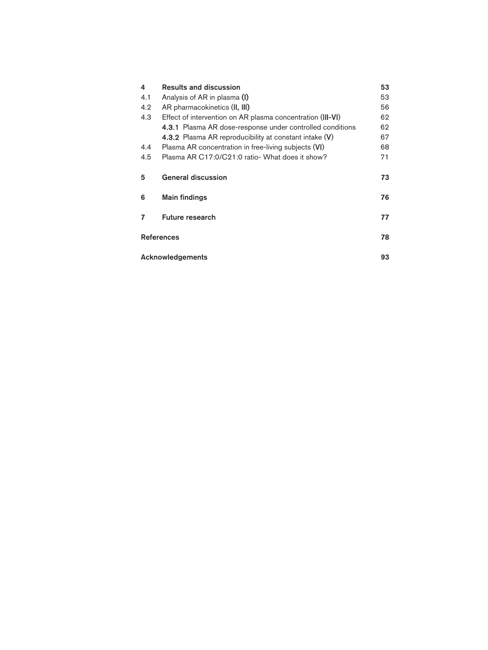| 4                 | <b>Results and discussion</b>                                    | 53 |  |
|-------------------|------------------------------------------------------------------|----|--|
| 4.1               | Analysis of AR in plasma (I)                                     | 53 |  |
| 4.2               | AR pharmacokinetics (II, III)                                    | 56 |  |
| 4.3               | Effect of intervention on AR plasma concentration (III-VI)       |    |  |
|                   | <b>4.3.1</b> Plasma AR dose-response under controlled conditions | 62 |  |
|                   | 4.3.2 Plasma AR reproducibility at constant intake (V)           | 67 |  |
| 4.4               | Plasma AR concentration in free-living subjects (VI)             | 68 |  |
| 4.5               | Plasma AR C17:0/C21:0 ratio- What does it show?<br>71            |    |  |
| 5                 | <b>General discussion</b>                                        | 73 |  |
| 6                 | <b>Main findings</b>                                             | 76 |  |
| 7                 | <b>Future research</b>                                           | 77 |  |
| <b>References</b> |                                                                  |    |  |
| Acknowledgements  |                                                                  |    |  |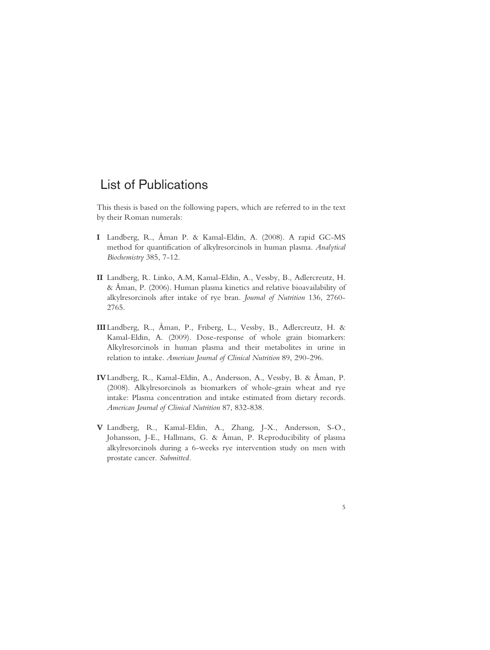# List of Publications

This thesis is based on the following papers, which are referred to in the text by their Roman numerals:

- **I** Landberg, R., Åman P. & Kamal-Eldin, A. (2008). A rapid GC-MS method for quantification of alkylresorcinols in human plasma. *Analytical Biochemistry* 385, 7-12.
- **II** Landberg, R. Linko, A.M, Kamal-Eldin, A., Vessby, B., Adlercreutz, H. & Åman, P. (2006). Human plasma kinetics and relative bioavailability of alkylresorcinols after intake of rye bran. *Journal of Nutrition* 136, 2760- 2765.
- **III**Landberg, R., Åman, P., Friberg, L., Vessby, B., Adlercreutz, H. & Kamal-Eldin, A. (2009). Dose-response of whole grain biomarkers: Alkylresorcinols in human plasma and their metabolites in urine in relation to intake. *American Journal of Clinical Nutrition* 89, 290-296.
- **IV**Landberg, R., Kamal-Eldin, A., Andersson, A., Vessby, B. & Åman, P. (2008). Alkylresorcinols as biomarkers of whole-grain wheat and rye intake: Plasma concentration and intake estimated from dietary records. *American Journal of Clinical Nutrition* 87, 832-838.
- **V** Landberg, R., Kamal-Eldin, A., Zhang, J-X., Andersson, S-O., Johansson, J-E., Hallmans, G. & Åman, P. Reproducibility of plasma alkylresorcinols during a 6-weeks rye intervention study on men with prostate cancer. *Submitted.*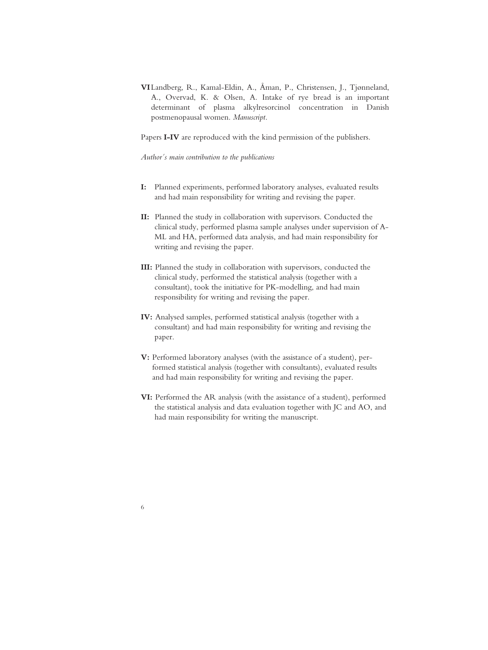**VI**Landberg, R., Kamal-Eldin, A., Åman, P., Christensen, J., Tjønneland, A., Overvad, K. & Olsen, A. Intake of rye bread is an important determinant of plasma alkylresorcinol concentration in Danish postmenopausal women. *Manuscript*.

Papers **I-IV** are reproduced with the kind permission of the publishers.

*Author´s main contribution to the publications* 

- **I:** Planned experiments, performed laboratory analyses, evaluated results and had main responsibility for writing and revising the paper.
- **II:** Planned the study in collaboration with supervisors. Conducted the clinical study, performed plasma sample analyses under supervision of A- ML and HA, performed data analysis, and had main responsibility for writing and revising the paper.
- **III:** Planned the study in collaboration with supervisors, conducted the clinical study, performed the statistical analysis (together with a consultant), took the initiative for PK-modelling, and had main responsibility for writing and revising the paper.
- **IV:** Analysed samples, performed statistical analysis (together with a consultant) and had main responsibility for writing and revising the paper.
- **V:** Performed laboratory analyses (with the assistance of a student), per formed statistical analysis (together with consultants), evaluated results and had main responsibility for writing and revising the paper.
- **VI:** Performed the AR analysis (with the assistance of a student), performed the statistical analysis and data evaluation together with JC and AO, and had main responsibility for writing the manuscript.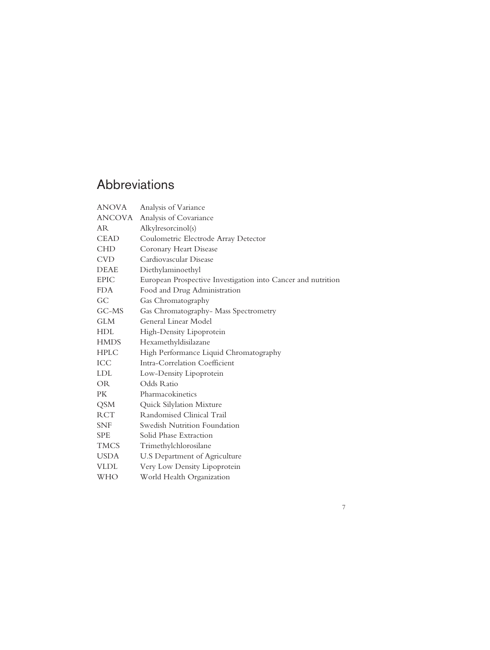# Abbreviations

| <b>ANOVA</b>  | Analysis of Variance                                         |
|---------------|--------------------------------------------------------------|
| <b>ANCOVA</b> | Analysis of Covariance                                       |
| <b>AR</b>     | Alkylresorcinol(s)                                           |
| <b>CEAD</b>   | Coulometric Electrode Array Detector                         |
| <b>CHD</b>    | Coronary Heart Disease                                       |
| <b>CVD</b>    | Cardiovascular Disease                                       |
| <b>DEAE</b>   | Diethylaminoethyl                                            |
| <b>EPIC</b>   | European Prospective Investigation into Cancer and nutrition |
| <b>FDA</b>    | Food and Drug Administration                                 |
| GC            | Gas Chromatography                                           |
| GC-MS         | Gas Chromatography- Mass Spectrometry                        |
| <b>GLM</b>    | General Linear Model                                         |
| <b>HDL</b>    | High-Density Lipoprotein                                     |
| <b>HMDS</b>   | Hexamethyldisilazane                                         |
| <b>HPLC</b>   | High Performance Liquid Chromatography                       |
| ICC           | Intra-Correlation Coefficient                                |
| <b>LDL</b>    | Low-Density Lipoprotein                                      |
| <b>OR</b>     | Odds Ratio                                                   |
| PK.           | Pharmacokinetics                                             |
| <b>QSM</b>    | Quick Silylation Mixture                                     |
| <b>RCT</b>    | Randomised Clinical Trail                                    |
| <b>SNF</b>    | Swedish Nutrition Foundation                                 |
| <b>SPE</b>    | Solid Phase Extraction                                       |
| <b>TMCS</b>   | Trimethylchlorosilane                                        |
| <b>USDA</b>   | U.S Department of Agriculture                                |
| <b>VLDL</b>   | Very Low Density Lipoprotein                                 |
| WHO           | World Health Organization                                    |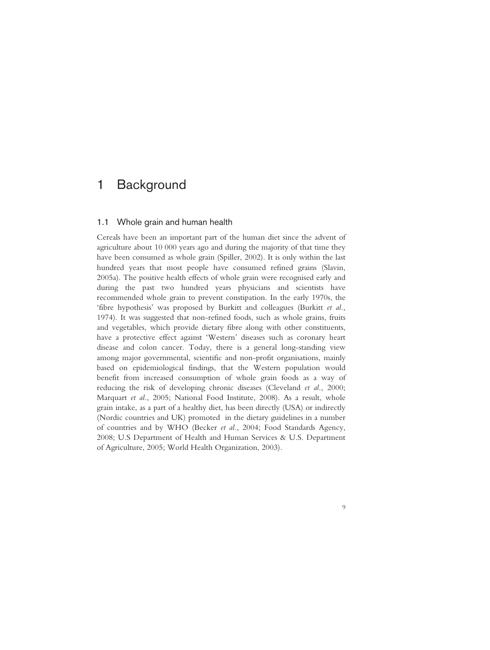# 1 Background

# 1.1 Whole grain and human health

Cereals have been an important part of the human diet since the advent of agriculture about 10 000 years ago and during the majority of that time they have been consumed as whole grain (Spiller, 2002). It is only within the last hundred years that most people have consumed refined grains (Slavin, 2005a). The positive health effects of whole grain were recognised early and during the past two hundred years physicians and scientists have recommended whole grain to prevent constipation. In the early 1970s, the 'fibre hypothesis' was proposed by Burkitt and colleagues (Burkitt *et al.*, 1974). It was suggested that non-refined foods, such as whole grains, fruits and vegetables, which provide dietary fibre along with other constituents, have a protective effect against 'Western' diseases such as coronary heart disease and colon cancer. Today, there is a general long-standing view among major governmental, scientific and non-profit organisations, mainly based on epidemiological findings, that the Western population would benefit from increased consumption of whole grain foods as a way of reducing the risk of developing chronic diseases (Cleveland *et al.*, 2000; Marquart *et al.*, 2005; National Food Institute, 2008). As a result, whole grain intake, as a part of a healthy diet, has been directly (USA) or indirectly (Nordic countries and UK) promoted in the dietary guidelines in a number of countries and by WHO (Becker *et al.*, 2004; Food Standards Agency, 2008; U.S Department of Health and Human Services & U.S. Department of Agriculture, 2005; World Health Organization, 2003).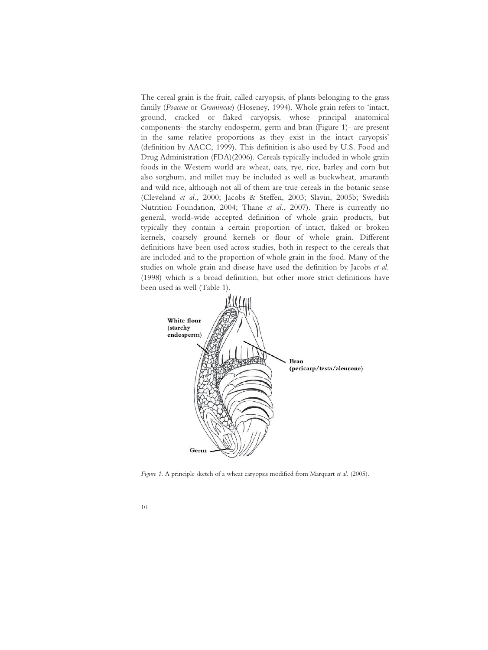The cereal grain is the fruit, called caryopsis, of plants belonging to the grass family (*Poaceae* or *Gramineae*) (Hoseney, 1994). Whole grain refers to 'intact, ground, cracked or flaked caryopsis, whose principal anatomical components- the starchy endosperm, germ and bran (Figure 1)- are present in the same relative proportions as they exist in the intact caryopsis' (definition by AACC, 1999). This definition is also used by U.S. Food and Drug Administration (FDA)(2006). Cereals typically included in whole grain foods in the Western world are wheat, oats, rye, rice, barley and corn but also sorghum, and millet may be included as well as buckwheat, amaranth and wild rice, although not all of them are true cereals in the botanic sense (Cleveland *et al.*, 2000; Jacobs & Steffen, 2003; Slavin, 2005b; Swedish Nutrition Foundation, 2004; Thane *et al.*, 2007). There is currently no general, world-wide accepted definition of whole grain products, but typically they contain a certain proportion of intact, flaked or broken kernels, coarsely ground kernels or flour of whole grain. Different definitions have been used across studies, both in respect to the cereals that are included and to the proportion of whole grain in the food. Many of the studies on whole grain and disease have used the definition by Jacobs *et al.*  (1998) which is a broad definition, but other more strict definitions have been used as well (Table 1).



*Figure 1.* A principle sketch of a wheat caryopsis modified from Marquart *et al.* (2005).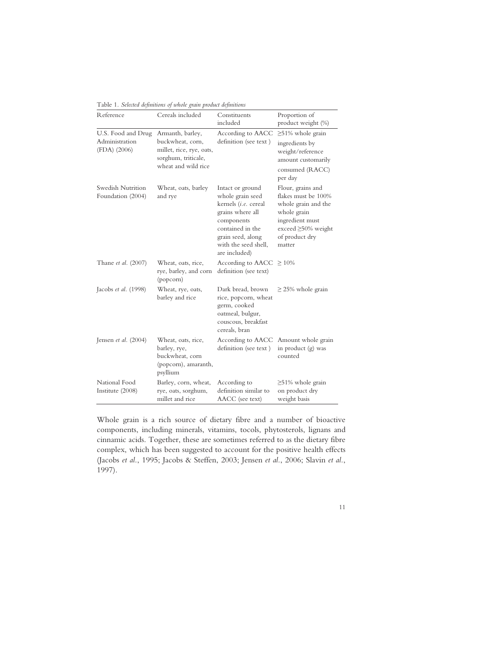Table 1*. Selected definitions of whole grain product definitions* 

| Reference                                            | Cereals included                                                                                               | Constituents<br>included                                                                                                                                                         | Proportion of<br>product weight (%)                                                                                                                 |
|------------------------------------------------------|----------------------------------------------------------------------------------------------------------------|----------------------------------------------------------------------------------------------------------------------------------------------------------------------------------|-----------------------------------------------------------------------------------------------------------------------------------------------------|
| U.S. Food and Drug<br>Administration<br>(FDA) (2006) | Armanth, barley,<br>buckwheat, corn,<br>millet, rice, rye, oats,<br>sorghum, triticale,<br>wheat and wild rice | According to AACC<br>definition (see text)                                                                                                                                       | $\geq$ 51% whole grain<br>ingredients by<br>weight/reference<br>amount customarily<br>consumed (RACC)<br>per day                                    |
| Swedish Nutrition<br>Foundation (2004)               | Wheat, oats, barley<br>and rye                                                                                 | Intact or ground<br>whole grain seed<br>kernels (i.e. cereal<br>grains where all<br>components<br>contained in the<br>grain seed, along<br>with the seed shell,<br>are included) | Flour, grains and<br>flakes must be 100%<br>whole grain and the<br>whole grain<br>ingredient must<br>exceed ≥50% weight<br>of product dry<br>matter |
| Thane et al. (2007)                                  | Wheat, oats, rice,<br>rye, barley, and corn<br>(popcorn)                                                       | According to AACC<br>definition (see text)                                                                                                                                       | $\geq 10\%$                                                                                                                                         |
| Jacobs et al. (1998)                                 | Wheat, rye, oats,<br>barley and rice                                                                           | Dark bread, brown<br>rice, popcorn, wheat<br>germ, cooked<br>oatmeal, bulgur,<br>couscous, breakfast<br>cereals, bran                                                            | $\geq$ 25% whole grain                                                                                                                              |
| Jensen et al. $(2004)$                               | Wheat, oats, rice,<br>barley, rye,<br>buckwheat, corn<br>(popcorn), amaranth,<br>psyllium                      | According to AACC<br>definition (see text)                                                                                                                                       | Amount whole grain<br>in product (g) was<br>counted                                                                                                 |
| National Food<br>Institute (2008)                    | Barley, corn, wheat,<br>rye, oats, sorghum,<br>millet and rice                                                 | According to<br>definition similar to<br>AACC (see text)                                                                                                                         | $\geq$ 51% whole grain<br>on product dry<br>weight basis                                                                                            |

Whole grain is a rich source of dietary fibre and a number of bioactive components, including minerals, vitamins, tocols, phytosterols, lignans and cinnamic acids. Together, these are sometimes referred to as the dietary fibre complex, which has been suggested to account for the positive health effects (Jacobs *et al.*, 1995; Jacobs & Steffen, 2003; Jensen *et al.*, 2006; Slavin *et al.*, 1997).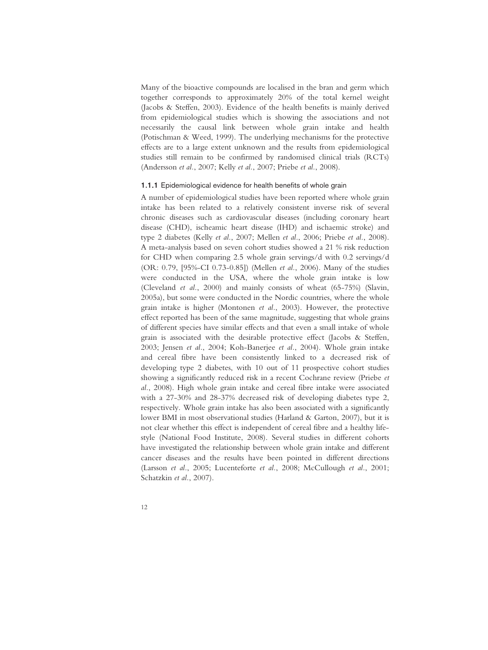Many of the bioactive compounds are localised in the bran and germ which together corresponds to approximately 20% of the total kernel weight (Jacobs & Steffen, 2003). Evidence of the health benefits is mainly derived from epidemiological studies which is showing the associations and not necessarily the causal link between whole grain intake and health (Potischman & Weed, 1999). The underlying mechanisms for the protective effects are to a large extent unknown and the results from epidemiological studies still remain to be confirmed by randomised clinical trials (RCTs) (Andersson *et al.*, 2007; Kelly *et al.*, 2007; Priebe *et al.*, 2008).

# 1.1.1 Epidemiological evidence for health benefits of whole grain

A number of epidemiological studies have been reported where whole grain intake has been related to a relatively consistent inverse risk of several chronic diseases such as cardiovascular diseases (including coronary heart disease (CHD), ischeamic heart disease (IHD) and ischaemic stroke) and type 2 diabetes (Kelly *et al.*, 2007; Mellen *et al.*, 2006; Priebe *et al.*, 2008). A meta-analysis based on seven cohort studies showed a 21 % risk reduction for CHD when comparing 2.5 whole grain servings/d with 0.2 servings/d (OR: 0.79, [95%-CI 0.73-0.85]) (Mellen *et al.*, 2006). Many of the studies were conducted in the USA, where the whole grain intake is low (Cleveland *et al.*, 2000) and mainly consists of wheat (65-75%) (Slavin, 2005a), but some were conducted in the Nordic countries, where the whole grain intake is higher (Montonen *et al.*, 2003). However, the protective effect reported has been of the same magnitude, suggesting that whole grains of different species have similar effects and that even a small intake of whole grain is associated with the desirable protective effect (Jacobs & Steffen, 2003; Jensen *et al.*, 2004; Koh-Banerjee *et al.*, 2004). Whole grain intake and cereal fibre have been consistently linked to a decreased risk of developing type 2 diabetes, with 10 out of 11 prospective cohort studies showing a significantly reduced risk in a recent Cochrane review (Priebe *et al.*, 2008). High whole grain intake and cereal fibre intake were associated with a 27-30% and 28-37% decreased risk of developing diabetes type 2, respectively. Whole grain intake has also been associated with a significantly lower BMI in most observational studies (Harland & Garton, 2007), but it is not clear whether this effect is independent of cereal fibre and a healthy lifestyle (National Food Institute, 2008). Several studies in different cohorts have investigated the relationship between whole grain intake and different cancer diseases and the results have been pointed in different directions (Larsson *et al.*, 2005; Lucenteforte *et al.*, 2008; McCullough *et al.*, 2001; Schatzkin *et al.*, 2007).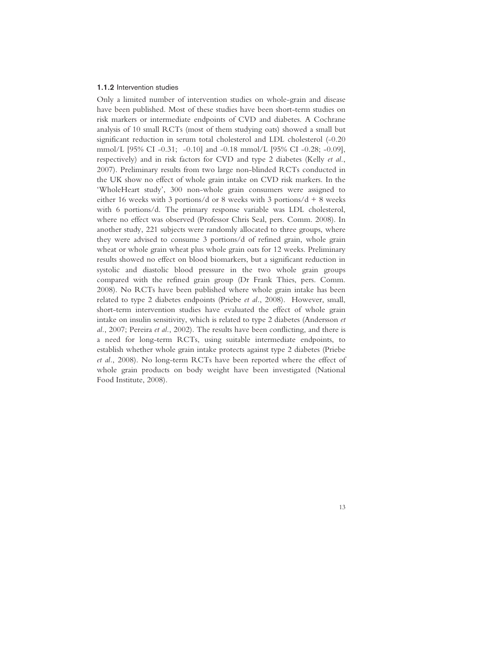#### 1.1.2 Intervention studies

Only a limited number of intervention studies on whole-grain and disease have been published. Most of these studies have been short-term studies on risk markers or intermediate endpoints of CVD and diabetes. A Cochrane analysis of 10 small RCTs (most of them studying oats) showed a small but significant reduction in serum total cholesterol and LDL cholesterol (-0.20 mmol/L [95% CI -0.31; -0.10] and -0.18 mmol/L [95% CI -0.28; -0.09], respectively) and in risk factors for CVD and type 2 diabetes (Kelly *et al.*, 2007). Preliminary results from two large non-blinded RCTs conducted in the UK show no effect of whole grain intake on CVD risk markers. In the 'WholeHeart study', 300 non-whole grain consumers were assigned to either 16 weeks with 3 portions/d or 8 weeks with 3 portions/d + 8 weeks with 6 portions/d. The primary response variable was LDL cholesterol, where no effect was observed (Professor Chris Seal, pers. Comm. 2008). In another study, 221 subjects were randomly allocated to three groups, where they were advised to consume 3 portions/d of refined grain, whole grain wheat or whole grain wheat plus whole grain oats for 12 weeks. Preliminary results showed no effect on blood biomarkers, but a significant reduction in systolic and diastolic blood pressure in the two whole grain groups compared with the refined grain group (Dr Frank Thies, pers. Comm. 2008). No RCTs have been published where whole grain intake has been related to type 2 diabetes endpoints (Priebe *et al.*, 2008). However, small, short-term intervention studies have evaluated the effect of whole grain intake on insulin sensitivity, which is related to type 2 diabetes (Andersson *et al.*, 2007; Pereira *et al.*, 2002). The results have been conflicting, and there is a need for long-term RCTs, using suitable intermediate endpoints, to establish whether whole grain intake protects against type 2 diabetes (Priebe *et al.*, 2008). No long-term RCTs have been reported where the effect of whole grain products on body weight have been investigated (National Food Institute, 2008).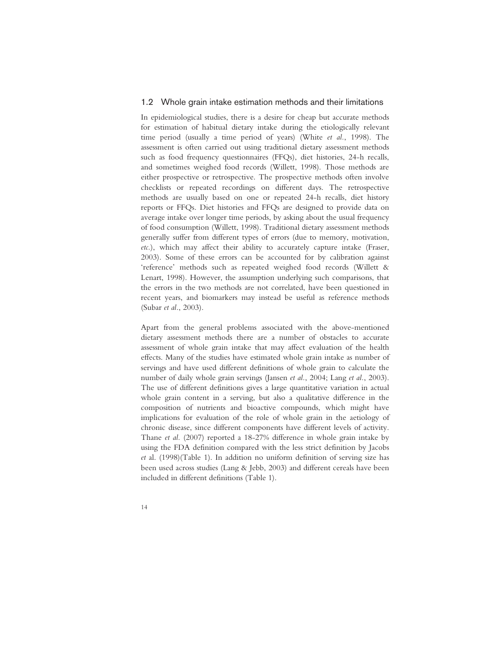## 1.2 Whole grain intake estimation methods and their limitations

In epidemiological studies, there is a desire for cheap but accurate methods for estimation of habitual dietary intake during the etiologically relevant time period (usually a time period of years) (White *et al.*, 1998). The assessment is often carried out using traditional dietary assessment methods such as food frequency questionnaires (FFQs), diet histories, 24-h recalls, and sometimes weighed food records (Willett, 1998). Those methods are either prospective or retrospective. The prospective methods often involve checklists or repeated recordings on different days. The retrospective methods are usually based on one or repeated 24-h recalls, diet history reports or FFQs. Diet histories and FFQs are designed to provide data on average intake over longer time periods, by asking about the usual frequency of food consumption (Willett, 1998). Traditional dietary assessment methods generally suffer from different types of errors (due to memory, motivation, *etc.*), which may affect their ability to accurately capture intake (Fraser, 2003). Some of these errors can be accounted for by calibration against 'reference' methods such as repeated weighed food records (Willett & Lenart, 1998). However, the assumption underlying such comparisons, that the errors in the two methods are not correlated, have been questioned in recent years, and biomarkers may instead be useful as reference methods (Subar *et al.*, 2003).

Apart from the general problems associated with the above-mentioned dietary assessment methods there are a number of obstacles to accurate assessment of whole grain intake that may affect evaluation of the health effects. Many of the studies have estimated whole grain intake as number of servings and have used different definitions of whole grain to calculate the number of daily whole grain servings (Jansen *et al.*, 2004; Lang *et al.*, 2003). The use of different definitions gives a large quantitative variation in actual whole grain content in a serving, but also a qualitative difference in the composition of nutrients and bioactive compounds, which might have implications for evaluation of the role of whole grain in the aetiology of chronic disease, since different components have different levels of activity. Thane *et al.* (2007) reported a 18-27% difference in whole grain intake by using the FDA definition compared with the less strict definition by Jacobs *et* al. (1998)(Table 1). In addition no uniform definition of serving size has been used across studies (Lang & Jebb, 2003) and different cereals have been included in different definitions (Table 1).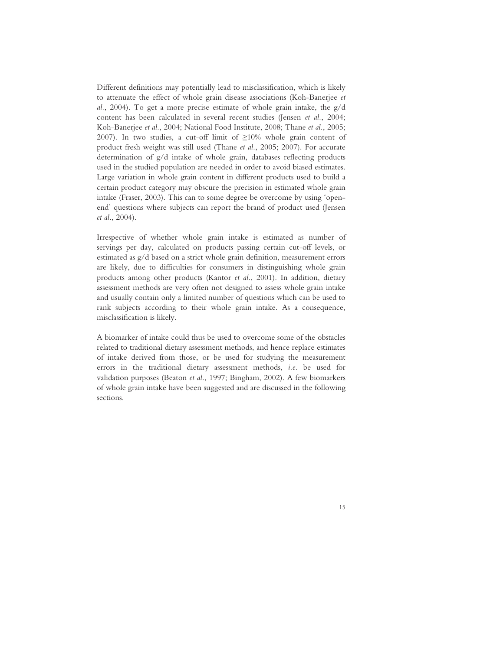Different definitions may potentially lead to misclassification, which is likely to attenuate the effect of whole grain disease associations (Koh-Banerjee *et al.*, 2004). To get a more precise estimate of whole grain intake, the g/d content has been calculated in several recent studies (Jensen *et al.*, 2004; Koh-Banerjee *et al.*, 2004; National Food Institute, 2008; Thane *et al.*, 2005; 2007). In two studies, a cut-off limit of  $\geq 10\%$  whole grain content of product fresh weight was still used (Thane *et al.*, 2005; 2007). For accurate determination of g/d intake of whole grain, databases reflecting products used in the studied population are needed in order to avoid biased estimates. Large variation in whole grain content in different products used to build a certain product category may obscure the precision in estimated whole grain intake (Fraser, 2003). This can to some degree be overcome by using 'openend' questions where subjects can report the brand of product used (Jensen *et al.*, 2004).

Irrespective of whether whole grain intake is estimated as number of servings per day, calculated on products passing certain cut-off levels, or estimated as g/d based on a strict whole grain definition, measurement errors are likely, due to difficulties for consumers in distinguishing whole grain products among other products (Kantor *et al.*, 2001). In addition, dietary assessment methods are very often not designed to assess whole grain intake and usually contain only a limited number of questions which can be used to rank subjects according to their whole grain intake. As a consequence, misclassification is likely.

A biomarker of intake could thus be used to overcome some of the obstacles related to traditional dietary assessment methods, and hence replace estimates of intake derived from those, or be used for studying the measurement errors in the traditional dietary assessment methods, *i.e.* be used for validation purposes (Beaton *et al.*, 1997; Bingham, 2002). A few biomarkers of whole grain intake have been suggested and are discussed in the following sections.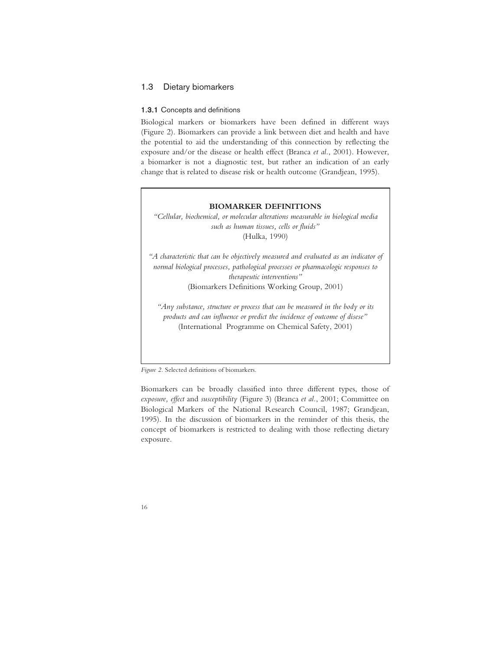# 1.3 Dietary biomarkers

#### 1.3.1 Concepts and definitions

Biological markers or biomarkers have been defined in different ways (Figure 2). Biomarkers can provide a link between diet and health and have the potential to aid the understanding of this connection by reflecting the exposure and/or the disease or health effect (Branca *et al.*, 2001). However, a biomarker is not a diagnostic test, but rather an indication of an early change that is related to disease risk or health outcome (Grandjean, 1995).

#### **BIOMARKER DEFINITIONS**

*"Cellular, biochemical, or molecular alterations measurable in biological media such as human tissues, cells or fluids"*  (Hulka, 1990)

*"A characteristic that can be objectively measured and evaluated as an indicator of normal biological processes, pathological processes or pharmacologic responses to therapeutic interventions"* 

(Biomarkers Definitions Working Group, 2001)

*"Any substance, structure or process that can be measured in the body or its products and can influence or predict the incidence of outcome of disese"*  (International Programme on Chemical Safety, 2001)

*Figure 2.* Selected definitions of biomarkers.

Biomarkers can be broadly classified into three different types, those of *exposure, effect* and *susceptibility* (Figure 3) (Branca *et al.*, 2001; Committee on Biological Markers of the National Research Council, 1987; Grandjean, 1995). In the discussion of biomarkers in the reminder of this thesis, the concept of biomarkers is restricted to dealing with those reflecting dietary exposure.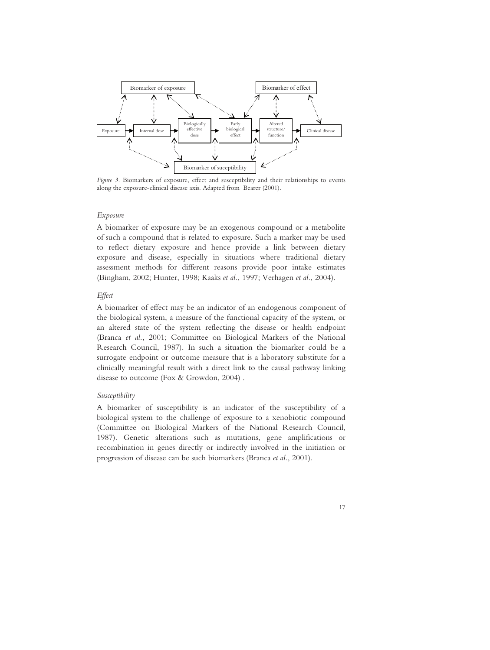

*Figure 3.* Biomarkers of exposure, effect and susceptibility and their relationships to events along the exposure-clinical disease axis. Adapted from Bearer (2001).

### *Exposure*

A biomarker of exposure may be an exogenous compound or a metabolite of such a compound that is related to exposure. Such a marker may be used to reflect dietary exposure and hence provide a link between dietary exposure and disease, especially in situations where traditional dietary assessment methods for different reasons provide poor intake estimates (Bingham, 2002; Hunter, 1998; Kaaks *et al.*, 1997; Verhagen *et al.*, 2004).

#### *Effect*

A biomarker of effect may be an indicator of an endogenous component of the biological system, a measure of the functional capacity of the system, or an altered state of the system reflecting the disease or health endpoint (Branca *et al.*, 2001; Committee on Biological Markers of the National Research Council, 1987). In such a situation the biomarker could be a surrogate endpoint or outcome measure that is a laboratory substitute for a clinically meaningful result with a direct link to the causal pathway linking disease to outcome (Fox & Growdon, 2004) .

# *Susceptibility*

A biomarker of susceptibility is an indicator of the susceptibility of a biological system to the challenge of exposure to a xenobiotic compound (Committee on Biological Markers of the National Research Council, 1987). Genetic alterations such as mutations, gene amplifications or recombination in genes directly or indirectly involved in the initiation or progression of disease can be such biomarkers (Branca *et al.*, 2001).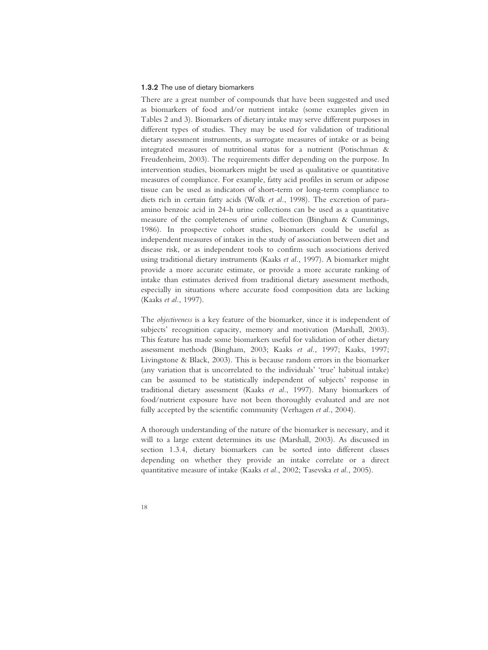### 1.3.2 The use of dietary biomarkers

There are a great number of compounds that have been suggested and used as biomarkers of food and/or nutrient intake (some examples given in Tables 2 and 3). Biomarkers of dietary intake may serve different purposes in different types of studies. They may be used for validation of traditional dietary assessment instruments, as surrogate measures of intake or as being integrated measures of nutritional status for a nutrient (Potischman & Freudenheim, 2003). The requirements differ depending on the purpose. In intervention studies, biomarkers might be used as qualitative or quantitative measures of compliance. For example, fatty acid profiles in serum or adipose tissue can be used as indicators of short-term or long-term compliance to diets rich in certain fatty acids (Wolk *et al.*, 1998). The excretion of paraamino benzoic acid in 24-h urine collections can be used as a quantitative measure of the completeness of urine collection (Bingham & Cummings, 1986). In prospective cohort studies, biomarkers could be useful as independent measures of intakes in the study of association between diet and disease risk, or as independent tools to confirm such associations derived using traditional dietary instruments (Kaaks *et al.*, 1997). A biomarker might provide a more accurate estimate, or provide a more accurate ranking of intake than estimates derived from traditional dietary assessment methods, especially in situations where accurate food composition data are lacking (Kaaks *et al.*, 1997).

The *objectiveness* is a key feature of the biomarker, since it is independent of subjects' recognition capacity, memory and motivation (Marshall, 2003). This feature has made some biomarkers useful for validation of other dietary assessment methods (Bingham, 2003; Kaaks *et al.*, 1997; Kaaks, 1997; Livingstone & Black, 2003). This is because random errors in the biomarker (any variation that is uncorrelated to the individuals' 'true' habitual intake) can be assumed to be statistically independent of subjects' response in traditional dietary assessment (Kaaks *et al.*, 1997). Many biomarkers of food/nutrient exposure have not been thoroughly evaluated and are not fully accepted by the scientific community (Verhagen *et al.*, 2004).

A thorough understanding of the nature of the biomarker is necessary, and it will to a large extent determines its use (Marshall, 2003). As discussed in section 1.3.4, dietary biomarkers can be sorted into different classes depending on whether they provide an intake correlate or a direct quantitative measure of intake (Kaaks *et al.*, 2002; Tasevska *et al.*, 2005).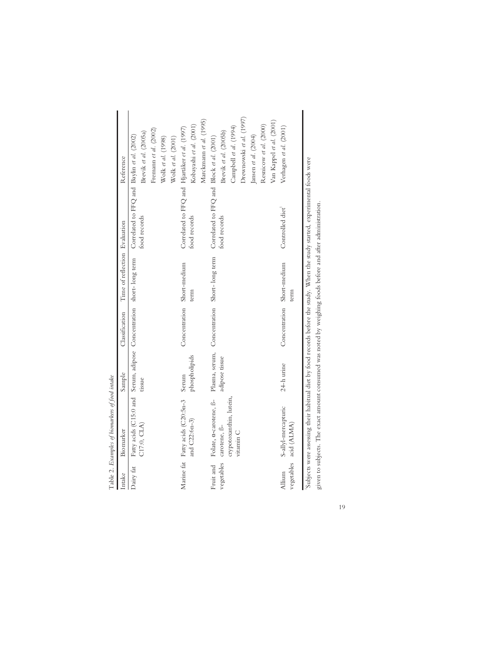|            | Table 2. Examples of biomarkers of food intake                                                                                 |                        |                            |                                                     |                                                               |                                                                                                                                                             |
|------------|--------------------------------------------------------------------------------------------------------------------------------|------------------------|----------------------------|-----------------------------------------------------|---------------------------------------------------------------|-------------------------------------------------------------------------------------------------------------------------------------------------------------|
| Intake     | Biomarker                                                                                                                      | Sample                 | Classification             | Time of reflection Evaluation                       |                                                               | Reference                                                                                                                                                   |
| Dairy fat  | Fatty acids (C15:0 and Serum, adipose Concentration short-long term<br>C17:0, CLA)                                             | tissue                 |                            |                                                     | Correlated to FFQ and Baylin et al. (2002)<br>food records    | Brevik et al. (2005a)                                                                                                                                       |
|            |                                                                                                                                |                        |                            |                                                     |                                                               | Fremann et al. $(2002)$<br>Wolk et al. (1998)<br>Wolk et al. (2001)                                                                                         |
|            | Marine fat Fatty acids (C20:5n-3<br>and C22:6n-3)                                                                              | phospholipids<br>Serum | Concentration              | Short-medium<br>term                                | Correlated to FFQ and Hjartåker et al. (1997)<br>food records | Marckmann et al. (1995)<br>Kobayashi et al. (2001)                                                                                                          |
| vegetables | Fruit and Folate, a-carotene, ß-<br>crypotoxanthin, lutein,<br>carotene, B-<br>vitamin C                                       | adipose tissue         |                            | Plasma, serum, Concentration Short-long term        | Correlated to FFQ and Block et al. (2001)<br>food records     | Drewnowski et al. (1997)<br>Van Kappel et al. (2001)<br>Resnicow et al. (2000)<br>Campbell et al. (1994)<br>Brevik et al. (2005b)<br>Jansen et al. $(2004)$ |
| Allium     | S-allyl-mercapturic<br>vegetables acid (ALMA)                                                                                  | 24-h urine             | Concentration Short-medium | term                                                | Controlled diet <sup>1</sup>                                  | Verhagen et al. (2001)                                                                                                                                      |
|            | 'Subjects were assessing their habitual diet by food records before the study. When the study started, experimental foods were |                        | $\frac{1}{2}$              | $\ddot{\phantom{0}}$<br>$\sim$ $\sim$ $\sim$ $\sim$ |                                                               |                                                                                                                                                             |

19

given to subjects. The exact amount consumed was noted by weighing foods before and after administration.

given to subjects. The exact amount consumed was noted by weighing foods before and after administration.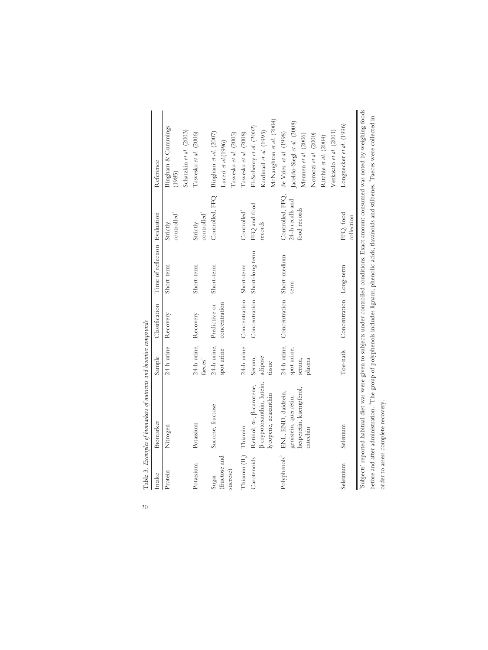| Intake                             | Biomarker                                                                                                                                        | Sample                         | Classification                         | Time of reflection Evaluation |                                      | Reference                                                                                                                                   |
|------------------------------------|--------------------------------------------------------------------------------------------------------------------------------------------------|--------------------------------|----------------------------------------|-------------------------------|--------------------------------------|---------------------------------------------------------------------------------------------------------------------------------------------|
| Protein                            | Nitrogen                                                                                                                                         | 24-h urine                     | Recovery                               | Short-term                    | controlled <sup>1</sup><br>Strictly  | Bingham & Cummings<br>(1985)                                                                                                                |
|                                    |                                                                                                                                                  |                                |                                        |                               |                                      | Schatzkin et al. (2003)                                                                                                                     |
| Potassium                          | Potassium                                                                                                                                        | 24-h urine, Recovery<br>faeces |                                        | Short-term                    | controlled <sup>1</sup><br>Strictly  | Tasveska et al. (2006)                                                                                                                      |
| (fructose and<br>sucrose)<br>Sugar | Sucrose, fructose                                                                                                                                | 24-h urine,<br>spot urine      | concentration<br>Predictive or         | Short-term                    | Controlled, FFQ                      | Bingham et al. (2007)<br>Tasveska et al. (2005)<br>Luceri et al.(1996)                                                                      |
|                                    |                                                                                                                                                  |                                |                                        |                               |                                      |                                                                                                                                             |
| Thiamin $(B_1)$                    | Thiamin                                                                                                                                          | 24-h urine                     | Concentration Short-term               |                               | Controlled <sup>1</sup>              | Tasveska et al. (2008)                                                                                                                      |
| Carotenoids                        | B-crypotoxanthin, lutein,<br>Retinol, $\alpha$ -, $\beta$ -carotene,<br>lycopene, zeaxanthin                                                     | adipose<br>Serum,<br>tissue    |                                        | Concentration Short-long term | FFQ and food<br>records              | McNaughton et al. (2004)<br>El-Sohemy et al. (2002)<br>Kardinaal et al. (1995)                                                              |
| Polyphenols <sup>2</sup>           | ENL, END, daidzein,<br>genistein, quercetin,                                                                                                     | spot urine,                    | 24-h urine, Concentration Short-medium | term                          | Controlled, FFQ,<br>24-h recalls and | Jaceldo-Siegl et al. (2008)<br>de Vries et al. (1998)                                                                                       |
|                                    | hesperetin, kaempferol,<br>catechin                                                                                                              | serum,<br>plasma               |                                        |                               | food records                         | Verkasalo et al. (2001)<br>Noroozi et al. (2000)<br>Mennen et al. (2006)<br>Ritchie et al. (2004)                                           |
| Seleinium                          | Selenium                                                                                                                                         |                                | Toe-nails Concentration Long-term      |                               | FFQ, food<br>collection              | Longnecker et al. (1996)                                                                                                                    |
|                                    | before and after administration. "The group of polyphenols includes lignans, phenolic acids, flavanoids and stilbenes. "Faeces were collected in |                                |                                        |                               |                                      | 'Subjects' reported habitual diet was were given to subjects under controlled conditions. Exact amount consumed was noted by weighing foods |

order to assess complete recovery.

order to assess complete recovery.

Table 3. Examples of biomarkers of nutrients and bioactive compounds 20 Table 3*. Examples of biomarkers of nutrients and bioactive compounds* 

20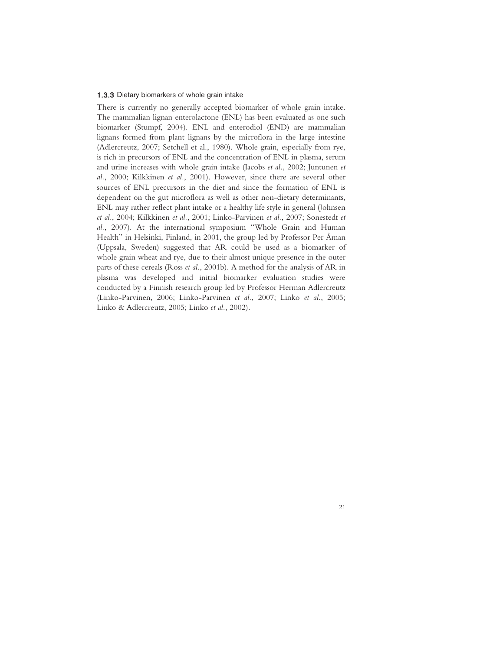#### 1.3.3 Dietary biomarkers of whole grain intake

There is currently no generally accepted biomarker of whole grain intake. The mammalian lignan enterolactone (ENL) has been evaluated as one such biomarker (Stumpf, 2004). ENL and enterodiol (END) are mammalian lignans formed from plant lignans by the microflora in the large intestine (Adlercreutz, 2007; Setchell et al., 1980). Whole grain, especially from rye, is rich in precursors of ENL and the concentration of ENL in plasma, serum and urine increases with whole grain intake (Jacobs *et al.*, 2002; Juntunen *et al.*, 2000; Kilkkinen *et al.*, 2001). However, since there are several other sources of ENL precursors in the diet and since the formation of ENL is dependent on the gut microflora as well as other non-dietary determinants, ENL may rather reflect plant intake or a healthy life style in general (Johnsen *et al.*, 2004; Kilkkinen *et al.*, 2001; Linko-Parvinen *et al.*, 2007; Sonestedt *et al.*, 2007). At the international symposium "Whole Grain and Human Health" in Helsinki, Finland, in 2001, the group led by Professor Per Åman (Uppsala, Sweden) suggested that AR could be used as a biomarker of whole grain wheat and rye, due to their almost unique presence in the outer parts of these cereals (Ross *et al.*, 2001b). A method for the analysis of AR in plasma was developed and initial biomarker evaluation studies were conducted by a Finnish research group led by Professor Herman Adlercreutz (Linko-Parvinen, 2006; Linko-Parvinen *et al.*, 2007; Linko *et al.*, 2005; Linko & Adlercreutz, 2005; Linko *et al.*, 2002).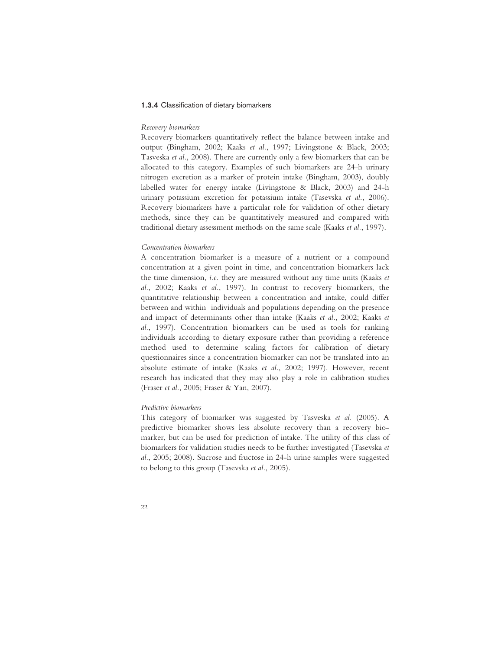# 1.3.4 Classification of dietary biomarkers

### *Recovery biomarkers*

Recovery biomarkers quantitatively reflect the balance between intake and output (Bingham, 2002; Kaaks *et al.*, 1997; Livingstone & Black, 2003; Tasveska *et al.*, 2008). There are currently only a few biomarkers that can be allocated to this category. Examples of such biomarkers are 24-h urinary nitrogen excretion as a marker of protein intake (Bingham, 2003), doubly labelled water for energy intake (Livingstone & Black, 2003) and 24-h urinary potassium excretion for potassium intake (Tasevska *et al.*, 2006). Recovery biomarkers have a particular role for validation of other dietary methods, since they can be quantitatively measured and compared with traditional dietary assessment methods on the same scale (Kaaks *et al.*, 1997).

#### *Concentration biomarkers*

A concentration biomarker is a measure of a nutrient or a compound concentration at a given point in time, and concentration biomarkers lack the time dimension, *i.e.* they are measured without any time units (Kaaks *et al.*, 2002; Kaaks *et al.*, 1997). In contrast to recovery biomarkers, the quantitative relationship between a concentration and intake, could differ between and within individuals and populations depending on the presence and impact of determinants other than intake (Kaaks *et al.*, 2002; Kaaks *et al.*, 1997). Concentration biomarkers can be used as tools for ranking individuals according to dietary exposure rather than providing a reference method used to determine scaling factors for calibration of dietary questionnaires since a concentration biomarker can not be translated into an absolute estimate of intake (Kaaks *et al.*, 2002; 1997). However, recent research has indicated that they may also play a role in calibration studies (Fraser *et al.*, 2005; Fraser & Yan, 2007).

# *Predictive biomarkers*

This category of biomarker was suggested by Tasveska *et al.* (2005). A predictive biomarker shows less absolute recovery than a recovery biomarker, but can be used for prediction of intake. The utility of this class of biomarkers for validation studies needs to be further investigated (Tasevska *et al.*, 2005; 2008). Sucrose and fructose in 24-h urine samples were suggested to belong to this group (Tasevska *et al.*, 2005).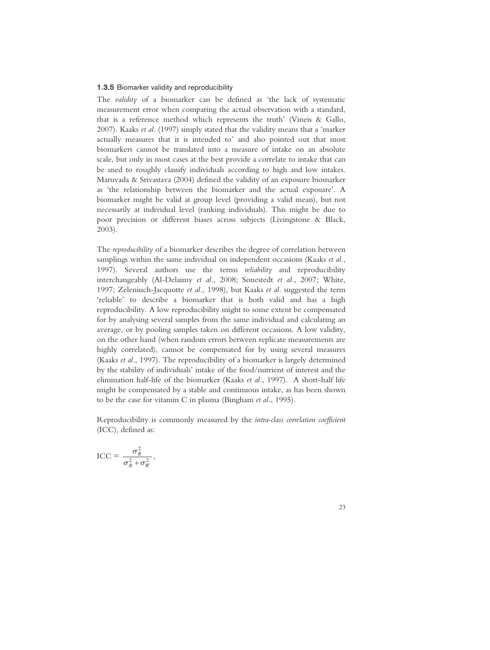#### 1.3.5 Biomarker validity and reproducibility

The *validity* of a biomarker can be defined as 'the lack of systematic measurement error when comparing the actual observation with a standard, that is a reference method which represents the truth' (Vineis & Gallo, 2007). Kaaks *et al*. (1997) simply stated that the validity means that a 'marker actually measures that it is intended to' and also pointed out that most biomarkers cannot be translated into a measure of intake on an absolute scale, but only in most cases at the best provide a correlate to intake that can be used to roughly classify individuals according to high and low intakes. Maruvada & Srivastava (2004) defined the validity of an exposure biomarker as 'the relationship between the biomarker and the actual exposure'. A biomarker might be valid at group level (providing a valid mean), but not necessarily at individual level (ranking individuals). This might be due to poor precision or different biases across subjects (Livingstone & Black, 2003).

The *reproducibility* of a biomarker describes the degree of correlation between samplings within the same individual on independent occasions (Kaaks *et al.*, 1997). Several authors use the terms *reliability* and reproducibility interchangeably (Al-Delaimy *et al.*, 2008; Sonestedt *et al.*, 2007; White, 1997; Zeleniuch-Jacquotte *et al.*, 1998), but Kaaks *et al*. suggested the term 'reliable' to describe a biomarker that is both valid and has a high reproducibility. A low reproducibility might to some extent be compensated for by analysing several samples from the same individual and calculating an average, or by pooling samples taken on different occasions. A low validity, on the other hand (when random errors between replicate measurements are highly correlated), cannot be compensated for by using several measures (Kaaks *et al.*, 1997). The reproducibility of a biomarker is largely determined by the stability of individuals' intake of the food/nutrient of interest and the elimination half-life of the biomarker (Kaaks *et al.*, 1997). A short-half life might be compensated by a stable and continuous intake, as has been shown to be the case for vitamin C in plasma (Bingham *et al.*, 1995).

Reproducibility is commonly measured by the *intra-class correlation coefficient*  (ICC), defined as:

$$
\text{ICC} = \frac{\sigma_B^2}{\sigma_B^2 + \sigma_W^2},
$$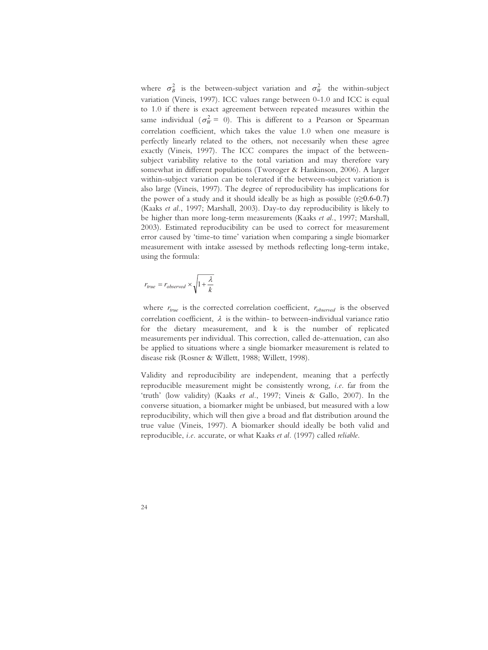where  $\sigma_B^2$  is the between-subject variation and  $\sigma_W^2$  the within-subject variation (Vineis, 1997). ICC values range between 0-1.0 and ICC is equal to 1.0 if there is exact agreement between repeated measures within the same individual ( $\sigma_W^2 = 0$ ). This is different to a Pearson or Spearman correlation coefficient, which takes the value 1.0 when one measure is perfectly linearly related to the others, not necessarily when these agree exactly (Vineis, 1997). The ICC compares the impact of the betweensubject variability relative to the total variation and may therefore vary somewhat in different populations (Tworoger & Hankinson, 2006). A larger within-subject variation can be tolerated if the between-subject variation is also large (Vineis, 1997). The degree of reproducibility has implications for the power of a study and it should ideally be as high as possible  $(r \ge 0.6 - 0.7)$ (Kaaks *et al.*, 1997; Marshall, 2003). Day-to day reproducibility is likely to be higher than more long-term measurements (Kaaks *et al.*, 1997; Marshall, 2003). Estimated reproducibility can be used to correct for measurement error caused by 'time-to time' variation when comparing a single biomarker measurement with intake assessed by methods reflecting long-term intake, using the formula:

$$
r_{true} = r_{observed} \times \sqrt{1 + \frac{\lambda}{k}}
$$

where  $r_{true}$  is the corrected correlation coefficient,  $r_{observed}$  is the observed correlation coefficient,  $\lambda$  is the within- to between-individual variance ratio for the dietary measurement, and k is the number of replicated measurements per individual. This correction, called de-attenuation, can also be applied to situations where a single biomarker measurement is related to disease risk (Rosner & Willett, 1988; Willett, 1998).

Validity and reproducibility are independent, meaning that a perfectly reproducible measurement might be consistently wrong, *i.e.* far from the 'truth' (low validity) (Kaaks *et al.*, 1997; Vineis & Gallo, 2007). In the converse situation, a biomarker might be unbiased, but measured with a low reproducibility, which will then give a broad and flat distribution around the true value (Vineis, 1997). A biomarker should ideally be both valid and reproducible, *i.e.* accurate, or what Kaaks *et al.* (1997) called *reliable*.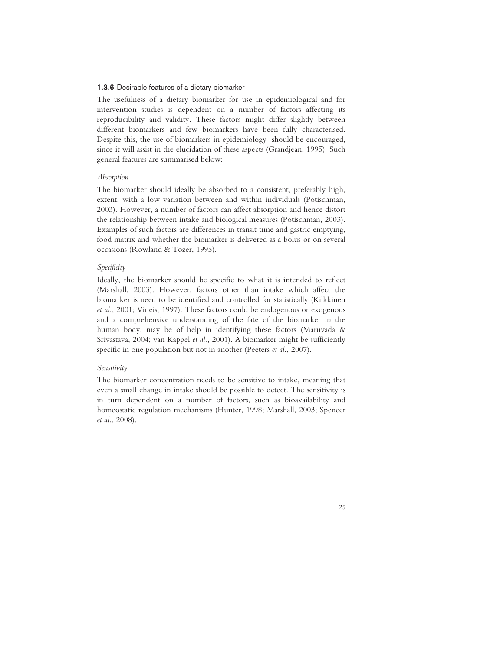# 1.3.6 Desirable features of a dietary biomarker

The usefulness of a dietary biomarker for use in epidemiological and for intervention studies is dependent on a number of factors affecting its reproducibility and validity. These factors might differ slightly between different biomarkers and few biomarkers have been fully characterised. Despite this, the use of biomarkers in epidemiology should be encouraged. since it will assist in the elucidation of these aspects (Grandjean, 1995). Such general features are summarised below:

## *Absorption*

The biomarker should ideally be absorbed to a consistent, preferably high, extent, with a low variation between and within individuals (Potischman, 2003). However, a number of factors can affect absorption and hence distort the relationship between intake and biological measures (Potischman, 2003). Examples of such factors are differences in transit time and gastric emptying, food matrix and whether the biomarker is delivered as a bolus or on several occasions (Rowland & Tozer, 1995).

#### *Specificity*

Ideally, the biomarker should be specific to what it is intended to reflect (Marshall, 2003). However, factors other than intake which affect the biomarker is need to be identified and controlled for statistically (Kilkkinen *et al.*, 2001; Vineis, 1997). These factors could be endogenous or exogenous and a comprehensive understanding of the fate of the biomarker in the human body, may be of help in identifying these factors (Maruvada & Srivastava, 2004; van Kappel *et al.*, 2001). A biomarker might be sufficiently specific in one population but not in another (Peeters *et al.*, 2007).

#### *Sensitivity*

The biomarker concentration needs to be sensitive to intake, meaning that even a small change in intake should be possible to detect. The sensitivity is in turn dependent on a number of factors, such as bioavailability and homeostatic regulation mechanisms (Hunter, 1998; Marshall, 2003; Spencer *et al.*, 2008).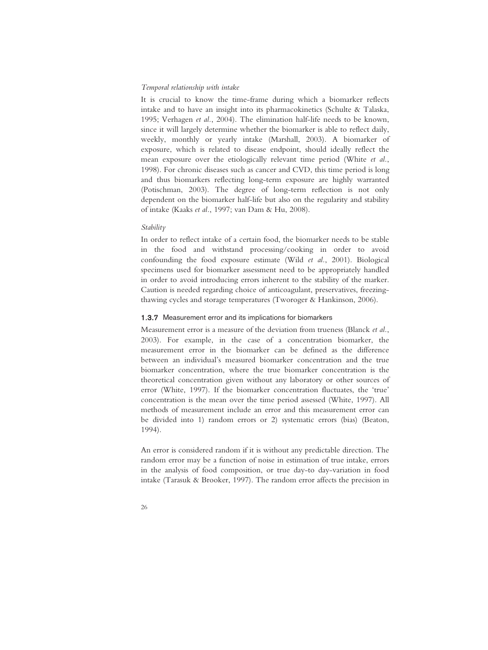#### *Temporal relationship with intake*

It is crucial to know the time-frame during which a biomarker reflects intake and to have an insight into its pharmacokinetics (Schulte & Talaska, 1995; Verhagen *et al.*, 2004). The elimination half-life needs to be known, since it will largely determine whether the biomarker is able to reflect daily, weekly, monthly or yearly intake (Marshall, 2003). A biomarker of exposure, which is related to disease endpoint, should ideally reflect the mean exposure over the etiologically relevant time period (White *et al.*, 1998). For chronic diseases such as cancer and CVD, this time period is long and thus biomarkers reflecting long-term exposure are highly warranted (Potischman, 2003). The degree of long-term reflection is not only dependent on the biomarker half-life but also on the regularity and stability of intake (Kaaks *et al.*, 1997; van Dam & Hu, 2008).

## *Stability*

In order to reflect intake of a certain food, the biomarker needs to be stable in the food and withstand processing/cooking in order to avoid confounding the food exposure estimate (Wild *et al.*, 2001). Biological specimens used for biomarker assessment need to be appropriately handled in order to avoid introducing errors inherent to the stability of the marker. Caution is needed regarding choice of anticoagulant, preservatives, freezingthawing cycles and storage temperatures (Tworoger & Hankinson, 2006).

# 1.3.7 Measurement error and its implications for biomarkers

Measurement error is a measure of the deviation from trueness (Blanck *et al.*, 2003). For example, in the case of a concentration biomarker, the measurement error in the biomarker can be defined as the difference between an individual's measured biomarker concentration and the true biomarker concentration, where the true biomarker concentration is the theoretical concentration given without any laboratory or other sources of error (White, 1997). If the biomarker concentration fluctuates, the 'true' concentration is the mean over the time period assessed (White, 1997). All methods of measurement include an error and this measurement error can be divided into 1) random errors or 2) systematic errors (bias) (Beaton, 1994).

An error is considered random if it is without any predictable direction. The random error may be a function of noise in estimation of true intake, errors in the analysis of food composition, or true day-to day-variation in food intake (Tarasuk & Brooker, 1997). The random error affects the precision in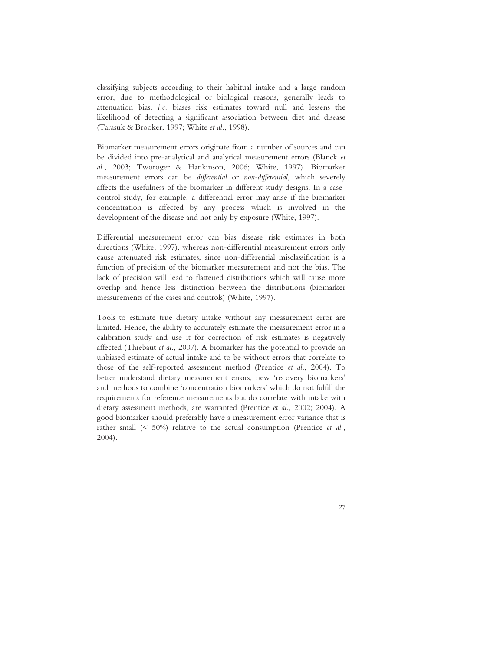classifying subjects according to their habitual intake and a large random error, due to methodological or biological reasons, generally leads to attenuation bias, *i.e.* biases risk estimates toward null and lessens the likelihood of detecting a significant association between diet and disease (Tarasuk & Brooker, 1997; White *et al.*, 1998).

Biomarker measurement errors originate from a number of sources and can be divided into pre-analytical and analytical measurement errors (Blanck *et al.*, 2003; Tworoger & Hankinson, 2006; White, 1997). Biomarker measurement errors can be *differential* or *non-differential*, which severely affects the usefulness of the biomarker in different study designs. In a casecontrol study, for example, a differential error may arise if the biomarker concentration is affected by any process which is involved in the development of the disease and not only by exposure (White, 1997).

Differential measurement error can bias disease risk estimates in both directions (White, 1997), whereas non-differential measurement errors only cause attenuated risk estimates, since non-differential misclassification is a function of precision of the biomarker measurement and not the bias. The lack of precision will lead to flattened distributions which will cause more overlap and hence less distinction between the distributions (biomarker measurements of the cases and controls) (White, 1997).

Tools to estimate true dietary intake without any measurement error are limited. Hence, the ability to accurately estimate the measurement error in a calibration study and use it for correction of risk estimates is negatively affected (Thiebaut *et al.*, 2007). A biomarker has the potential to provide an unbiased estimate of actual intake and to be without errors that correlate to those of the self-reported assessment method (Prentice *et al.*, 2004). To better understand dietary measurement errors, new 'recovery biomarkers' and methods to combine 'concentration biomarkers' which do not fulfill the requirements for reference measurements but do correlate with intake with dietary assessment methods, are warranted (Prentice *et al.*, 2002; 2004). A good biomarker should preferably have a measurement error variance that is rather small (< 50%) relative to the actual consumption (Prentice *et al.*, 2004).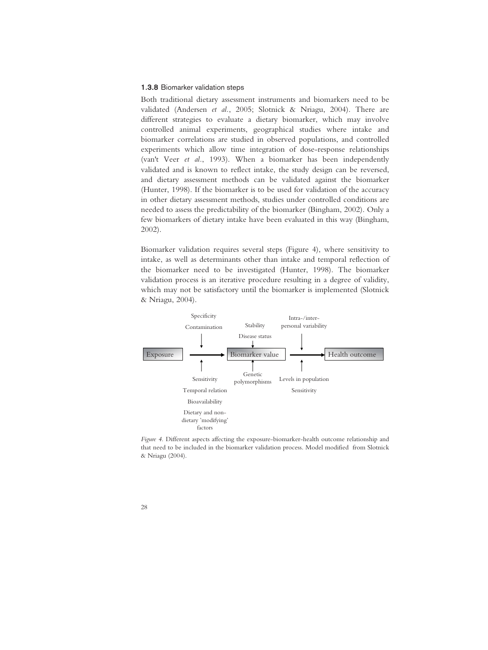#### 1.3.8 Biomarker validation steps

Both traditional dietary assessment instruments and biomarkers need to be validated (Andersen *et al.*, 2005; Slotnick & Nriagu, 2004). There are different strategies to evaluate a dietary biomarker, which may involve controlled animal experiments, geographical studies where intake and biomarker correlations are studied in observed populations, and controlled experiments which allow time integration of dose-response relationships (van't Veer *et al.*, 1993). When a biomarker has been independently validated and is known to reflect intake, the study design can be reversed, and dietary assessment methods can be validated against the biomarker (Hunter, 1998). If the biomarker is to be used for validation of the accuracy in other dietary assessment methods, studies under controlled conditions are needed to assess the predictability of the biomarker (Bingham, 2002). Only a few biomarkers of dietary intake have been evaluated in this way (Bingham, 2002).

Biomarker validation requires several steps (Figure 4), where sensitivity to intake, as well as determinants other than intake and temporal reflection of the biomarker need to be investigated (Hunter, 1998). The biomarker validation process is an iterative procedure resulting in a degree of validity, which may not be satisfactory until the biomarker is implemented (Slotnick & Nriagu, 2004).



*Figure 4.* Different aspects affecting the exposure-biomarker-health outcome relationship and that need to be included in the biomarker validation process. Model modified from Slotnick & Nriagu (2004).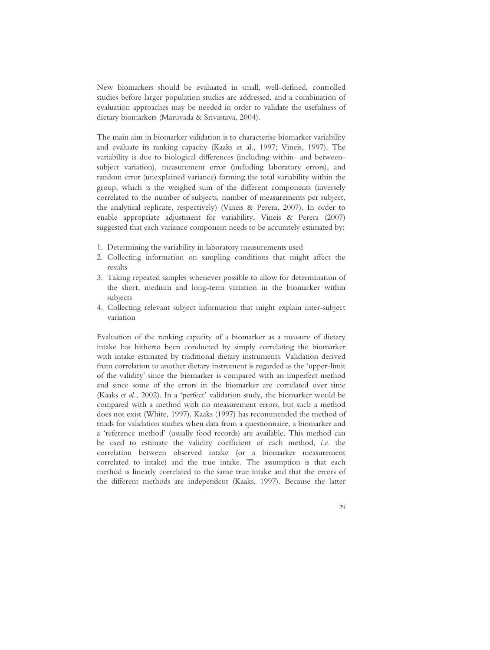New biomarkers should be evaluated in small, well-defined, controlled studies before larger population studies are addressed, and a combination of evaluation approaches may be needed in order to validate the usefulness of dietary biomarkers (Maruvada & Srivastava, 2004).

The main aim in biomarker validation is to characterise biomarker variability and evaluate its ranking capacity (Kaaks et al., 1997; Vineis, 1997). The variability is due to biological differences (including within- and betweensubject variation), measurement error (including laboratory errors), and random error (unexplained variance) forming the total variability within the group, which is the weighed sum of the different components (inversely correlated to the number of subjects, number of measurements per subject, the analytical replicate, respectively) (Vineis & Perera, 2007). In order to enable appropriate adjustment for variability, Vineis & Perera (2007) suggested that each variance component needs to be accurately estimated by:

- 1. Determining the variability in laboratory measurements used
- 2. Collecting information on sampling conditions that might affect the results
- 3. Taking repeated samples whenever possible to allow for determination of the short, medium and long-term variation in the biomarker within subjects
- 4. Collecting relevant subject information that might explain inter-subject variation

Evaluation of the ranking capacity of a biomarker as a measure of dietary intake has hitherto been conducted by simply correlating the biomarker with intake estimated by traditional dietary instruments. Validation derived from correlation to another dietary instrument is regarded as the 'upper-limit of the validity' since the biomarker is compared with an imperfect method and since some of the errors in the biomarker are correlated over time (Kaaks *et al.*, 2002). In a 'perfect' validation study, the biomarker would be compared with a method with no measurement errors, but such a method does not exist (White, 1997). Kaaks (1997) has recommended the method of triads for validation studies when data from a questionnaire, a biomarker and a 'reference method' (usually food records) are available. This method can be used to estimate the validity coefficient of each method, *i.e*. the correlation between observed intake (or a biomarker measurement correlated to intake) and the true intake. The assumption is that each method is linearly correlated to the same true intake and that the errors of the different methods are independent (Kaaks, 1997). Because the latter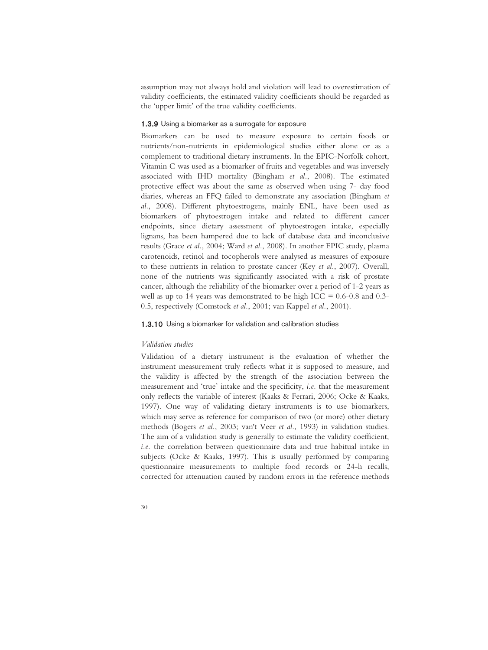assumption may not always hold and violation will lead to overestimation of validity coefficients, the estimated validity coefficients should be regarded as the 'upper limit' of the true validity coefficients.

#### 1.3.9 Using a biomarker as a surrogate for exposure

Biomarkers can be used to measure exposure to certain foods or nutrients/non-nutrients in epidemiological studies either alone or as a complement to traditional dietary instruments. In the EPIC-Norfolk cohort, Vitamin C was used as a biomarker of fruits and vegetables and was inversely associated with IHD mortality (Bingham *et al.*, 2008). The estimated protective effect was about the same as observed when using 7- day food diaries, whereas an FFQ failed to demonstrate any association (Bingham *et al.*, 2008). Different phytoestrogens, mainly ENL, have been used as biomarkers of phytoestrogen intake and related to different cancer endpoints, since dietary assessment of phytoestrogen intake, especially lignans, has been hampered due to lack of database data and inconclusive results (Grace *et al.*, 2004; Ward *et al.*, 2008). In another EPIC study, plasma carotenoids, retinol and tocopherols were analysed as measures of exposure to these nutrients in relation to prostate cancer (Key *et al.*, 2007). Overall, none of the nutrients was significantly associated with a risk of prostate cancer, although the reliability of the biomarker over a period of 1-2 years as well as up to 14 years was demonstrated to be high ICC =  $0.6-0.8$  and  $0.3-$ 0.5, respectively (Comstock *et al.*, 2001; van Kappel *et al.*, 2001).

## 1.3.10 Using a biomarker for validation and calibration studies

#### *Validation studies*

Validation of a dietary instrument is the evaluation of whether the instrument measurement truly reflects what it is supposed to measure, and the validity is affected by the strength of the association between the measurement and 'true' intake and the specificity, *i.e.* that the measurement only reflects the variable of interest (Kaaks & Ferrari, 2006; Ocke & Kaaks, 1997). One way of validating dietary instruments is to use biomarkers, which may serve as reference for comparison of two (or more) other dietary methods (Bogers *et al.*, 2003; van't Veer *et al.*, 1993) in validation studies. The aim of a validation study is generally to estimate the validity coefficient, *i.e.* the correlation between questionnaire data and true habitual intake in subjects (Ocke & Kaaks, 1997). This is usually performed by comparing questionnaire measurements to multiple food records or 24-h recalls, corrected for attenuation caused by random errors in the reference methods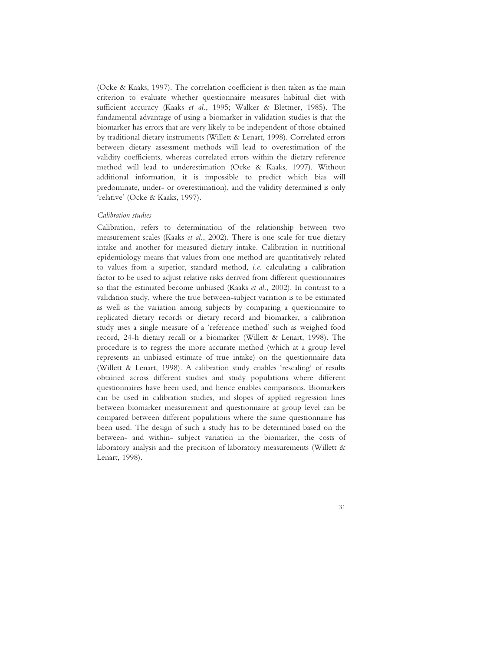(Ocke & Kaaks, 1997). The correlation coefficient is then taken as the main criterion to evaluate whether questionnaire measures habitual diet with sufficient accuracy (Kaaks *et al.*, 1995; Walker & Blettner, 1985). The fundamental advantage of using a biomarker in validation studies is that the biomarker has errors that are very likely to be independent of those obtained by traditional dietary instruments (Willett & Lenart, 1998). Correlated errors between dietary assessment methods will lead to overestimation of the validity coefficients, whereas correlated errors within the dietary reference method will lead to underestimation (Ocke & Kaaks, 1997). Without additional information, it is impossible to predict which bias will predominate, under- or overestimation), and the validity determined is only 'relative' (Ocke & Kaaks, 1997).

# *Calibration studies*

Calibration, refers to determination of the relationship between two measurement scales (Kaaks *et al.*, 2002). There is one scale for true dietary intake and another for measured dietary intake. Calibration in nutritional epidemiology means that values from one method are quantitatively related to values from a superior, standard method, *i.e*. calculating a calibration factor to be used to adjust relative risks derived from different questionnaires so that the estimated become unbiased (Kaaks *et al.*, 2002). In contrast to a validation study, where the true between-subject variation is to be estimated as well as the variation among subjects by comparing a questionnaire to replicated dietary records or dietary record and biomarker, a calibration study uses a single measure of a 'reference method' such as weighed food record, 24-h dietary recall or a biomarker (Willett & Lenart, 1998). The procedure is to regress the more accurate method (which at a group level represents an unbiased estimate of true intake) on the questionnaire data (Willett & Lenart, 1998). A calibration study enables 'rescaling' of results obtained across different studies and study populations where different questionnaires have been used, and hence enables comparisons. Biomarkers can be used in calibration studies, and slopes of applied regression lines between biomarker measurement and questionnaire at group level can be compared between different populations where the same questionnaire has been used. The design of such a study has to be determined based on the between- and within- subject variation in the biomarker, the costs of laboratory analysis and the precision of laboratory measurements (Willett & Lenart, 1998).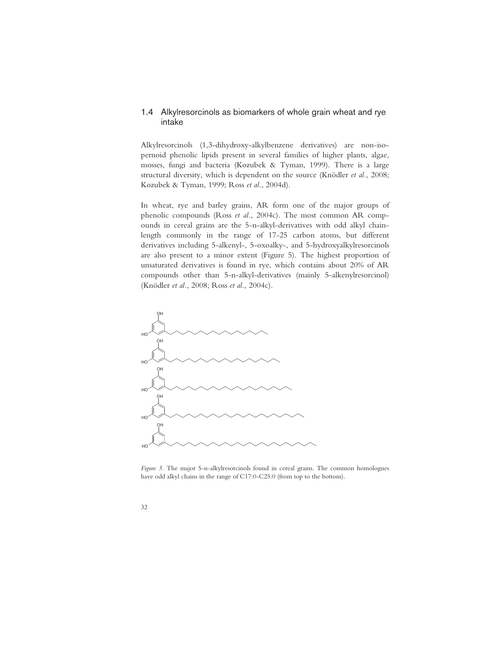# 1.4 Alkylresorcinols as biomarkers of whole grain wheat and rye intake

Alkylresorcinols (1,3-dihydroxy-alkylbenzene derivatives) are non-isopernoid phenolic lipids present in several families of higher plants, algae, mosses, fungi and bacteria (Kozubek & Tyman, 1999). There is a large structural diversity, which is dependent on the source (Knödler *et al.*, 2008; Kozubek & Tyman, 1999; Ross *et al.*, 2004d).

In wheat, rye and barley grains, AR form one of the major groups of phenolic compounds (Ross *et al.*, 2004c). The most common AR compounds in cereal grains are the 5-n-alkyl-derivatives with odd alkyl chainlength commonly in the range of 17-25 carbon atoms, but different derivatives including 5-alkenyl-, 5-oxoalky-, and 5-hydroxyalkylresorcinols are also present to a minor extent (Figure 5). The highest proportion of unsaturated derivatives is found in rye, which contains about 20% of AR compounds other than 5-n-alkyl-derivatives (mainly 5-alkenylresorcinol) (Knödler *et al.*, 2008; Ross *et al.*, 2004c).



*Figure 5*. The major 5-n-alkylresorcinols found in cereal grains. The common homologues have odd alkyl chains in the range of C17:0-C25:0 (from top to the bottom).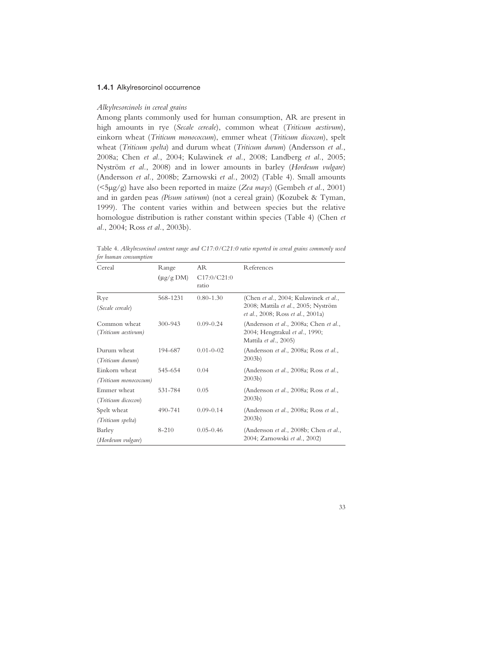#### 1.4.1 Alkylresorcinol occurrence

#### *Alkylresorcinols in cereal grains*

Among plants commonly used for human consumption, AR are present in high amounts in rye (*Secale cereale*), common wheat (*Triticum aestivum*), einkorn wheat (*Triticum monococcum*), emmer wheat (*Triticum dicoccon*), spelt wheat (*Triticum spelta*) and durum wheat (*Triticum durum*) (Andersson *et al.*, 2008a; Chen *et al.*, 2004; Kulawinek *et al.*, 2008; Landberg *et al.*, 2005; Nyström *et al.*, 2008) and in lower amounts in barley (*Hordeum vulgare*) (Andersson *et al.*, 2008b; Zarnowski *et al.*, 2002) (Table 4). Small amounts (<5μg/g) have also been reported in maize (*Zea mays*) (Gembeh *et al.*, 2001) and in garden peas *(Pisum sativum*) (not a cereal grain) (Kozubek & Tyman, 1999). The content varies within and between species but the relative homologue distribution is rather constant within species (Table 4) (Chen *et al.*, 2004; Ross *et al.*, 2003b).

| jei namiani censamipuon |                        |                 |                                                                          |
|-------------------------|------------------------|-----------------|--------------------------------------------------------------------------|
| Cereal                  | Range                  | AR              | References                                                               |
|                         | $(\mu g/g \text{ DM})$ | C17:0/C21:0     |                                                                          |
|                         |                        | ratio           |                                                                          |
| Rye                     | 568-1231               | $0.80 - 1.30$   | (Chen et al., 2004; Kulawinek et al.,                                    |
| (Secale cereale)        |                        |                 | 2008; Mattila et al., 2005; Nyström<br>et al., 2008; Ross et al., 2001a) |
| Common wheat            | $300 - 943$            | $0.09 - 0.24$   | (Andersson et al., 2008a; Chen et al.,                                   |
| (Triticum aestivum)     |                        |                 | 2004; Hengtrakul et al., 1990;                                           |
|                         |                        |                 | Mattila et al., 2005)                                                    |
| Durum wheat             | 194-687                | $0.01 - 0 - 02$ | (Andersson et al., 2008a; Ross et al.,                                   |
| (Triticum durum)        |                        |                 | $2003b$ )                                                                |
| Einkorn wheat           | 545-654                | 0.04            | (Andersson et al., 2008a; Ross et al.,                                   |
| (Triticum monococcum)   |                        |                 | 2003 <sub>b</sub>                                                        |
| Emmer wheat             | 531-784                | 0.05            | (Andersson et al., 2008a; Ross et al.,                                   |
| (Triticum dicoccon)     |                        |                 | 2003 <sub>b</sub>                                                        |
| Spelt wheat             | 490-741                | $0.09 - 0.14$   | (Andersson et al., 2008a; Ross et al.,                                   |
| (Triticum spelta)       |                        |                 | $2003b$ )                                                                |
| Barley                  | $8 - 210$              | $0.05 - 0.46$   | (Andersson et al., 2008b; Chen et al.,                                   |
| (Hordeum vulgare)       |                        |                 | 2004; Zarnowski et al., 2002)                                            |

Table 4. *Alkylresorcinol content range and C17:0/C21:0 ratio reported in cereal grains commonly used for human consumption*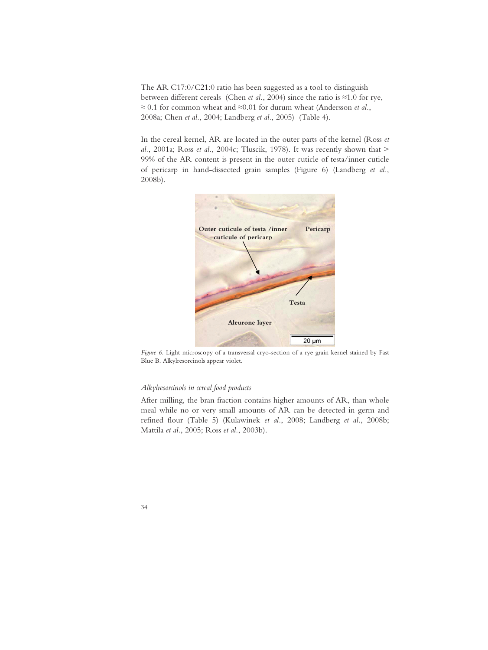The AR C17:0/C21:0 ratio has been suggested as a tool to distinguish between different cereals (Chen *et al.*, 2004) since the ratio is  $\approx 1.0$  for rye,  $\approx$  0.1 for common wheat and  $\approx$  0.01 for durum wheat (Andersson *et al.*, 2008a; Chen *et al.*, 2004; Landberg *et al.*, 2005) (Table 4).

In the cereal kernel, AR are located in the outer parts of the kernel (Ross *et al.*, 2001a; Ross *et al.*, 2004c; Tluscik, 1978). It was recently shown that > 99% of the AR content is present in the outer cuticle of testa/inner cuticle of pericarp in hand-dissected grain samples (Figure 6) (Landberg *et al.*, 2008b).



*Figure 6.* Light microscopy of a transversal cryo-section of a rye grain kernel stained by Fast Blue B. Alkylresorcinols appear violet.

#### *Alkylresorcinols in cereal food products*

After milling, the bran fraction contains higher amounts of AR, than whole meal while no or very small amounts of AR can be detected in germ and refined flour (Table 5) (Kulawinek *et al.*, 2008; Landberg *et al.*, 2008b; Mattila *et al.*, 2005; Ross *et al.*, 2003b).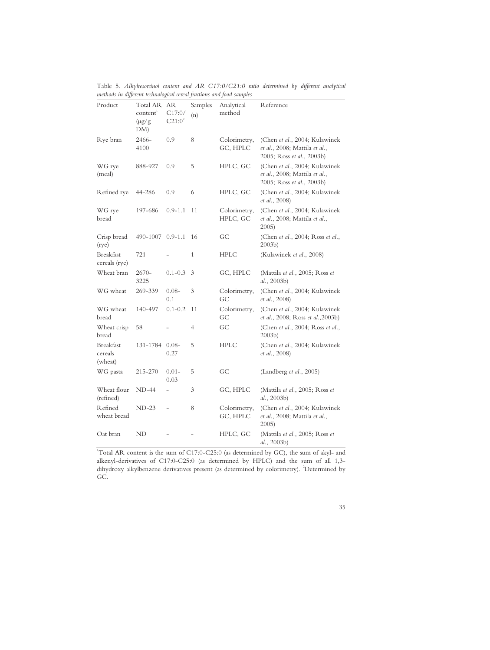| Product                                | <b>Total AR</b><br>content <sup>1</sup><br>$(\mu g/g)$<br>DM) | <b>AR</b><br>C17:0/<br>$C21:0^2$ | Samples<br>(n) | Analytical<br>method     | Reference                                                                                   |
|----------------------------------------|---------------------------------------------------------------|----------------------------------|----------------|--------------------------|---------------------------------------------------------------------------------------------|
| Rye bran                               | 2466-<br>4100                                                 | 0.9                              | 8              | Colorimetry,<br>GC, HPLC | (Chen et al., 2004; Kulawinek<br>et al., 2008; Mattila et al.,<br>2005; Ross et al., 2003b) |
| WG rye<br>(meal)                       | 888-927                                                       | 0.9                              | 5              | HPLC, GC                 | (Chen et al., 2004; Kulawinek<br>et al., 2008; Mattila et al.,<br>2005; Ross et al., 2003b) |
| Refined rye                            | 44-286                                                        | 0.9                              | 6              | HPLC, GC                 | (Chen et al., 2004; Kulawinek<br>et al., 2008)                                              |
| WG rye<br>bread                        | 197-686                                                       | $0.9 - 1.1$                      | 11             | Colorimetry,<br>HPLC, GC | (Chen et al., 2004; Kulawinek<br>et al., 2008; Mattila et al.,<br>2005                      |
| Crisp bread<br>(rye)                   | 490-1007 0.9-1.1                                              |                                  | 16             | GС                       | (Chen et al., 2004; Ross et al.,<br>$2003b$ )                                               |
| <b>Breakfast</b><br>cereals (rye)      | 721                                                           |                                  | $\mathbf{1}$   | <b>HPLC</b>              | (Kulawinek et al., 2008)                                                                    |
| Wheat bran                             | $2670-$<br>3225                                               | $0.1 - 0.3$                      | 3              | GC, HPLC                 | (Mattila et al., 2005; Ross et<br>al., 2003b)                                               |
| WG wheat                               | 269-339                                                       | $0.08 -$<br>0.1                  | 3              | Colorimetry,<br>GC       | (Chen et al., 2004; Kulawinek<br>et al., 2008)                                              |
| WG wheat<br>bread                      | 140-497                                                       | $0.1 - 0.2$                      | 11             | Colorimetry,<br>GС       | (Chen et al., 2004; Kulawinek<br>et al., 2008; Ross et al., 2003b)                          |
| Wheat crisp<br>bread                   | 58                                                            |                                  | 4              | GC                       | (Chen et al., 2004; Ross et al.,<br>2003 <sub>b</sub>                                       |
| <b>Breakfast</b><br>cereals<br>(wheat) | 131-1784                                                      | $0.08 -$<br>0.27                 | 5              | <b>HPLC</b>              | (Chen et al., 2004; Kulawinek<br><i>et al.</i> , 2008)                                      |
| WG pasta                               | 215-270                                                       | $0.01 -$<br>0.03                 | 5              | GC                       | (Landberg <i>et al.</i> , 2005)                                                             |
| Wheat flour<br>(refined)               | $ND-44$                                                       |                                  | 3              | GC, HPLC                 | (Mattila et al., 2005; Ross et<br>al., 2003b)                                               |
| Refined<br>wheat bread                 | $ND-23$                                                       |                                  | 8              | Colorimetry,<br>GC, HPLC | (Chen et al., 2004; Kulawinek<br>et al., 2008; Mattila et al.,<br>2005)                     |
| Oat bran                               | ND                                                            |                                  |                | HPLC, GC                 | (Mattila et al., 2005; Ross et<br>al., 2003b)                                               |

Table 5*. Alkylresorcinol content and AR C17:0/C21:0 ratio determined by different analytical methods in different technological cereal fractions and food samples* 

1 Total AR content is the sum of C17:0-C25:0 (as determined by GC), the sum of akyl- and alkenyl-derivatives of C17:0-C25:0 (as determined by HPLC) and the sum of all 1,3 dihydroxy alkylbenzene derivatives present (as determined by colorimetry). <sup>2</sup>Determined by GC.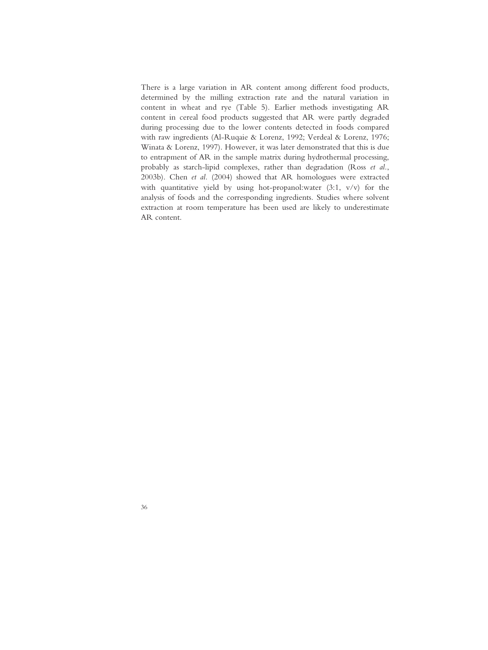There is a large variation in AR content among different food products, determined by the milling extraction rate and the natural variation in content in wheat and rye (Table 5). Earlier methods investigating AR content in cereal food products suggested that AR were partly degraded during processing due to the lower contents detected in foods compared with raw ingredients (Al-Ruqaie & Lorenz, 1992; Verdeal & Lorenz, 1976; Winata & Lorenz, 1997). However, it was later demonstrated that this is due to entrapment of AR in the sample matrix during hydrothermal processing, probably as starch-lipid complexes, rather than degradation (Ross *et al.*, 2003b). Chen *et al.* (2004) showed that AR homologues were extracted with quantitative yield by using hot-propanol:water  $(3:1, v/v)$  for the analysis of foods and the corresponding ingredients. Studies where solvent extraction at room temperature has been used are likely to underestimate AR content.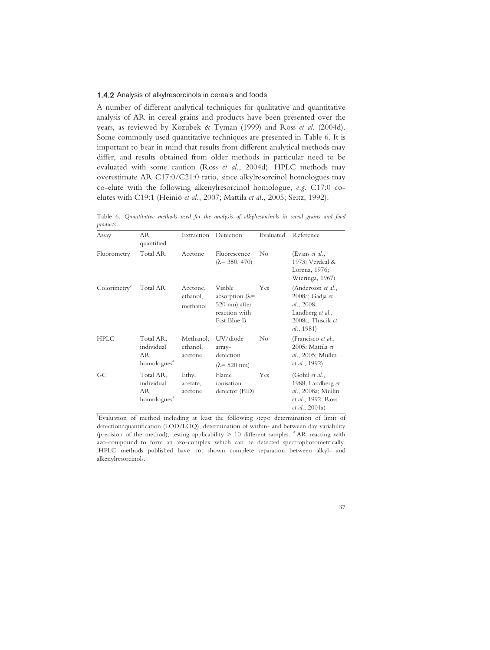## 1.4.2 Analysis of alkylresorcinols in cereals and foods

A number of different analytical techniques for qualitative and quantitative analysis of AR in cereal grains and products have been presented over the years, as reviewed by Kozubek & Tyman (1999) and Ross *et al*. (2004d). Some commonly used quantitative techniques are presented in Table 6. It is important to bear in mind that results from different analytical methods may differ, and results obtained from older methods in particular need to be evaluated with some caution (Ross *et al.*, 2004d). HPLC methods may overestimate AR C17:0/C21:0 ratio, since alkylresorcinol homologues may co-elute with the following alkenylresorcinol homologue, *e.g.* C17:0 coelutes with C19:1 (Heiniö *et al.*, 2007; Mattila *et al.*, 2005; Seitz, 1992).

Table 6*. Quantitative methods used for the analysis of alkylresorcinols in cereal grains and food products.* 

| Assay       | AR<br>quantified                                          | Extraction                       | Detection                                                                           |          | Evaluated Reference                                                                                           |
|-------------|-----------------------------------------------------------|----------------------------------|-------------------------------------------------------------------------------------|----------|---------------------------------------------------------------------------------------------------------------|
| Fluorometry | Total AR                                                  | Acetone                          | Fluorescence<br>$(\lambda = 350, 470)$                                              | $\rm No$ | (Evans et al.,<br>1973; Verdeal &<br>Lorenz, 1976;<br>Wieringa, 1967)                                         |
| Colorimetry | <b>Total AR</b>                                           | Acetone,<br>ethanol,<br>methanol | Visible<br>absorption $(\lambda =$<br>520 nm) after<br>reaction with<br>Fast Blue B | Yes      | (Andersson et al.,<br>2008a; Gadja et<br>al., $2008$ ;<br>Landberg et al.,<br>2008a; Tluscik et<br>al., 1981) |
| <b>HPLC</b> | Total AR,<br>individual<br>AR.<br>homologues <sup>3</sup> | Methanol,<br>ethanol,<br>acetone | UV/diode<br>array-<br>detection<br>$(\lambda = 520$ nm)                             | No       | (Francisco et al.,<br>2005; Mattila et<br>al., 2005; Mullin<br><i>et al.</i> , 1992)                          |
| GC          | Total AR,<br>individual<br>AR.<br>homologues              | Ethyl<br>acetate,<br>acetone     | Flame<br>ionisation<br>detector (FID)                                               | Yes      | (Gohil et al.,<br>1988; Landberg et<br>al., 2008a; Mullin<br>et al., 1992; Ross<br><i>et al.</i> , 2001a)     |

1 Evaluation of method including at least the following steps: determination of limit of detection/quantification (LOD/LOQ), determination of within- and between day variability (precision of the method), testing applicability  $> 10$  different samples.  $^{2}$  AR reacting with azo-compound to form an azo-complex which can be detected spectrophotometrically. <sup>3</sup>HPLC methods published have not shown complete separation between alkyl- and alkenylresorcinols.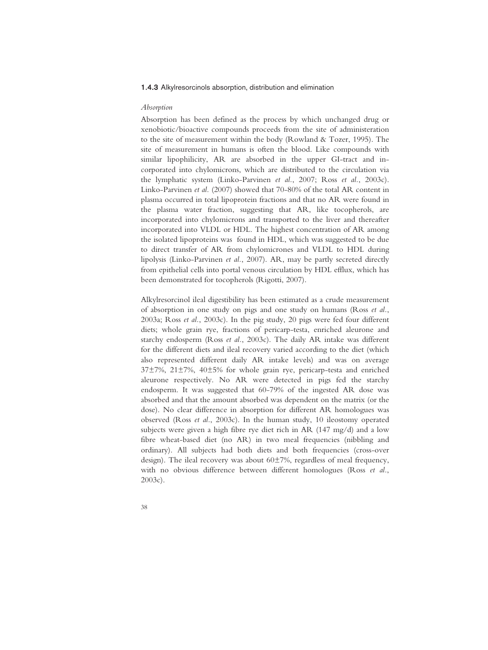#### 1.4.3 Alkylresorcinols absorption, distribution and elimination

#### *Absorption*

Absorption has been defined as the process by which unchanged drug or xenobiotic/bioactive compounds proceeds from the site of administeration to the site of measurement within the body (Rowland & Tozer, 1995). The site of measurement in humans is often the blood. Like compounds with similar lipophilicity, AR are absorbed in the upper GI-tract and incorporated into chylomicrons, which are distributed to the circulation via the lymphatic system (Linko-Parvinen *et al.*, 2007; Ross *et al.*, 2003c). Linko-Parvinen *et al.* (2007) showed that 70-80% of the total AR content in plasma occurred in total lipoprotein fractions and that no AR were found in the plasma water fraction, suggesting that AR, like tocopherols, are incorporated into chylomicrons and transported to the liver and thereafter incorporated into VLDL or HDL. The highest concentration of AR among the isolated lipoproteins was found in HDL, which was suggested to be due to direct transfer of AR from chylomicrones and VLDL to HDL during lipolysis (Linko-Parvinen *et al.*, 2007). AR, may be partly secreted directly from epithelial cells into portal venous circulation by HDL efflux, which has been demonstrated for tocopherols (Rigotti, 2007).

Alkylresorcinol ileal digestibility has been estimated as a crude measurement of absorption in one study on pigs and one study on humans (Ross *et al.*, 2003a; Ross *et al.*, 2003c). In the pig study, 20 pigs were fed four different diets; whole grain rye, fractions of pericarp-testa, enriched aleurone and starchy endosperm (Ross *et al.*, 2003c). The daily AR intake was different for the different diets and ileal recovery varied according to the diet (which also represented different daily AR intake levels) and was on average 37±7%, 21±7%, 40±5% for whole grain rye, pericarp-testa and enriched aleurone respectively. No AR were detected in pigs fed the starchy endosperm. It was suggested that 60-79% of the ingested AR dose was absorbed and that the amount absorbed was dependent on the matrix (or the dose). No clear difference in absorption for different AR homologues was observed (Ross *et al.*, 2003c). In the human study, 10 ileostomy operated subjects were given a high fibre rye diet rich in AR (147 mg/d) and a low fibre wheat-based diet (no AR) in two meal frequencies (nibbling and ordinary). All subjects had both diets and both frequencies (cross-over design). The ileal recovery was about 60±7%, regardless of meal frequency, with no obvious difference between different homologues (Ross *et al.*, 2003c).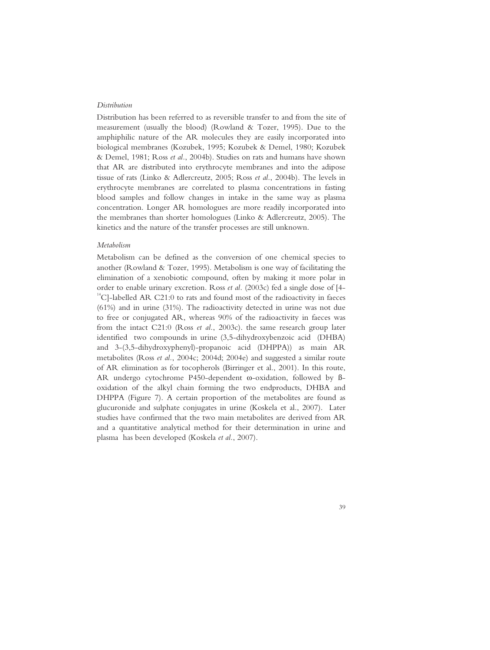## *Distribution*

Distribution has been referred to as reversible transfer to and from the site of measurement (usually the blood) (Rowland & Tozer, 1995). Due to the amphiphilic nature of the AR molecules they are easily incorporated into biological membranes (Kozubek, 1995; Kozubek & Demel, 1980; Kozubek & Demel, 1981; Ross *et al.*, 2004b). Studies on rats and humans have shown that AR are distributed into erythrocyte membranes and into the adipose tissue of rats (Linko & Adlercreutz, 2005; Ross *et al.*, 2004b). The levels in erythrocyte membranes are correlated to plasma concentrations in fasting blood samples and follow changes in intake in the same way as plasma concentration. Longer AR homologues are more readily incorporated into the membranes than shorter homologues (Linko & Adlercreutz, 2005). The kinetics and the nature of the transfer processes are still unknown.

### *Metabolism*

Metabolism can be defined as the conversion of one chemical species to another (Rowland & Tozer, 1995). Metabolism is one way of facilitating the elimination of a xenobiotic compound, often by making it more polar in order to enable urinary excretion. Ross *et al.* (2003c) fed a single dose of [4-  $14^{\circ}$ C]-labelled AR C21:0 to rats and found most of the radioactivity in faeces (61%) and in urine (31%). The radioactivity detected in urine was not due to free or conjugated AR, whereas 90% of the radioactivity in faeces was from the intact C21:0 (Ross *et al.*, 2003c). the same research group later identified two compounds in urine (3,5-dihydroxybenzoic acid (DHBA) and 3-(3,5-dihydroxyphenyl)-propanoic acid (DHPPA)) as main AR metabolites (Ross *et al.*, 2004c; 2004d; 2004e) and suggested a similar route of AR elimination as for tocopherols (Birringer et al., 2001). In this route, AR undergo cytochrome P450-dependent  $\omega$ -oxidation, followed by ßoxidation of the alkyl chain forming the two endproducts, DHBA and DHPPA (Figure 7). A certain proportion of the metabolites are found as glucuronide and sulphate conjugates in urine (Koskela et al., 2007). Later studies have confirmed that the two main metabolites are derived from AR and a quantitative analytical method for their determination in urine and plasma has been developed (Koskela *et al.*, 2007).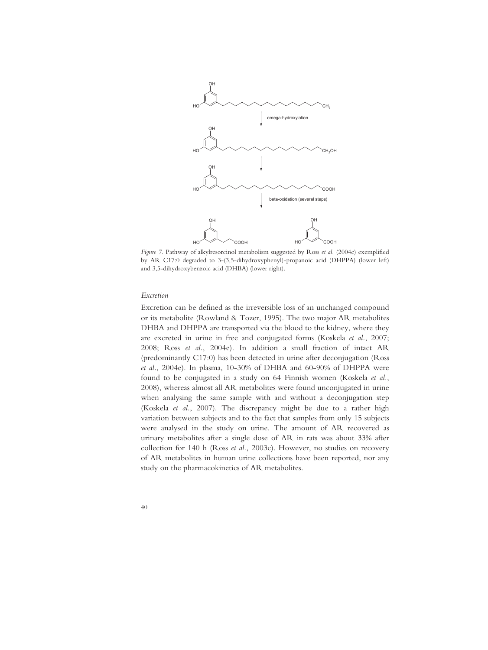

*Figure 7.* Pathway of alkylresorcinol metabolism suggested by Ross *et al.* (2004c) exemplified by AR C17:0 degraded to 3-(3,5-dihydroxyphenyl)-propanoic acid (DHPPA) (lower left) and 3,5-dihydroxybenzoic acid (DHBA) (lower right).

#### *Excretion*

Excretion can be defined as the irreversible loss of an unchanged compound or its metabolite (Rowland & Tozer, 1995). The two major AR metabolites DHBA and DHPPA are transported via the blood to the kidney, where they are excreted in urine in free and conjugated forms (Koskela *et al.*, 2007; 2008; Ross *et al.*, 2004e). In addition a small fraction of intact AR (predominantly C17:0) has been detected in urine after deconjugation (Ross *et al.*, 2004e). In plasma, 10-30% of DHBA and 60-90% of DHPPA were found to be conjugated in a study on 64 Finnish women (Koskela *et al.*, 2008), whereas almost all AR metabolites were found unconjugated in urine when analysing the same sample with and without a deconjugation step (Koskela *et al.*, 2007). The discrepancy might be due to a rather high variation between subjects and to the fact that samples from only 15 subjects were analysed in the study on urine. The amount of AR recovered as urinary metabolites after a single dose of AR in rats was about 33% after collection for 140 h (Ross *et al.*, 2003c). However, no studies on recovery of AR metabolites in human urine collections have been reported, nor any study on the pharmacokinetics of AR metabolites.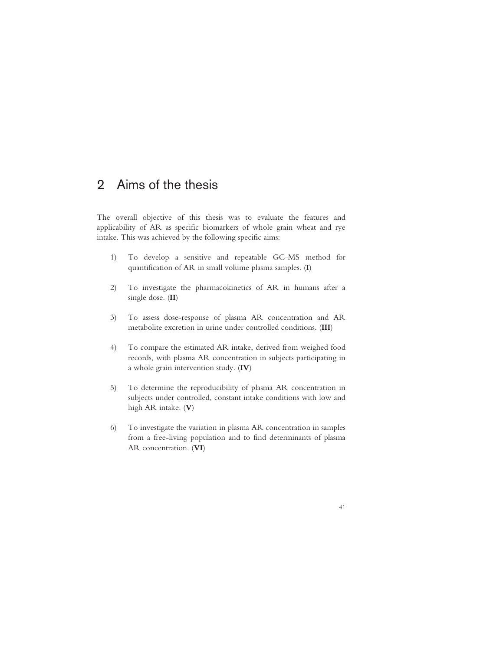# 2 Aims of the thesis

The overall objective of this thesis was to evaluate the features and applicability of AR as specific biomarkers of whole grain wheat and rye intake. This was achieved by the following specific aims:

- 1) To develop a sensitive and repeatable GC-MS method for quantification of AR in small volume plasma samples. (**I**)
- 2) To investigate the pharmacokinetics of AR in humans after a single dose. (**II**)
- 3) To assess dose-response of plasma AR concentration and AR metabolite excretion in urine under controlled conditions. (**III**)
- 4) To compare the estimated AR intake, derived from weighed food records, with plasma AR concentration in subjects participating in a whole grain intervention study. (**IV**)
- 5) To determine the reproducibility of plasma AR concentration in subjects under controlled, constant intake conditions with low and high AR intake. (**V**)
- 6) To investigate the variation in plasma AR concentration in samples from a free-living population and to find determinants of plasma AR concentration. (**VI**)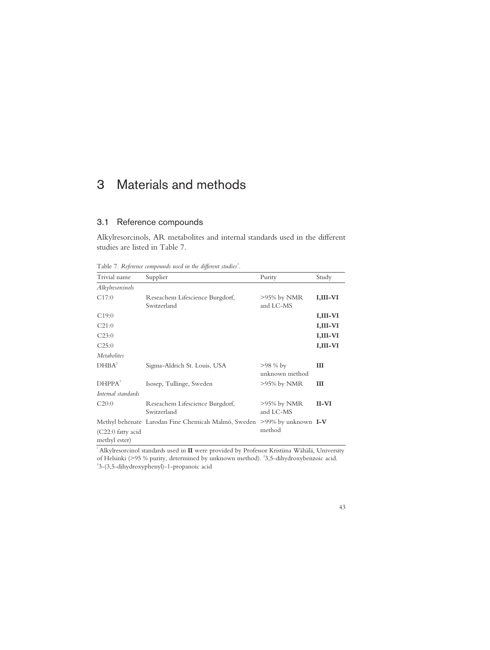# 3 Materials and methods

# 3.1 Reference compounds

Alkylresorcinols, AR metabolites and internal standards used in the different studies are listed in Table 7.

Table 7. Reference compounds used in the different studies<sup>1</sup>.

| Trivial name                       | Supplier                                             | Purity                           | Study    |
|------------------------------------|------------------------------------------------------|----------------------------------|----------|
| Alkylresorcinols                   |                                                      |                                  |          |
| C17:0                              | Reseachem Lifescience Burgdorf,<br>Switzerland       | $>95\%$ by NMR<br>and LC-MS      | I,III-VI |
| C19:0                              |                                                      |                                  | I,III-VI |
| C21:0                              |                                                      |                                  | I,III-VI |
| C23:0                              |                                                      |                                  | I,III-VI |
| C25:0                              |                                                      |                                  | I,III-VI |
| <i>Metabolites</i>                 |                                                      |                                  |          |
| DHBA <sup>2</sup>                  | Sigma-Aldrich St. Louis, USA                         | $>98\%$ by<br>unknown method     | Ш        |
| DHPPA <sup>3</sup>                 | Isosep, Tullinge, Sweden                             | $>95\%$ by NMR                   | Ш        |
| Internal standards                 |                                                      |                                  |          |
| C20:0                              | Reseachem Lifescience Burgdorf,<br>Switzerland       | $>95\%$ by NMR<br>and LC-MS      | II-VI    |
| (C22:0 fatty acid<br>methyl ester) | Methyl behenate Larodan Fine Chemicals Malmö, Sweden | $>99\%$ by unknown I-V<br>method |          |

<sup>1</sup> Alkylresorcinol standards used in **II** were provided by Professor Kristiina Wähälä, University of Helsinki (>95 % purity, determined by unknown method). <sup>2</sup>3,5-dihydroxybenzoic acid. 3-(3,5-dihydroxyphenyl)-1-propanoic acid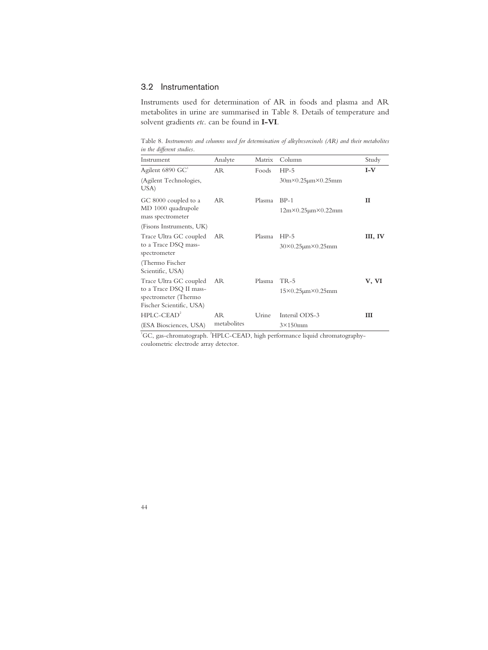# 3.2 Instrumentation

Instruments used for determination of AR in foods and plasma and AR metabolites in urine are summarised in Table 8. Details of temperature and solvent gradients *etc.* can be found in **I-VI**.

Table 8. *Instruments and columns used for determination of alkylresorcinols (AR) and their metabolites in the different studies.*   $\overline{\phantom{a}}$ 

| Instrument                                        | Analyte     | Matrix | Column                                    | Study   |
|---------------------------------------------------|-------------|--------|-------------------------------------------|---------|
| Agilent 6890 GC <sup>1</sup>                      | AR.         | Foods  | $HP-5$                                    | $I-V$   |
| (Agilent Technologies,<br>USA)                    |             |        | $30m \times 0.25 \mu m \times 0.25 \mu m$ |         |
| GC 8000 coupled to a                              | AR          | Plasma | $BP-1$                                    | п       |
| MD 1000 quadrupole<br>mass spectrometer           |             |        | $12m \times 0.25 \mu m \times 0.22 \mu m$ |         |
| (Fisons Instruments, UK)                          |             |        |                                           |         |
| Trace Ultra GC coupled                            | AR          | Plasma | $HP-5$                                    | III, IV |
| to a Trace DSQ mass-<br>spectrometer              |             |        | $30\times0.25$ µm $\times0.25$ mm         |         |
| (Thermo Fischer                                   |             |        |                                           |         |
| Scientific, USA)                                  |             |        |                                           |         |
| Trace Ultra GC coupled<br>to a Trace DSQ II mass- | AR.         | Plasma | $TR-5$                                    | V, VI   |
| spectrometer (Thermo                              |             |        | $15\times0.25 \mu m \times 0.25 \mu m$    |         |
| Fischer Scientific, USA)                          |             |        |                                           |         |
| $HPLC-CEAD2$                                      | AR          | Urine  | Intersil ODS-3                            | Ш       |
| (ESA Biosciences, USA)                            | metabolites |        | $3\times150$ mm                           |         |

<sup>1</sup>GC, gas-chromatograph. <sup>2</sup>HPLC-CEAD, high performance liquid chromatographycoulometric electrode array detector.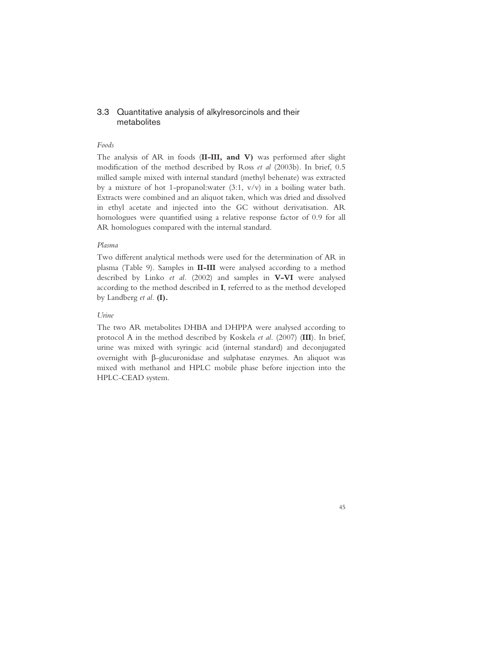# 3.3 Quantitative analysis of alkylresorcinols and their metabolites

#### *Foods*

The analysis of AR in foods (**II-III, and V)** was performed after slight modification of the method described by Ross *et al* (2003b). In brief, 0.5 milled sample mixed with internal standard (methyl behenate) was extracted by a mixture of hot 1-propanol:water  $(3:1, v/v)$  in a boiling water bath. Extracts were combined and an aliquot taken, which was dried and dissolved in ethyl acetate and injected into the GC without derivatisation. AR homologues were quantified using a relative response factor of 0.9 for all AR homologues compared with the internal standard.

#### *Plasma*

Two different analytical methods were used for the determination of AR in plasma (Table 9). Samples in **II-III** were analysed according to a method described by Linko *et al.* (2002) and samples in **V-VI** were analysed according to the method described in **I**, referred to as the method developed by Landberg *et al.* **(I).**

## *Urine*

The two AR metabolites DHBA and DHPPA were analysed according to protocol A in the method described by Koskela *et al.* (2007) (**III**). In brief, urine was mixed with syringic acid (internal standard) and deconjugated overnight with  $\beta$ -glucuronidase and sulphatase enzymes. An aliquot was mixed with methanol and HPLC mobile phase before injection into the HPLC-CEAD system.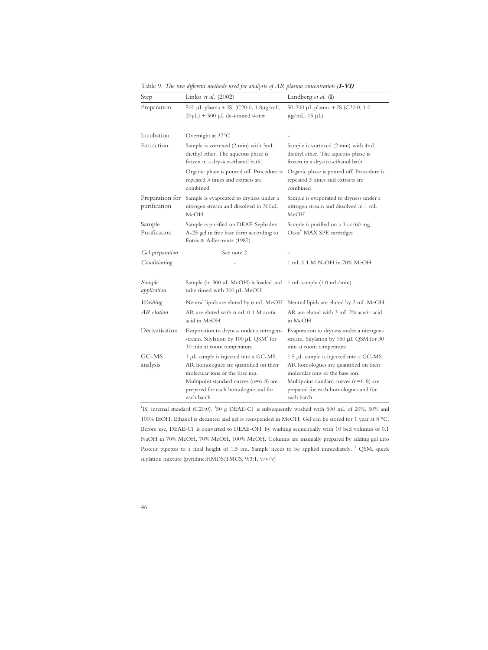| Step                            | Linko et al. (2002)                                                                                                                                                                                                | Landberg et al. (I)                                                                                                                                                                                                   |
|---------------------------------|--------------------------------------------------------------------------------------------------------------------------------------------------------------------------------------------------------------------|-----------------------------------------------------------------------------------------------------------------------------------------------------------------------------------------------------------------------|
| Preparation                     | 500 µL plasma + IS <sup>1</sup> (C20:0, 1.8µg/mL,<br>$20\mu L$ ) + 500 $\mu L$ de-ionised water                                                                                                                    | 50-200 μL plasma + IS (C20:0, 1.0<br>$\mu$ g/mL, 15 $\mu$ L)                                                                                                                                                          |
| Incubation                      | Overnight at 37°C                                                                                                                                                                                                  |                                                                                                                                                                                                                       |
| Extraction                      | Sample is vortexed (2 min) with 3mL<br>diethyl ether. The aqueous phase is<br>frozen in a dry-ice-ethanol bath.                                                                                                    | Sample is vortexed (2 min) with 4mL<br>diethyl ether. The aqueous phase is<br>frozen in a dry-ice-ethanol bath.                                                                                                       |
|                                 | Organic phase is poured off. Procedure is<br>repeated 3 times and extracts are<br>combined                                                                                                                         | Organic phase is poured off. Procedure is<br>repeated 3 times and extracts are<br>combined                                                                                                                            |
| Preparation for<br>purification | Sample is evaporated to dryness under a<br>nitrogen stream and dissolved in 300µL<br>MeOH                                                                                                                          | Sample is evaporated to dryness under a<br>nitrogen stream and dissolved in 1 mL<br>MeOH                                                                                                                              |
| Sample<br>Purification          | Sample is purified on DEAE-Sephadex<br>A-25 gel in free base form according to<br>Fotsis & Adlercreutz (1987)                                                                                                      | Sample is purified on a 3 cc/60 mg<br>Oasis <sup>®</sup> MAX SPE cartridges                                                                                                                                           |
| Gel preparation                 | See note 2                                                                                                                                                                                                         |                                                                                                                                                                                                                       |
| Conditioning                    |                                                                                                                                                                                                                    | 1 mL 0.1 M NaOH in 70% MeOH                                                                                                                                                                                           |
| Sample<br>application           | Sample (in 300 µL MeOH) is loaded and<br>tube rinsed with 300 µL MeOH                                                                                                                                              | 1 mL sample $(1.0 \text{ mL/min})$                                                                                                                                                                                    |
| Washing                         |                                                                                                                                                                                                                    | Neutral lipids are eluted by 6 mL MeOH Neutral lipids are eluted by 2 mL MeOH                                                                                                                                         |
| AR elution                      | AR are eluted with 6 mL 0.1 M acetic<br>acid in MeOH                                                                                                                                                               | AR are eluted with 3 mL 2% acetic acid<br>in MeOH                                                                                                                                                                     |
| Derivatisation                  | Evaporation to dryness under a nitrogen-<br>stream. Silylation by 100 µL QSM <sup>3</sup> for<br>30 min at room temperature                                                                                        | Evaporation to dryness under a nitrogen-<br>stream. Silylation by 150 µL QSM for 30<br>min at room temperature                                                                                                        |
| GC-MS<br>analysis               | 1 µL sample is injected into a GC-MS.<br>AR homologues are quantified on their<br>molecular ions or the base ion.<br>Multipoint standard curves $(n=6-8)$ are<br>prepared for each homologue and for<br>each batch | 1.5 µL sample is injected into a GC-MS.<br>AR homologues are quantified on their<br>molecular ions or the base ion.<br>Multipoint standard curves $(n=6-8)$ are<br>prepared for each homologues and for<br>each batch |

Table 9. *The two different methods used for analysis of AR plasma concentration (***I-VI)**

<sup>1</sup>IS, internal standard (C20:0). <sup>2</sup>50 g DEAE-Cl is subsequently washed with 500 mL of 20%, 50% and 100% EtOH. Ethanol is decanted and gel is resuspended in MeOH. Gel can be stored for 1 year at 8 °C. Before use, DEAE-CI is converted to DEAE-OH by washing sequentially with 10 bed volumes of 0.1 NaOH in 70% MeOH, 70% MeOH, 100% MeOH. Columns are manually prepared by adding gel into Pasteur pipettes to a final height of 1.5 cm. Sample needs to be applied immediately.<sup>3</sup> QSM, quick silylation mixture (pyridine:HMDS:TMCS, 9:3:1, v/v/v)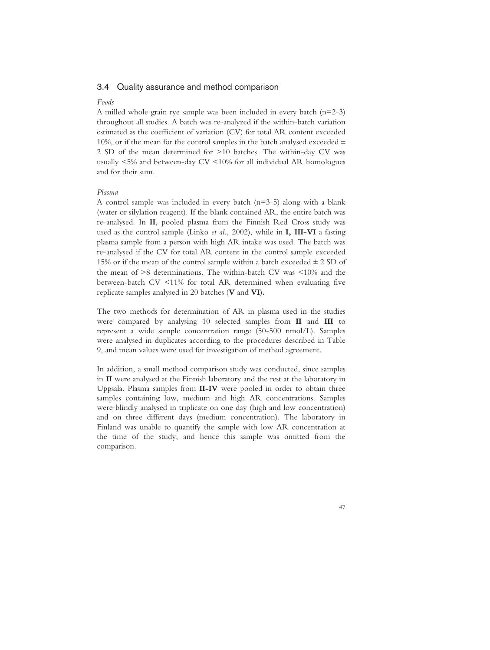# 3.4 Quality assurance and method comparison

#### *Foods*

A milled whole grain rye sample was been included in every batch  $(n=2-3)$ throughout all studies. A batch was re-analyzed if the within-batch variation estimated as the coefficient of variation (CV) for total AR content exceeded 10%, or if the mean for the control samples in the batch analysed exceeded  $\pm$ 2 SD of the mean determined for >10 batches. The within-day CV was usually <5% and between-day CV <10% for all individual AR homologues and for their sum.

#### *Plasma*

A control sample was included in every batch  $(n=3-5)$  along with a blank (water or silylation reagent). If the blank contained AR, the entire batch was re-analysed. In **II**, pooled plasma from the Finnish Red Cross study was used as the control sample (Linko *et al.*, 2002), while in **I, III-VI** a fasting plasma sample from a person with high AR intake was used. The batch was re-analysed if the CV for total AR content in the control sample exceeded 15% or if the mean of the control sample within a batch exceeded  $\pm$  2 SD of the mean of >8 determinations. The within-batch CV was <10% and the between-batch CV <11% for total AR determined when evaluating five replicate samples analysed in 20 batches (**V** and **VI**)**.**

The two methods for determination of AR in plasma used in the studies were compared by analysing 10 selected samples from **II** and **III** to represent a wide sample concentration range (50-500 nmol/L). Samples were analysed in duplicates according to the procedures described in Table 9, and mean values were used for investigation of method agreement.

In addition, a small method comparison study was conducted, since samples in **II** were analysed at the Finnish laboratory and the rest at the laboratory in Uppsala. Plasma samples from **II-IV** were pooled in order to obtain three samples containing low, medium and high AR concentrations. Samples were blindly analysed in triplicate on one day (high and low concentration) and on three different days (medium concentration). The laboratory in Finland was unable to quantify the sample with low AR concentration at the time of the study, and hence this sample was omitted from the comparison.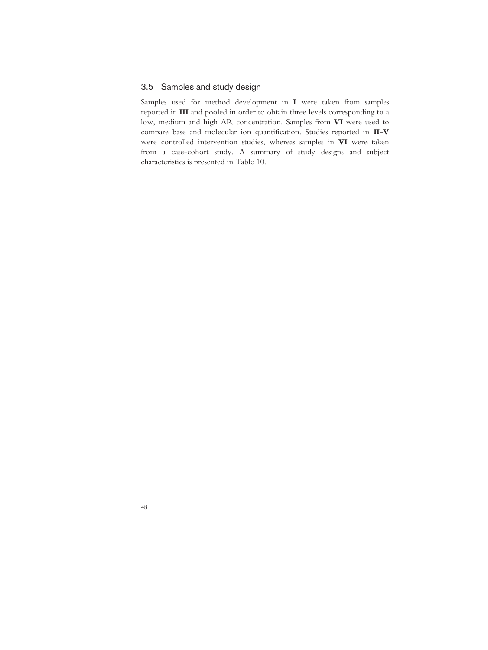# 3.5 Samples and study design

Samples used for method development in **I** were taken from samples reported in **III** and pooled in order to obtain three levels corresponding to a low, medium and high AR concentration. Samples from **VI** were used to compare base and molecular ion quantification. Studies reported in **II-V** were controlled intervention studies, whereas samples in **VI** were taken from a case-cohort study. A summary of study designs and subject characteristics is presented in Table 10.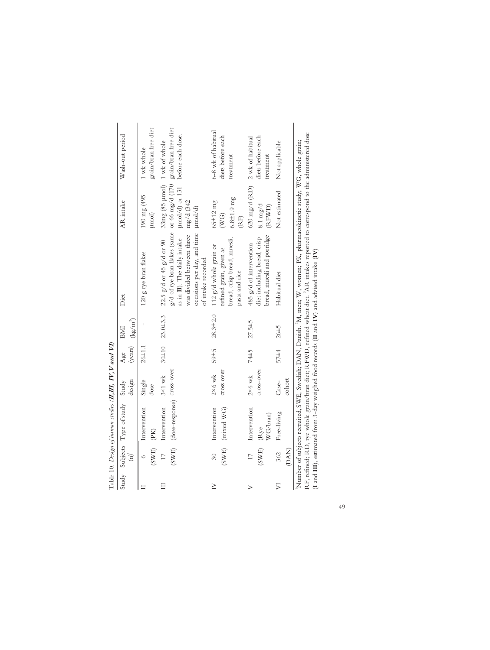|                            |                  | Table 10. Design of human studies ( <b>II,III, IV, V and VI</b> ) |                             |            |                           |                                                                                                                                                                                                                                                                                                                                                                                       |                                                                    |                                                                          |
|----------------------------|------------------|-------------------------------------------------------------------|-----------------------------|------------|---------------------------|---------------------------------------------------------------------------------------------------------------------------------------------------------------------------------------------------------------------------------------------------------------------------------------------------------------------------------------------------------------------------------------|--------------------------------------------------------------------|--------------------------------------------------------------------------|
|                            | $\binom{n}{2}$   | Study Subjects Type of study Study                                | design                      | Age        | (years) $(kg/m^2)$<br>BMI | Diet                                                                                                                                                                                                                                                                                                                                                                                  | AR intake                                                          | Wash-out period                                                          |
|                            | (SWE)<br>$\circ$ | Intervention<br>(PK)                                              | Single<br>dose              | $26 + 1.1$ |                           | 120 g rye bran flakes                                                                                                                                                                                                                                                                                                                                                                 | 190 mg (495<br>$\mu$ mol $)$                                       | grain/bran free diet<br>1 wk whole                                       |
| $\equiv$                   | (SWE)<br>$\Box$  | (dose-response) cross-over<br>Intervention                        | $3 \times 1$ wk             | $30\pm 10$ | 23.0±3.3                  | g/d of rye bran flakes (same<br>occasions per day, and time<br>was divided between three<br>as in II). The daily intake<br>$22.5$ g/d or 45 g/d or 90<br>of intake recorded                                                                                                                                                                                                           | 33mg (85 µmol) 1 wk of whole<br>mg/d (342<br>$\mu$ mol/d $\lambda$ | or 66 mg/d (170 grain/bran free diet<br>umol/d) or 131 before each dose. |
| $\geq$                     | $\overline{30}$  | Intervention<br>$(SWE)$ (mixed $WG)$                              | cross over<br>$2\times6$ wk | 59±5       | $28.3 + 2.0$              | bread, crisp bread, muesli,<br>112 g/d whole grain or<br>refined grain, given as<br>pasta and rice                                                                                                                                                                                                                                                                                    | $6.8 \pm 1.9$ mg<br>$65 \pm 12$ mg<br>$(\nabla\mathbf{G})$<br>(RF) | 6-8 wk of habitual<br>diets before each<br>treatment                     |
| $\triangleright$           | (SWE)<br>$\Box$  | Intervention<br>WG/bran)<br>Rye                                   | $2\times6$ wk<br>cross-over | 74±5       | $27.5 + 5$                | bread, muesli and porridge<br>diet including bread, crisp<br>485 g/d of intervention                                                                                                                                                                                                                                                                                                  | $620$ mg/d (RD)<br>$8.1 \text{ mg/d}$<br>(RFWD)                    | diets before each<br>2 wk of habitual<br>treatment                       |
| $\overline{\triangledown}$ | (DAN)<br>362     | Free-living                                                       | cohort<br>Case-             | $57 + 4$   | $26\pm5$                  | Habitual diet                                                                                                                                                                                                                                                                                                                                                                         | Not estimated                                                      | Not applicable                                                           |
|                            |                  |                                                                   |                             |            |                           | Number of subjects recruited, SWE, Swedish; DAN, Danish. <sup>2</sup> M, men; W, women; PK, pharmacokinetic study; WG, whole grain;<br>$\mathcal{A} = \mathcal{A}$ . And is a simple of the state $\mathcal{A}$ is a simple of the state of the state of the state of the state of the state of the state of the state of the state of the state of the state of the state of the sta |                                                                    | 化二甲基苯 医阿拉伯氏病 医阿拉伯氏病 医心包                                                  |

RF, refined; RD, rye whole grain/bran diet; RFWD, refined wheat diet. <sup>3</sup>AR intakes reported to correspond to the administered dose<br>(I and III), estimated from 3-day weighed food records (II and IV) and advised intake (IV) RF, refined; RD, rye whole grain/bran diet; RFWD, refined wheat diet. 3AR intakes reported to correspond to the administered dose (**I** and **III**), estimated from 3-day weighed food records (**II** and **IV**) and advised intake (**IV**)

49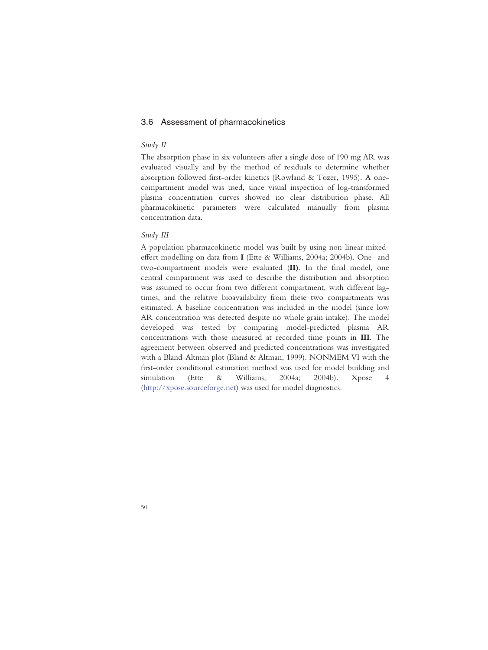# 3.6 Assessment of pharmacokinetics

# *Study II*

The absorption phase in six volunteers after a single dose of 190 mg AR was evaluated visually and by the method of residuals to determine whether absorption followed first-order kinetics (Rowland & Tozer, 1995). A onecompartment model was used, since visual inspection of log-transformed plasma concentration curves showed no clear distribution phase. All pharmacokinetic parameters were calculated manually from plasma concentration data.

## *Study III*

A population pharmacokinetic model was built by using non-linear mixedeffect modelling on data from **I** (Ette & Williams, 2004a; 2004b). One- and two-compartment models were evaluated (**II)**. In the final model, one central compartment was used to describe the distribution and absorption was assumed to occur from two different compartment, with different lagtimes, and the relative bioavailability from these two compartments was estimated. A baseline concentration was included in the model (since low AR concentration was detected despite no whole grain intake). The model developed was tested by comparing model-predicted plasma AR concentrations with those measured at recorded time points in **III**. The agreement between observed and predicted concentrations was investigated with a Bland-Altman plot (Bland & Altman, 1999). NONMEM VI with the first-order conditional estimation method was used for model building and simulation (Ette & Williams, 2004a; 2004b). Xpose 4 (http://xpose.sourceforge.net) was used for model diagnostics.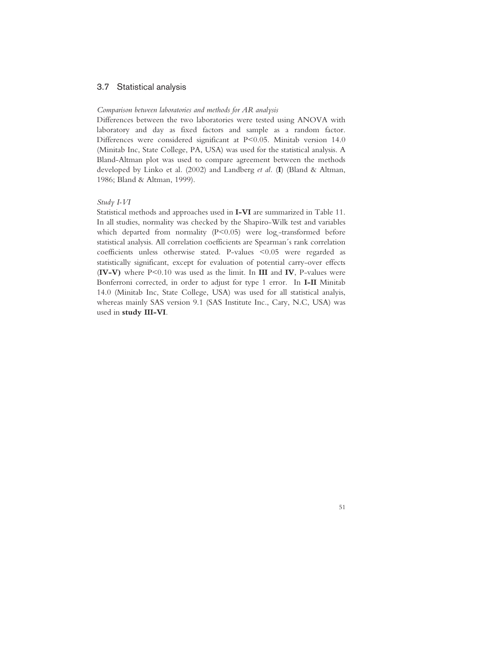# 3.7 Statistical analysis

#### *Comparison between laboratories and methods for AR analysis*

Differences between the two laboratories were tested using ANOVA with laboratory and day as fixed factors and sample as a random factor. Differences were considered significant at P<0.05. Minitab version 14.0 (Minitab Inc, State College, PA, USA) was used for the statistical analysis. A Bland-Altman plot was used to compare agreement between the methods developed by Linko et al. (2002) and Landberg *et al.* (**I**) (Bland & Altman, 1986; Bland & Altman, 1999).

## *Study I-VI*

Statistical methods and approaches used in **I-VI** are summarized in Table 11. In all studies, normality was checked by the Shapiro-Wilk test and variables which departed from normality ( $P \le 0.05$ ) were  $log_e$ -transformed before statistical analysis. All correlation coefficients are Spearman´s rank correlation coefficients unless otherwise stated. P-values <0.05 were regarded as statistically significant, except for evaluation of potential carry-over effects (**IV-V)** where P<0.10 was used as the limit. In **III** and **IV**, P-values were Bonferroni corrected, in order to adjust for type 1 error. In **I-II** Minitab 14.0 (Minitab Inc, State College, USA) was used for all statistical analyis, whereas mainly SAS version 9.1 (SAS Institute Inc., Cary, N.C, USA) was used in **study III-VI**.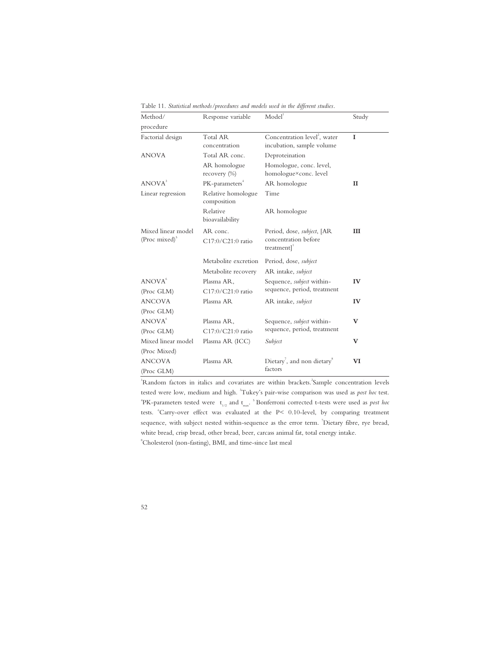| Method/                   | Response variable                 | Model <sup>1</sup>                                  | Study        |
|---------------------------|-----------------------------------|-----------------------------------------------------|--------------|
| procedure                 |                                   |                                                     |              |
| Factorial design          | Total AR                          | Concentration level <sup>2</sup> , water            | $\mathbf I$  |
|                           | concentration                     | incubation, sample volume                           |              |
| <b>ANOVA</b>              | Total AR conc.                    | Deproteination                                      |              |
|                           | AR homologue<br>recovery $(\%)$   | Homologue, conc. level,<br>homologue×conc. level    |              |
| ANOVA <sup>3</sup>        | PK-parameters <sup>4</sup>        | AR homologue                                        | $\mathbf{I}$ |
|                           |                                   |                                                     |              |
| Linear regression         | Relative homologue<br>composition | Time                                                |              |
|                           | Relative                          | AR homologue                                        |              |
|                           | bioavailability                   |                                                     |              |
| Mixed linear model        | AR conc.                          | Period, dose, <i>subject</i> , [AR                  | III          |
| (Proc mixed) <sup>3</sup> | C17:0/C21:0 ratio                 | concentration before                                |              |
|                           |                                   | treatment] <sup>1</sup>                             |              |
|                           | Metabolite excretion              | Period, dose, <i>subject</i>                        |              |
|                           | Metabolite recovery               | AR intake, subject                                  |              |
| ANOVA <sup>6</sup>        | Plasma AR,                        | Sequence, <i>subject</i> within-                    | IV           |
| (Proc GLM)                | C17:0/C21:0 ratio                 | sequence, period, treatment                         |              |
| <b>ANCOVA</b>             | Plasma AR                         | AR intake, <i>subject</i>                           | IV           |
| (Proc GLM)                |                                   |                                                     |              |
| ANOVA <sup>6</sup>        | Plasma AR,                        | Sequence, subject within-                           | V            |
| (Proc GLM)                | C17:0/C21:0 ratio                 | sequence, period, treatment                         |              |
| Mixed linear model        | Plasma AR (ICC)                   | Subject                                             | v            |
| (Proc Mixed)              |                                   |                                                     |              |
| <b>ANCOVA</b>             | Plasma AR                         | Dietary <sup>7</sup> , and non dietary <sup>8</sup> | VI           |
| (Proc GLM)                |                                   | factors                                             |              |

Table 11. *Statistical methods/procedures and models used in the different studies.* 

<sup>1</sup>Random factors in italics and covariates are within brackets.<sup>2</sup>Sample concentration levels tested were low, medium and high. <sup>3</sup>Tukey's pair-wise comparison was used as *post hoc* test.  $+$ PK-parameters tested were  $t_{1/2}$  and  $t_{max}$ .  $5$ Bonferroni corrected t-tests were used as *post hoc* tests. "Carry-over effect was evaluated at the P< 0.10-level, by comparing treatment sequence, with subject nested within-sequence as the error term. <sup>7</sup>Dietary fibre, rye bread, white bread, crisp bread, other bread, beer, carcass animal fat, total energy intake. 8 Cholesterol (non-fasting), BMI, and time-since last meal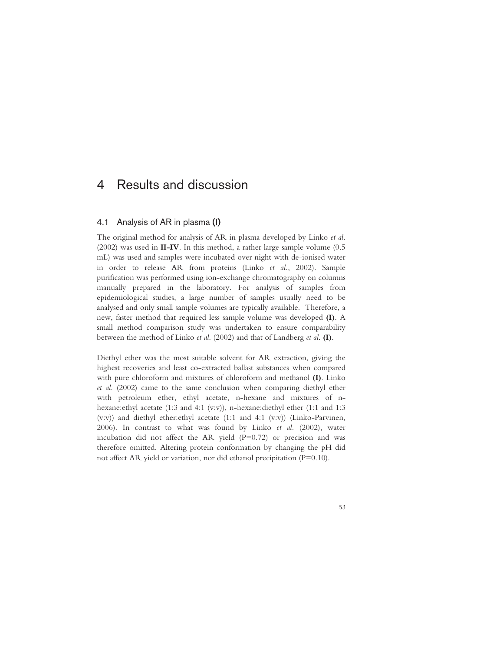# 4 Results and discussion

# 4.1 Analysis of AR in plasma (I)

The original method for analysis of AR in plasma developed by Linko *et al*. (2002) was used in **II-IV**. In this method, a rather large sample volume (0.5 mL) was used and samples were incubated over night with de-ionised water in order to release AR from proteins (Linko *et al.*, 2002). Sample purification was performed using ion-exchange chromatography on columns manually prepared in the laboratory. For analysis of samples from epidemiological studies, a large number of samples usually need to be analysed and only small sample volumes are typically available. Therefore, a new, faster method that required less sample volume was developed **(I)**. A small method comparison study was undertaken to ensure comparability between the method of Linko *et al*. (2002) and that of Landberg *et al*. **(I)**.

Diethyl ether was the most suitable solvent for AR extraction, giving the highest recoveries and least co-extracted ballast substances when compared with pure chloroform and mixtures of chloroform and methanol **(I)**. Linko *et al*. (2002) came to the same conclusion when comparing diethyl ether with petroleum ether, ethyl acetate, n-hexane and mixtures of nhexane:ethyl acetate (1:3 and 4:1 (v:v)), n-hexane:diethyl ether (1:1 and 1:3 (v:v)) and diethyl ether:ethyl acetate (1:1 and 4:1 (v:v)) (Linko-Parvinen, 2006). In contrast to what was found by Linko *et al.* (2002), water incubation did not affect the AR yield  $(P=0.72)$  or precision and was therefore omitted. Altering protein conformation by changing the pH did not affect AR yield or variation, nor did ethanol precipitation (P=0.10).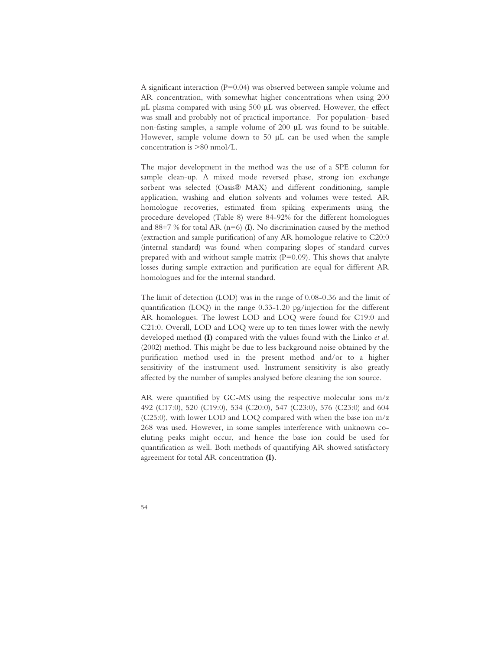A significant interaction (P=0.04) was observed between sample volume and AR concentration, with somewhat higher concentrations when using 200 μL plasma compared with using 500 μL was observed. However, the effect was small and probably not of practical importance. For population- based non-fasting samples, a sample volume of 200 μL was found to be suitable. However, sample volume down to 50 μL can be used when the sample concentration is >80 nmol/L.

The major development in the method was the use of a SPE column for sample clean-up. A mixed mode reversed phase, strong ion exchange sorbent was selected (Oasis® MAX) and different conditioning, sample application, washing and elution solvents and volumes were tested. AR homologue recoveries, estimated from spiking experiments using the procedure developed (Table 8) were 84-92% for the different homologues and  $88\pm7$  % for total AR ( $n=6$ ) (**I**). No discrimination caused by the method (extraction and sample purification) of any AR homologue relative to C20:0 (internal standard) was found when comparing slopes of standard curves prepared with and without sample matrix  $(P=0.09)$ . This shows that analyte losses during sample extraction and purification are equal for different AR homologues and for the internal standard.

The limit of detection (LOD) was in the range of 0.08-0.36 and the limit of quantification (LOQ) in the range 0.33-1.20 pg/injection for the different AR homologues. The lowest LOD and LOQ were found for C19:0 and C21:0. Overall, LOD and LOQ were up to ten times lower with the newly developed method **(I)** compared with the values found with the Linko *et al*. (2002) method. This might be due to less background noise obtained by the purification method used in the present method and/or to a higher sensitivity of the instrument used. Instrument sensitivity is also greatly affected by the number of samples analysed before cleaning the ion source.

AR were quantified by GC-MS using the respective molecular ions m/z 492 (C17:0), 520 (C19:0), 534 (C20:0), 547 (C23:0), 576 (C23:0) and 604 (C25:0), with lower LOD and LOQ compared with when the base ion m/z 268 was used. However, in some samples interference with unknown coeluting peaks might occur, and hence the base ion could be used for quantification as well. Both methods of quantifying AR showed satisfactory agreement for total AR concentration **(I)**.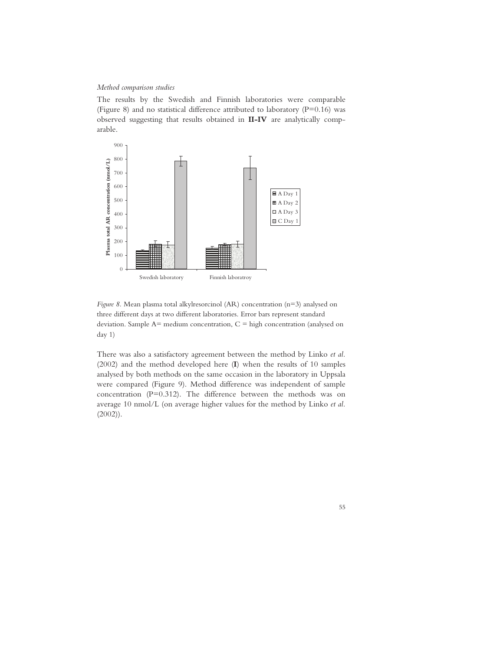## *Method comparison studies*

The results by the Swedish and Finnish laboratories were comparable (Figure 8) and no statistical difference attributed to laboratory ( $P=0.16$ ) was observed suggesting that results obtained in **II-IV** are analytically comparable.



*Figure 8.* Mean plasma total alkylresorcinol (AR) concentration (n=3) analysed on three different days at two different laboratories. Error bars represent standard deviation. Sample  $A=$  medium concentration,  $C=$  high concentration (analysed on day 1)

There was also a satisfactory agreement between the method by Linko *et al.* (2002) and the method developed here (**I**) when the results of 10 samples analysed by both methods on the same occasion in the laboratory in Uppsala were compared (Figure 9). Method difference was independent of sample concentration (P=0.312). The difference between the methods was on average 10 nmol/L (on average higher values for the method by Linko *et al.* (2002)).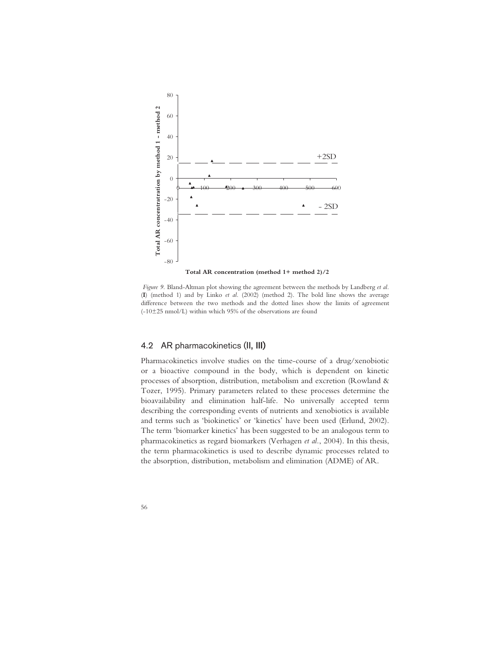

 *Figure 9.* Bland-Altman plot showing the agreement between the methods by Landberg *et al.* (**I**) (method 1) and by Linko *et al.* (2002) (method 2). The bold line shows the average difference between the two methods and the dotted lines show the limits of agreement (-10±25 nmol/L) within which 95% of the observations are found

# 4.2 AR pharmacokinetics (II, III)

Pharmacokinetics involve studies on the time-course of a drug/xenobiotic or a bioactive compound in the body, which is dependent on kinetic processes of absorption, distribution, metabolism and excretion (Rowland & Tozer, 1995). Primary parameters related to these processes determine the bioavailability and elimination half-life. No universally accepted term describing the corresponding events of nutrients and xenobiotics is available and terms such as 'biokinetics' or 'kinetics' have been used (Erlund, 2002). The term 'biomarker kinetics' has been suggested to be an analogous term to pharmacokinetics as regard biomarkers (Verhagen *et al.*, 2004). In this thesis, the term pharmacokinetics is used to describe dynamic processes related to the absorption, distribution, metabolism and elimination (ADME) of AR.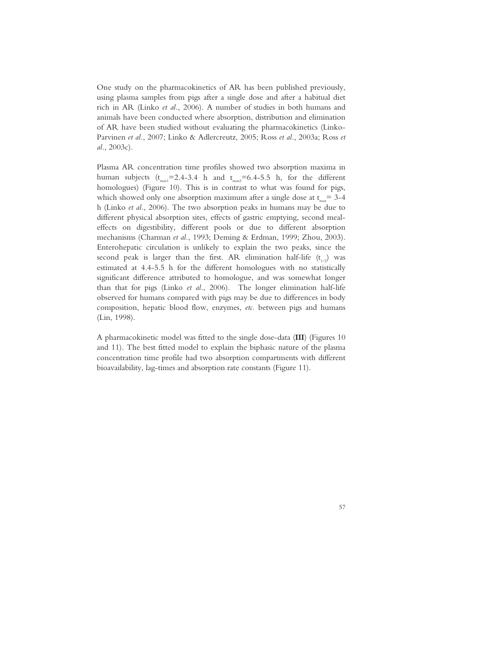One study on the pharmacokinetics of AR has been published previously, using plasma samples from pigs after a single dose and after a habitual diet rich in AR (Linko *et al.*, 2006). A number of studies in both humans and animals have been conducted where absorption, distribution and elimination of AR have been studied without evaluating the pharmacokinetics (Linko-Parvinen *et al.*, 2007; Linko & Adlercreutz, 2005; Ross *et al.*, 2003a; Ross *et al.*, 2003c).

Plasma AR concentration time profiles showed two absorption maxima in human subjects  $(t_{max} = 2.4-3.4 \text{ h}$  and  $t_{max} = 6.4-5.5 \text{ h}$ , for the different homologues) (Figure 10). This is in contrast to what was found for pigs, which showed only one absorption maximum after a single dose at  $t_{\text{max}}= 3-4$ h (Linko *et al.*, 2006). The two absorption peaks in humans may be due to different physical absorption sites, effects of gastric emptying, second mealeffects on digestibility, different pools or due to different absorption mechanisms (Charman *et al.*, 1993; Deming & Erdman, 1999; Zhou, 2003). Enterohepatic circulation is unlikely to explain the two peaks, since the second peak is larger than the first. AR elimination half-life  $(t_{1/2})$  was estimated at 4.4-5.5 h for the different homologues with no statistically significant difference attributed to homologue, and was somewhat longer than that for pigs (Linko *et al.*, 2006). The longer elimination half-life observed for humans compared with pigs may be due to differences in body composition, hepatic blood flow, enzymes, *etc.* between pigs and humans (Lin, 1998).

A pharmacokinetic model was fitted to the single dose-data (**III**) (Figures 10 and 11). The best fitted model to explain the biphasic nature of the plasma concentration time profile had two absorption compartments with different bioavailability, lag-times and absorption rate constants (Figure 11).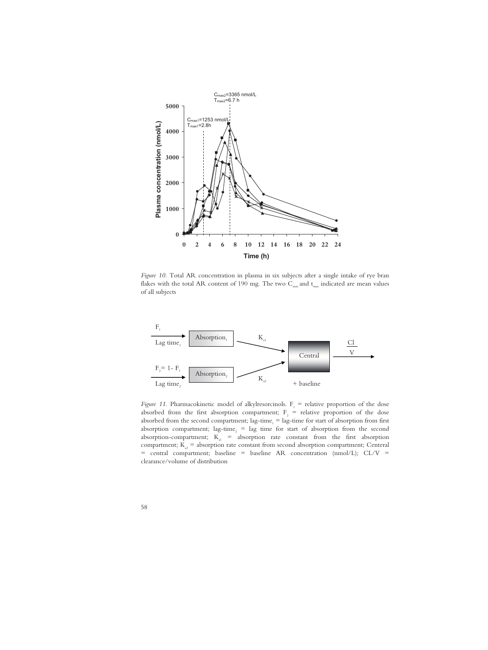

*Figure 10.* Total AR concentration in plasma in six subjects after a single intake of rye bran flakes with the total AR content of 190 mg. The two  $C_{\text{max}}$  and  $t_{\text{max}}$  indicated are mean values of all subjects



*Figure 11.* Pharmacokinetic model of alkylresorcinols.  $F_1$  = relative proportion of the dose absorbed from the first absorption compartment;  $F_2$  = relative proportion of the dose absorbed from the second compartment;  $lag-time_1 = lag-time$  for start of absorption from first absorption compartment;  $\text{lag-time}_2 = \text{lag}$  time for start of absorption from the second absorption-compartment;  $K_{a1}$  = absorption rate constant from the first absorption compartment;  $K_a$  = absorption rate constant from second absorption compartment; Centeral  $=$  central compartment; baseline  $=$  baseline AR concentration (nmol/L); CL/V  $=$ clearance/volume of distribution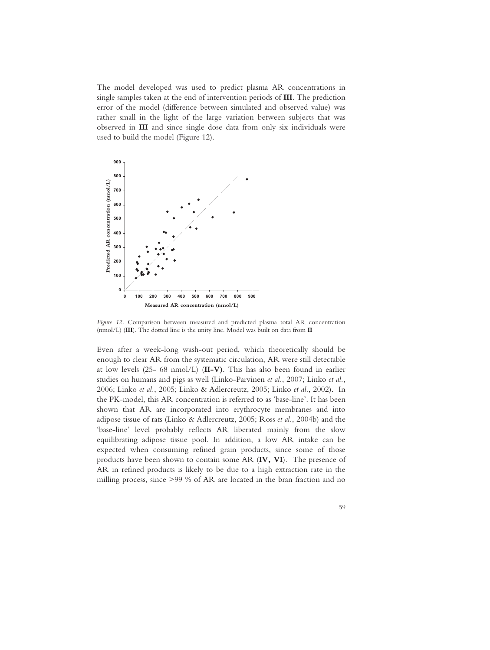The model developed was used to predict plasma AR concentrations in single samples taken at the end of intervention periods of **III**. The prediction error of the model (difference between simulated and observed value) was rather small in the light of the large variation between subjects that was observed in **III** and since single dose data from only six individuals were used to build the model (Figure 12).



*Figure 12.* Comparison between measured and predicted plasma total AR concentration (nmol/L) (**III**). The dotted line is the unity line. Model was built on data from **II**

Even after a week-long wash-out period, which theoretically should be enough to clear AR from the systematic circulation, AR were still detectable at low levels (25- 68 nmol/L) (**II-V)**. This has also been found in earlier studies on humans and pigs as well (Linko-Parvinen *et al.*, 2007; Linko *et al.*, 2006; Linko *et al.*, 2005; Linko & Adlercreutz, 2005; Linko *et al.*, 2002). In the PK-model, this AR concentration is referred to as 'base-line'. It has been shown that AR are incorporated into erythrocyte membranes and into adipose tissue of rats (Linko & Adlercreutz, 2005; Ross *et al.*, 2004b) and the 'base-line' level probably reflects AR liberated mainly from the slow equilibrating adipose tissue pool. In addition, a low AR intake can be expected when consuming refined grain products, since some of those products have been shown to contain some AR (**IV, VI**). The presence of AR in refined products is likely to be due to a high extraction rate in the milling process, since >99 % of AR are located in the bran fraction and no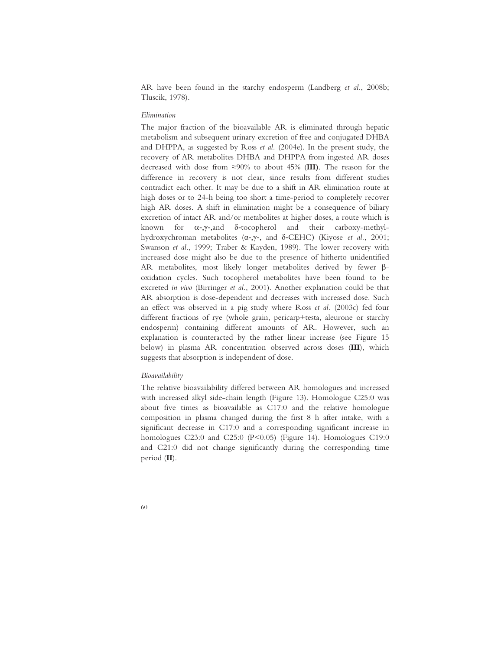AR have been found in the starchy endosperm (Landberg *et al.*, 2008b; Tluscik, 1978).

## *Elimination*

The major fraction of the bioavailable AR is eliminated through hepatic metabolism and subsequent urinary excretion of free and conjugated DHBA and DHPPA, as suggested by Ross *et al.* (2004e). In the present study, the recovery of AR metabolites DHBA and DHPPA from ingested AR doses decreased with dose from 90% to about 45% (**III)**. The reason for the difference in recovery is not clear, since results from different studies contradict each other. It may be due to a shift in AR elimination route at high doses or to 24-h being too short a time-period to completely recover high AR doses. A shift in elimination might be a consequence of biliary excretion of intact AR and/or metabolites at higher doses, a route which is known for  $\alpha$ - $\nu$ -,and  $\delta$ -tocopherol and their carboxy-methylhydroxychroman metabolites ( $\alpha$ -, $\gamma$ -, and  $\delta$ -CEHC) (Kiyose *et al.*, 2001; Swanson *et al.*, 1999; Traber & Kayden, 1989). The lower recovery with increased dose might also be due to the presence of hitherto unidentified AR metabolites, most likely longer metabolites derived by fewer  $\beta$ oxidation cycles. Such tocopherol metabolites have been found to be excreted *in vivo* (Birringer *et al.*, 2001). Another explanation could be that AR absorption is dose-dependent and decreases with increased dose. Such an effect was observed in a pig study where Ross *et al.* (2003c) fed four different fractions of rye (whole grain, pericarp+testa, aleurone or starchy endosperm) containing different amounts of AR. However, such an explanation is counteracted by the rather linear increase (see Figure 15 below) in plasma AR concentration observed across doses (**III**), which suggests that absorption is independent of dose.

## *Bioavailability*

The relative bioavailability differed between AR homologues and increased with increased alkyl side-chain length (Figure 13). Homologue C25:0 was about five times as bioavailable as C17:0 and the relative homologue composition in plasma changed during the first 8 h after intake, with a significant decrease in C17:0 and a corresponding significant increase in homologues C23:0 and C25:0 (P<0.05) (Figure 14). Homologues C19:0 and C21:0 did not change significantly during the corresponding time period (**II**).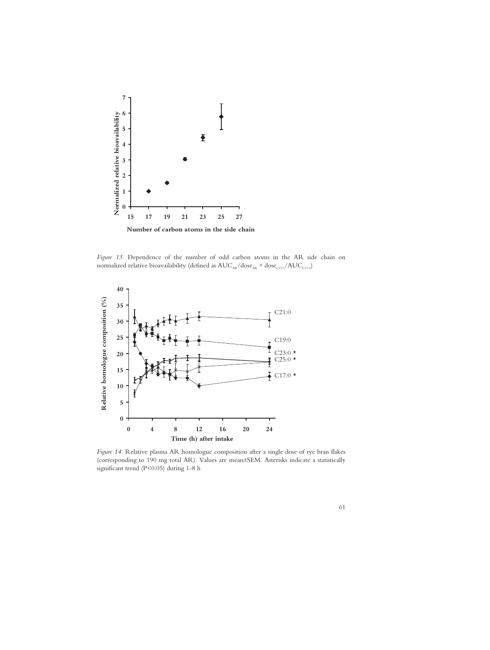

*Figure 13.* Dependence of the number of odd carbon atoms in the AR side chain on normalized relative bioavailability (defined as  $AUC_{AR}/dose_{AR} \times dose_{C17:0}/AUC_{C17:0}$ )



*Figure 14.* Relative plasma AR homologue composition after a single dose of rye bran flakes (corresponding to 190 mg total AR). Values are mean±SEM. Asterisks indicate a statistically significant trend (P<0.05) during 1-8 h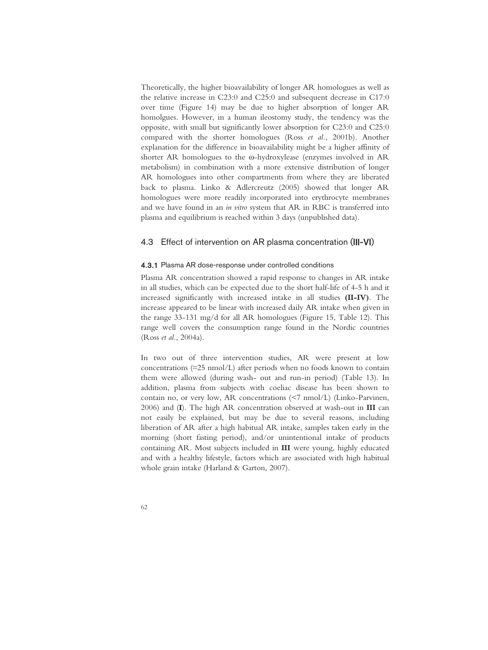Theoretically, the higher bioavailability of longer AR homologues as well as the relative increase in C23:0 and C25:0 and subsequent decrease in C17:0 over time (Figure 14) may be due to higher absorption of longer AR homolgues. However, in a human ileostomy study, the tendency was the opposite, with small but significantly lower absorption for C23:0 and C25:0 compared with the shorter homologues (Ross *et al.*, 2001b). Another explanation for the difference in bioavailability might be a higher affinity of shorter AR homologues to the  $\omega$ -hydroxylease (enzymes involved in AR metabolism) in combination with a more extensive distribution of longer AR homologues into other compartments from where they are liberated back to plasma. Linko & Adlercreutz (2005) showed that longer AR homologues were more readily incorporated into erythrocyte membranes and we have found in an *in vitro* system that AR in RBC is transferred into plasma and equilibrium is reached within 3 days (unpublished data).

# 4.3 Effect of intervention on AR plasma concentration (III-VI)

### 4.3.1 Plasma AR dose-response under controlled conditions

Plasma AR concentration showed a rapid response to changes in AR intake in all studies, which can be expected due to the short half-life of 4-5 h and it increased significantly with increased intake in all studies **(II-IV)**. The increase appeared to be linear with increased daily AR intake when given in the range 33-131 mg/d for all AR homologues (Figure 15, Table 12). This range well covers the consumption range found in the Nordic countries (Ross *et al.*, 2004a).

In two out of three intervention studies, AR were present at low concentrations  $(\approx 25 \text{ nmol/L})$  after periods when no foods known to contain them were allowed (during wash- out and run-in period) (Table 13). In addition, plasma from subjects with coeliac disease has been shown to contain no, or very low, AR concentrations (<7 nmol/L) (Linko-Parvinen, 2006) and (**I**). The high AR concentration observed at wash-out in **III** can not easily be explained, but may be due to several reasons, including liberation of AR after a high habitual AR intake, samples taken early in the morning (short fasting period), and/or unintentional intake of products containing AR. Most subjects included in **III** were young, highly educated and with a healthy lifestyle, factors which are associated with high habitual whole grain intake (Harland & Garton, 2007).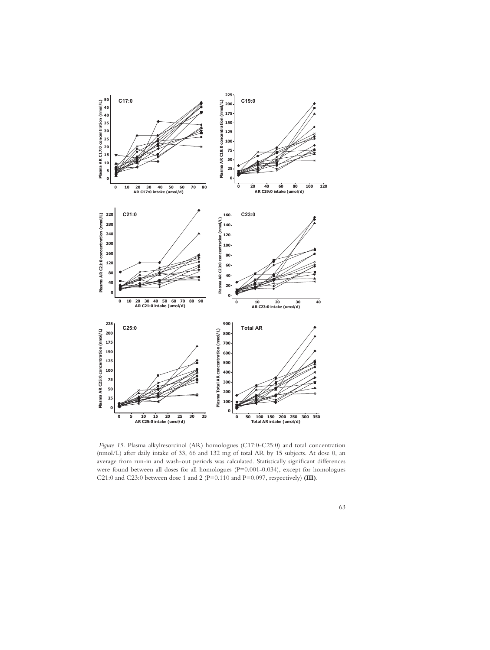

 *Figure 15.* Plasma alkylresorcinol (AR) homologues (C17:0-C25:0) and total concentration (nmol/L) after daily intake of 33, 66 and 132 mg of total AR by 15 subjects. At dose 0, an average from run-in and wash-out periods was calculated. Statistically significant differences were found between all doses for all homologues (P=0.001-0.034), except for homologues C21:0 and C23:0 between dose 1 and 2 (P=0.110 and P=0.097, respectively) **(III)**.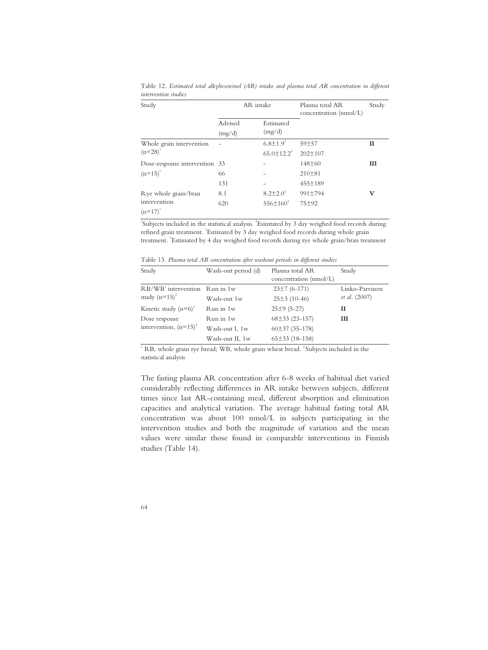| Study                         | AR intake |                              | Plasma total AR<br>concentration (nmol/L) | Study |
|-------------------------------|-----------|------------------------------|-------------------------------------------|-------|
|                               | Advised   | Estimated                    |                                           |       |
|                               | (mg/d)    | (mg/d)                       |                                           |       |
| Whole grain intervention      |           | $6.8 \pm 1.9^2$              | $59 + 57$                                 | П     |
| $(n=28)^{1}$                  |           | $65.0 \pm 12.2$ <sup>3</sup> | $202 \pm 107$                             |       |
| Dose-response intervention 33 |           |                              | $148\pm 60$                               | III   |
| $(n=15)^{1}$                  | 66        |                              | 210±81                                    |       |
|                               | 131       |                              | 455±189                                   |       |
| Rye whole grain/bran          | 8.1       | $8.2 \pm 2.0^2$              | 991±794                                   | v     |
| intervention<br>$(n=17)^{1}$  | 620       | $556 \pm 160^4$              | $75 + 92$                                 |       |

Table 12. *Estimated total alkylresorcinol (AR) intake and plasma total AR concentration in different intervention studies* 

<sup>1</sup>Subjects included in the statistical analysis. <sup>2</sup>Esimtated by 3 day weighed food records during refined grain treatment. <sup>3</sup>Estimated by 3 day weighed food records during whole grain treatment. <sup>4</sup> Estimated by 4 day weighed food records during rye whole grain/bran treatment

Table 13. *Plasma total AR concentration after washout periods in different studies* 

| Study                                               | Wash-out period (d) | Plasma total AR<br>concentration (nmol/L) | Study                                  |
|-----------------------------------------------------|---------------------|-------------------------------------------|----------------------------------------|
| $RB/WB'$ intervention Run in 1w<br>study $(n=15)^2$ | Wash-out 1w         | $23±7(6-171)$<br>$25±3(10-46)$            | Linko-Parvinen<br><i>et al.</i> (2007) |
| Kinetic study $(n=6)^2$                             | Run in 1w           | $25±9(5-27)$                              | П                                      |
| Dose response                                       | Run in 1w           | $68\pm33(23-157)$                         | Ш                                      |
| intervention, $(n=15)^2$                            | Wash-out I, 1w      | $60\pm37(35-178)$                         |                                        |
|                                                     | Wash-out II, 1w     | $65\pm33$ (18-158)                        |                                        |

 $1$  RB, whole grain rye bread; WB, whole grain wheat bread.  $2$  Subjects included in the statistical analysis

The fasting plasma AR concentration after 6-8 weeks of habitual diet varied considerably reflecting differences in AR intake between subjects, different times since last AR-containing meal, different absorption and elimination capacities and analytical variation. The average habitual fasting total AR concentration was about 100 nmol/L in subjects participating in the intervention studies and both the magnitude of variation and the mean values were similar those found in comparable interventions in Finnish studies (Table 14).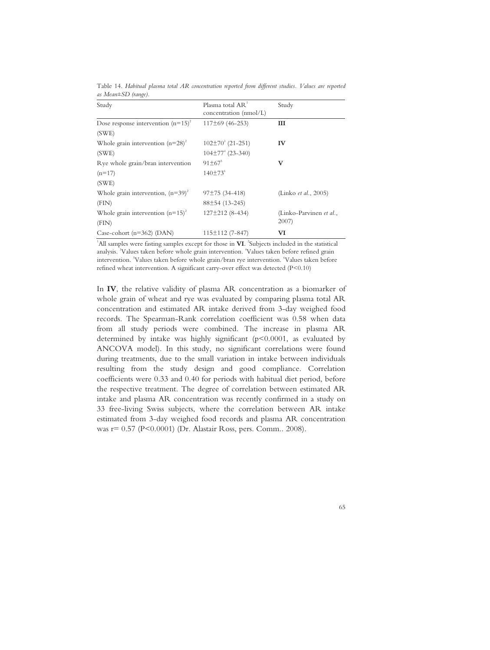| Study                                 | Plasma total AR <sup>1</sup><br>concentration (nmol/L) | Study                   |
|---------------------------------------|--------------------------------------------------------|-------------------------|
|                                       |                                                        |                         |
| Dose response intervention $(n=15)^2$ | $117\pm69$ (46-253)                                    | Ш                       |
| (SWE)                                 |                                                        |                         |
| Whole grain intervention $(n=28)^2$   | $102\pm70^3$ (21-251)                                  | IV                      |
| (SWE)                                 | $104\pm77^{\degree}$ (23-340)                          |                         |
| Rye whole grain/bran intervention     | $91 + 67^5$                                            | V                       |
| $(n=17)$                              | $140±73^6$                                             |                         |
| (SWE)                                 |                                                        |                         |
| Whole grain intervention, $(n=39)^2$  | $97±75(34-418)$                                        | (Linko et al., 2005)    |
| (FIN)                                 | $88\pm54(13-245)$                                      |                         |
| Whole grain intervention $(n=15)^2$   | $127\pm212(8-434)$                                     | (Linko-Parvinen et al., |
| (FIN)                                 |                                                        | 2007                    |
| Case-cohort $(n=362)$ (DAN)           | $115 \pm 112$ (7-847)                                  | VI                      |

Table 14. *Habitual plasma total AR concentration reported from different studies. Values are reported as Mean±SD (range).* 

<sup>1</sup>All samples were fasting samples except for those in **VI**. <sup>2</sup>Subjects included in the statistical analysis. <sup>3</sup>Values taken before whole grain intervention. <sup>4</sup>Values taken before refined grain intervention. <sup>5</sup>Values taken before whole grain/bran rye intervention. <sup>6</sup>Values taken before refined wheat intervention. A significant carry-over effect was detected (P<0.10)

In **IV**, the relative validity of plasma AR concentration as a biomarker of whole grain of wheat and rye was evaluated by comparing plasma total AR concentration and estimated AR intake derived from 3-day weighed food records. The Spearman-Rank correlation coefficient was 0.58 when data from all study periods were combined. The increase in plasma AR determined by intake was highly significant (p<0.0001, as evaluated by ANCOVA model). In this study, no significant correlations were found during treatments, due to the small variation in intake between individuals resulting from the study design and good compliance. Correlation coefficients were 0.33 and 0.40 for periods with habitual diet period, before the respective treatment. The degree of correlation between estimated AR intake and plasma AR concentration was recently confirmed in a study on 33 free-living Swiss subjects, where the correlation between AR intake estimated from 3-day weighed food records and plasma AR concentration was r= 0.57 (P<0.0001) (Dr. Alastair Ross, pers. Comm.. 2008).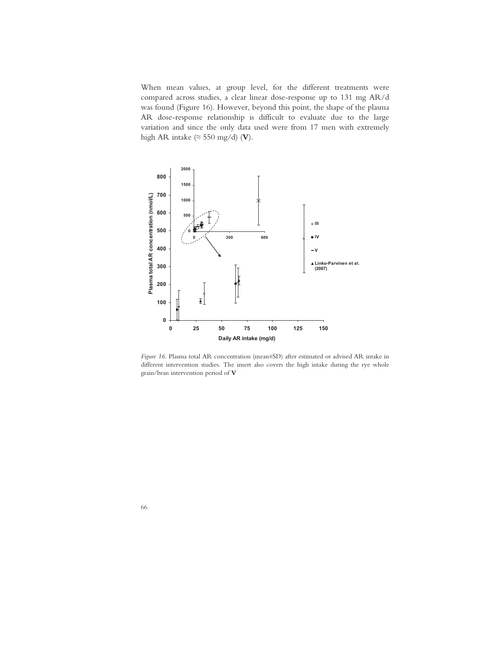When mean values, at group level, for the different treatments were compared across studies, a clear linear dose-response up to 131 mg AR/d was found (Figure 16). However, beyond this point, the shape of the plasma AR dose-response relationship is difficult to evaluate due to the large variation and since the only data used were from 17 men with extremely high AR intake  $(\approx 550 \text{ mg/d})$  (V).



*Figure 16.* Plasma total AR concentration (mean±SD) after estimated or advised AR intake in different intervention studies. The insert also covers the high intake during the rye whole grain/bran intervention period of **V**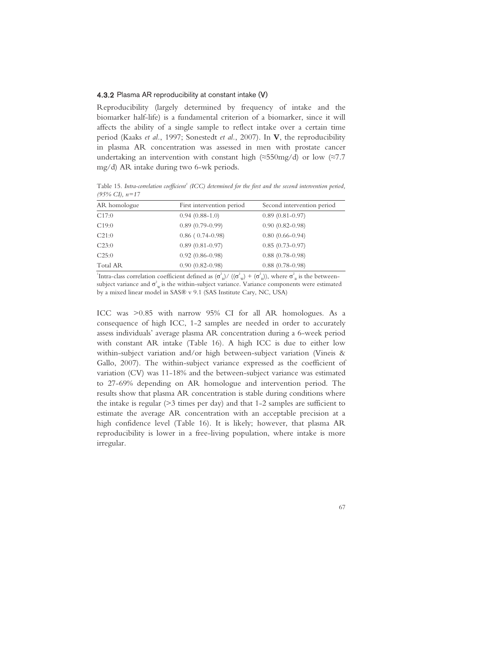### 4.3.2 Plasma AR reproducibility at constant intake (V)

Reproducibility (largely determined by frequency of intake and the biomarker half-life) is a fundamental criterion of a biomarker, since it will affects the ability of a single sample to reflect intake over a certain time period (Kaaks *et al.*, 1997; Sonestedt *et al.*, 2007). In **V**, the reproducibility in plasma AR concentration was assessed in men with prostate cancer undertaking an intervention with constant high  $(\approx 550 \text{mg/d})$  or low  $(\approx 7.7$ mg/d) AR intake during two 6-wk periods.

Table 15. *Intra-correlation coefficient<sup>1</sup> (ICC) determined for the first and the second intervention period, (95% CI), n=17* 

| AR homologue    | First intervention period | Second intervention period |
|-----------------|---------------------------|----------------------------|
| C17:0           | $0.94(0.88-1.0)$          | $0.89(0.81-0.97)$          |
| C19:0           | $0.89(0.79-0.99)$         | $0.90(0.82 - 0.98)$        |
| C21:0           | $0.86$ ( $0.74-0.98$ )    | $0.80(0.66 - 0.94)$        |
| C23:0           | $0.89(0.81-0.97)$         | $0.85(0.73-0.97)$          |
| C25:0           | $0.92(0.86 - 0.98)$       | $0.88$ (0.78-0.98)         |
| <b>Total AR</b> | $0.90(0.82 - 0.98)$       | $0.88(0.78-0.98)$          |
|                 |                           |                            |

<sup>1</sup>Intra-class correlation coefficient defined as  $(\sigma_B^2)/((\sigma_w^2) + (\sigma_B^2))$ , where  $\sigma_B^2$  is the betweensubject variance and  $\sigma_w^2$  is the within-subject variance. Variance components were estimated by a mixed linear model in SAS® v 9.1 (SAS Institute Cary, NC, USA)

ICC was >0.85 with narrow 95% CI for all AR homologues. As a consequence of high ICC, 1-2 samples are needed in order to accurately assess individuals' average plasma AR concentration during a 6-week period with constant AR intake (Table 16). A high ICC is due to either low within-subject variation and/or high between-subject variation (Vineis & Gallo, 2007). The within-subject variance expressed as the coefficient of variation (CV) was 11-18% and the between-subject variance was estimated to 27-69% depending on AR homologue and intervention period. The results show that plasma AR concentration is stable during conditions where the intake is regular (>3 times per day) and that 1-2 samples are sufficient to estimate the average AR concentration with an acceptable precision at a high confidence level (Table 16). It is likely; however, that plasma AR reproducibility is lower in a free-living population, where intake is more irregular.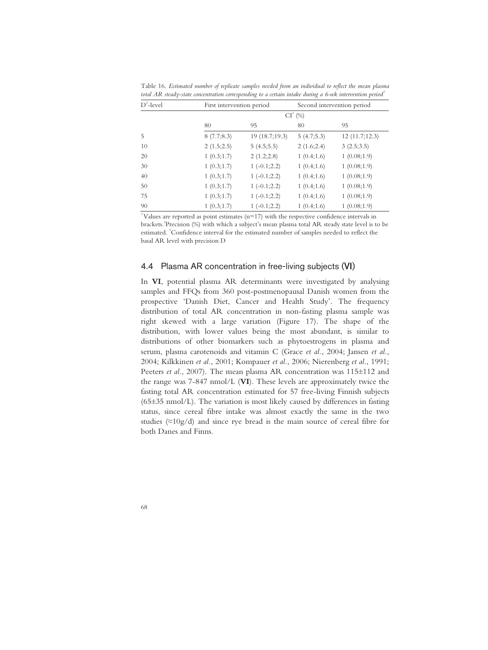| $D^2$ -level | First intervention period |               |            | Second intervention period |  |
|--------------|---------------------------|---------------|------------|----------------------------|--|
|              |                           |               | $CI^3$ (%) |                            |  |
|              | 80                        | 95            | 80         | 95                         |  |
| 5            | 8(7.7;8.3)                | 19(18.7;19.3) | 5(4.7;5.3) | 12(11.7;12.3)              |  |
| 10           | 2(1.5;2.5)                | 5(4.5;5.5)    | 2(1.6;2.4) | 3(2.5;3.5)                 |  |
| 20           | 1(0.3;1.7)                | 2(1.2;2.8)    | 1(0.4;1.6) | 1(0.08;1.9)                |  |
| 30           | 1(0.3;1.7)                | $1(-0.1;2.2)$ | 1(0.4;1.6) | 1(0.08;1.9)                |  |
| 40           | 1(0.3;1.7)                | $1(-0.1;2.2)$ | 1(0.4;1.6) | 1(0.08;1.9)                |  |
| 50           | 1(0.3;1.7)                | $1(-0.1;2.2)$ | 1(0.4;1.6) | 1(0.08;1.9)                |  |
| 75           | 1(0.3;1.7)                | $1(-0.1;2.2)$ | 1(0.4;1.6) | 1(0.08;1.9)                |  |
| 90           | 1(0.3;1.7)                | $1(-0.1;2.2)$ | 1(0.4;1.6) | 1(0.08;1.9)                |  |

Table 16. *Estimated number of replicate samples needed from an individual to reflect the mean plasma total AR steady-state concentration corresponding to a certain intake during a 6-wk intervention period<sup>1</sup>*

<sup>1</sup>Values are reported as point estimates ( $n=17$ ) with the respective confidence intervals in brackets.<sup>2</sup>Precision (%) with which a subject's mean plasma total AR steady state level is to be estimated. <sup>3</sup>Confidence interval for the estimated number of samples needed to reflect the basal AR level with precision D

# 4.4 Plasma AR concentration in free-living subjects (VI)

In **VI**, potential plasma AR determinants were investigated by analysing samples and FFQs from 360 post-postmenopausal Danish women from the prospective 'Danish Diet, Cancer and Health Study'. The frequency distribution of total AR concentration in non-fasting plasma sample was right skewed with a large variation (Figure 17). The shape of the distribution, with lower values being the most abundant, is similar to distributions of other biomarkers such as phytoestrogens in plasma and serum, plasma carotenoids and vitamin C (Grace *et al.*, 2004; Jansen *et al.*, 2004; Kilkkinen *et al.*, 2001; Kompauer *et al.*, 2006; Nierenberg *et al.*, 1991; Peeters et al., 2007). The mean plasma AR concentration was 115±112 and the range was 7-847 nmol/L (**VI**). These levels are approximately twice the fasting total AR concentration estimated for 57 free-living Finnish subjects  $(65±35 \text{ nmol/L})$ . The variation is most likely caused by differences in fasting status, since cereal fibre intake was almost exactly the same in the two studies ( $\approx$ 10g/d) and since rye bread is the main source of cereal fibre for both Danes and Finns.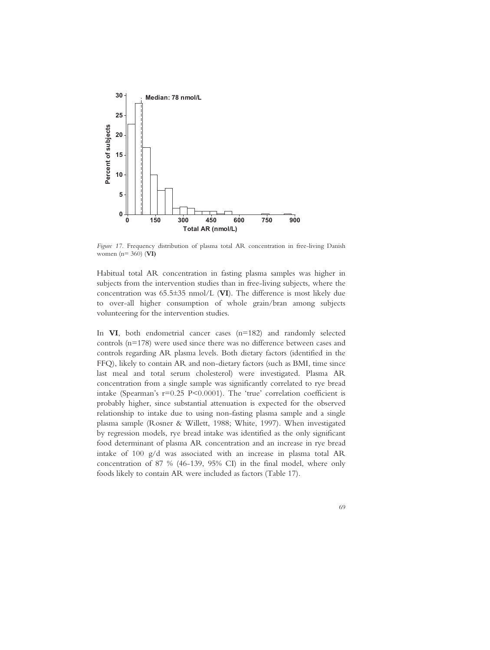

*Figure 17.* Frequency distribution of plasma total AR concentration in free-living Danish women (n= 360) (**VI)**

Habitual total AR concentration in fasting plasma samples was higher in subjects from the intervention studies than in free-living subjects, where the concentration was 65.5±35 nmol/L (**VI**). The difference is most likely due to over-all higher consumption of whole grain/bran among subjects volunteering for the intervention studies.

In **VI**, both endometrial cancer cases (n=182) and randomly selected controls (n=178) were used since there was no difference between cases and controls regarding AR plasma levels. Both dietary factors (identified in the FFQ), likely to contain AR and non-dietary factors (such as BMI, time since last meal and total serum cholesterol) were investigated. Plasma AR concentration from a single sample was significantly correlated to rye bread intake (Spearman's r=0.25 P<0.0001). The 'true' correlation coefficient is probably higher, since substantial attenuation is expected for the observed relationship to intake due to using non-fasting plasma sample and a single plasma sample (Rosner & Willett, 1988; White, 1997). When investigated by regression models, rye bread intake was identified as the only significant food determinant of plasma AR concentration and an increase in rye bread intake of 100 g/d was associated with an increase in plasma total AR concentration of 87 % (46-139, 95% CI) in the final model, where only foods likely to contain AR were included as factors (Table 17).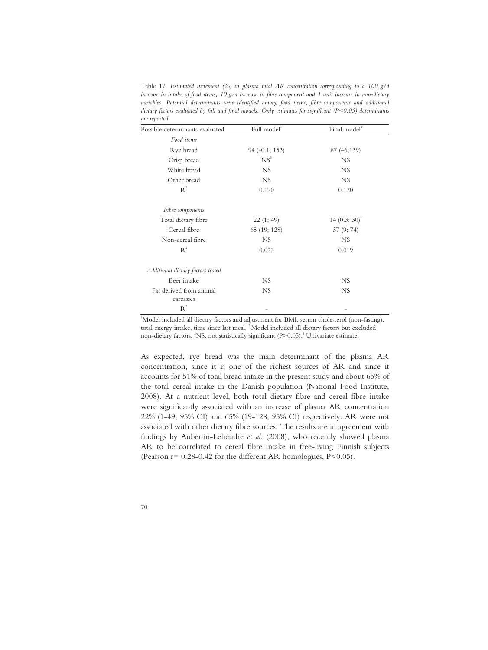Table 17. *Estimated increment (%) in plasma total AR concentration corresponding to a 100 g/d increase in intake of food items, 10 g/d increase in fibre component and 1 unit increase in non-dietary*  variables. Potential determinants were identified among food items, fibre components and additional *dietary factors evaluated by full and final models. Only estimates for significant (P<0.05) determinants are reported* 

| Possible determinants evaluated      | Full model       | Final model <sup>2</sup> |
|--------------------------------------|------------------|--------------------------|
| Food items                           |                  |                          |
| Rye bread                            | $94 (-0.1; 153)$ | 87 (46;139)              |
| Crisp bread                          | NS <sup>3</sup>  | <b>NS</b>                |
| White bread                          | <b>NS</b>        | <b>NS</b>                |
| Other bread                          | <b>NS</b>        | NS.                      |
| $R^2$                                | 0.120            | 0.120                    |
| Fibre components                     |                  |                          |
| Total dietary fibre                  | 22(1; 49)        | 14 $(0.3; 30)^4$         |
| Cereal fibre                         | 65 (19; 128)     | 37(9; 74)                |
| Non-cereal fibre                     | <b>NS</b>        | NS                       |
| $R^2$                                | 0.023            | 0.019                    |
| Additional dietary factors tested    |                  |                          |
| Beer intake                          | <b>NS</b>        | NS                       |
| Fat derived from animal<br>carcasses | <b>NS</b>        | <b>NS</b>                |
| $R^2$                                |                  |                          |

<sup>1</sup>Model included all dietary factors and adjustment for BMI, serum cholesterol (non-fasting), total energy intake, time since last meal. <sup>2</sup> Model included all dietary factors but excluded non-dietary factors. <sup>3</sup>NS, not statistically significant (P>0.05).<sup>4</sup> Univariate estimate.

As expected, rye bread was the main determinant of the plasma AR concentration, since it is one of the richest sources of AR and since it accounts for 51% of total bread intake in the present study and about 65% of the total cereal intake in the Danish population (National Food Institute, 2008). At a nutrient level, both total dietary fibre and cereal fibre intake were significantly associated with an increase of plasma AR concentration 22% (1-49, 95% CI) and 65% (19-128, 95% CI) respectively. AR were not associated with other dietary fibre sources. The results are in agreement with findings by Aubertin-Leheudre *et al*. (2008), who recently showed plasma AR to be correlated to cereal fibre intake in free-living Finnish subjects (Pearson  $r = 0.28 - 0.42$  for the different AR homologues, P<0.05).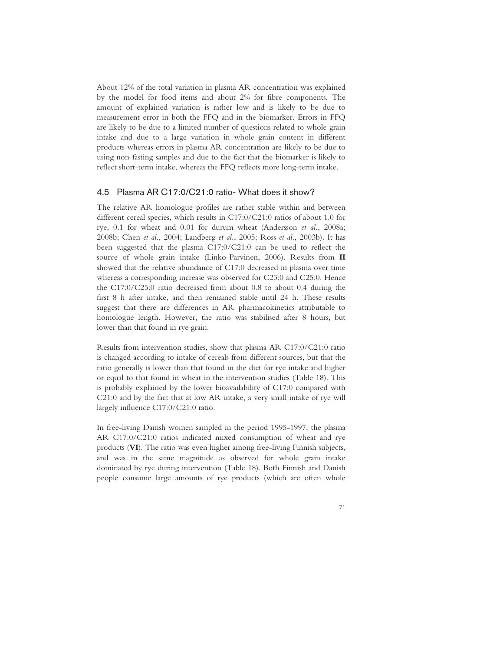About 12% of the total variation in plasma AR concentration was explained by the model for food items and about 2% for fibre components. The amount of explained variation is rather low and is likely to be due to measurement error in both the FFQ and in the biomarker. Errors in FFQ are likely to be due to a limited number of questions related to whole grain intake and due to a large variation in whole grain content in different products whereas errors in plasma AR concentration are likely to be due to using non-fasting samples and due to the fact that the biomarker is likely to reflect short-term intake, whereas the FFQ reflects more long-term intake.

### 4.5 Plasma AR C17:0/C21:0 ratio- What does it show?

The relative AR homologue profiles are rather stable within and between different cereal species, which results in C17:0/C21:0 ratios of about 1.0 for rye, 0.1 for wheat and 0.01 for durum wheat (Andersson *et al.*, 2008a; 2008b; Chen *et al.*, 2004; Landberg *et al.*, 2005; Ross *et al.*, 2003b). It has been suggested that the plasma C17:0/C21:0 can be used to reflect the source of whole grain intake (Linko-Parvinen, 2006). Results from **II** showed that the relative abundance of C17:0 decreased in plasma over time whereas a corresponding increase was observed for C23:0 and C25:0. Hence the C17:0/C25:0 ratio decreased from about 0.8 to about 0.4 during the first 8 h after intake, and then remained stable until 24 h. These results suggest that there are differences in AR pharmacokinetics attributable to homologue length. However, the ratio was stabilised after 8 hours, but lower than that found in rye grain.

Results from intervention studies, show that plasma AR C17:0/C21:0 ratio is changed according to intake of cereals from different sources, but that the ratio generally is lower than that found in the diet for rye intake and higher or equal to that found in wheat in the intervention studies (Table 18). This is probably explained by the lower bioavailability of C17:0 compared with C21:0 and by the fact that at low AR intake, a very small intake of rye will largely influence C17:0/C21:0 ratio.

In free-living Danish women sampled in the period 1995-1997, the plasma AR C17:0/C21:0 ratios indicated mixed consumption of wheat and rye products (**VI**). The ratio was even higher among free-living Finnish subjects, and was in the same magnitude as observed for whole grain intake dominated by rye during intervention (Table 18). Both Finnish and Danish people consume large amounts of rye products (which are often whole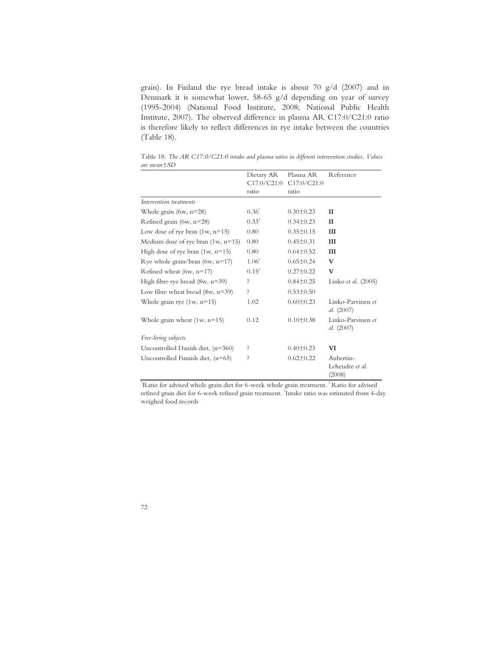grain). In Finland the rye bread intake is about 70 g/d (2007) and in Denmark it is somewhat lower, 58-65 g/d depending on year of survey (1995-2004) (National Food Institute, 2008; National Public Health Institute, 2007). The observed difference in plasma AR C17:0/C21:0 ratio is therefore likely to reflect differences in rye intake between the countries (Table 18).

|                                      | Dietary AR  | Plasma AR       | Reference                              |
|--------------------------------------|-------------|-----------------|----------------------------------------|
|                                      | C17:0/C21:0 | C17:0/C21:0     |                                        |
|                                      | ratio       | ratio           |                                        |
| Intervention treatments              |             |                 |                                        |
| Whole grain $(6w, n=28)$             | $0.36^1$    | $0.30 \pm 0.23$ | $\mathbf{I}$                           |
| Refined grain (6w, $n=28$ )          | $0.33^{2}$  | $0.34 \pm 0.23$ | $_{II}$                                |
| Low dose of rye bran $(1w, n=15)$    | 0.80        | $0.35 \pm 0.15$ | Ш                                      |
| Medium dose of rye bran $(1w, n=15)$ | 0.80        | $0.45 \pm 0.31$ | III                                    |
| High dose of rye bran $(1w, n=15)$   | 0.80        | $0.64 \pm 0.52$ | III                                    |
| Rye whole grain/bran (6w, $n=17$ )   | $1.06^3$    | $0.65 \pm 0.24$ | v                                      |
| Refined wheat $(6w, n=17)$           | $0.15^3$    | $0.27 \pm 0.22$ | V                                      |
| High fibre rye bread $(8w, n=39)$    | Ś.          | $0.84 \pm 0.25$ | Linko et al. (2005)                    |
| Low fibre wheat bread $(8w, n=39)$   | Ś.          | $0.53 \pm 0.50$ |                                        |
| Whole grain rye $(1w, n=15)$         | 1.02        | $0.60 \pm 0.23$ | Linko-Parvinen et<br>al. $(2007)$      |
| Whole grain wheat $(1w, n=15)$       | 0.12        | $0.10 \pm 0.38$ | Linko-Parvinen et<br>al. $(2007)$      |
| Free-living subjects                 |             |                 |                                        |
| Uncontrolled Danish diet, (n=360)    | Ś.          | $0.40 \pm 0.23$ | VI                                     |
| Uncontrolled Finnish diet, (n=65)    | Ş           | $0.62 \pm 0.22$ | Aubertin-<br>Leheudre et al.<br>(2008) |

Table 18*. The AR C17:0/C21:0 intake and plasma ratios in different intervention studies. Values are mean±SD* 

<sup>1</sup>Ratio for advised whole grain diet for 6-week whole grain treatment.<sup>2</sup> Ratio for advised refined grain diet for 6-week refined grain treatment. <sup>3</sup>Intake ratio was estimated from 4-day weighed food records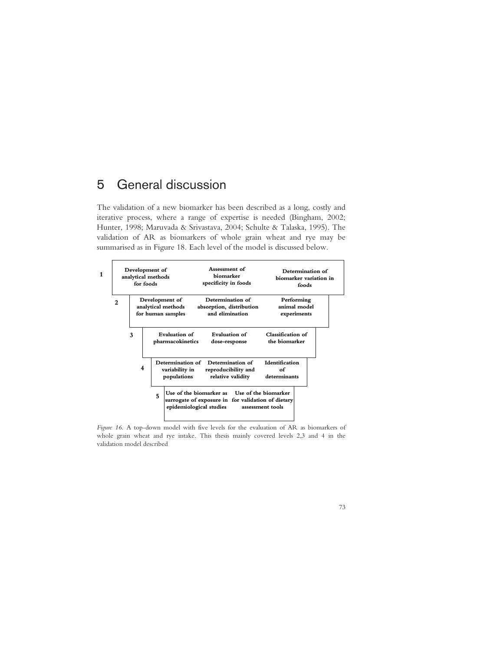# 5 General discussion

The validation of a new biomarker has been described as a long, costly and iterative process, where a range of expertise is needed (Bingham, 2002; Hunter, 1998; Maruvada & Srivastava, 2004; Schulte & Talaska, 1995). The validation of AR as biomarkers of whole grain wheat and rye may be summarised as in Figure 18. Each level of the model is discussed below.



*Figure 16.* A top-down model with five levels for the evaluation of AR as biomarkers of whole grain wheat and rye intake. This thesis mainly covered levels 2,3 and 4 in the validation model described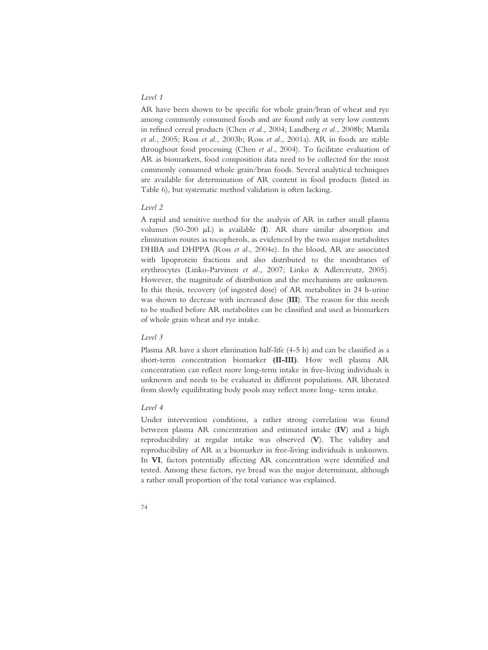### *Level 1*

AR have been shown to be specific for whole grain/bran of wheat and rye among commonly consumed foods and are found only at very low contents in refined cereal products (Chen *et al.*, 2004; Landberg *et al.*, 2008b; Mattila *et al.*, 2005; Ross *et al.*, 2003b; Ross *et al.*, 2001a). AR in foods are stable throughout food processing (Chen *et al.*, 2004). To facilitate evaluation of AR as biomarkers, food composition data need to be collected for the most commonly consumed whole grain/bran foods. Several analytical techniques are available for determination of AR content in food products (listed in Table 6), but systematic method validation is often lacking.

#### *Level 2*

A rapid and sensitive method for the analysis of AR in rather small plasma volumes (50-200 μL) is available (**I**). AR share similar absorption and elimination routes as tocopherols, as evidenced by the two major metabolites DHBA and DHPPA (Ross *et al.*, 2004e). In the blood, AR are associated with lipoprotein fractions and also distributed to the membranes of erythrocytes (Linko-Parvinen *et al.*, 2007; Linko & Adlercreutz, 2005). However, the magnitude of distribution and the mechanisms are unknown. In this thesis, recovery (of ingested dose) of AR metabolites in 24 h-urine was shown to decrease with increased dose (**III**). The reason for this needs to be studied before AR metabolites can be classified and used as biomarkers of whole grain wheat and rye intake.

#### *Level 3*

Plasma AR have a short elimination half-life (4-5 h) and can be classified as a short-term concentration biomarker **(II-III)**. How well plasma AR concentration can reflect more long-term intake in free-living individuals is unknown and needs to be evaluated in different populations. AR liberated from slowly equilibrating body pools may reflect more long- term intake.

#### *Level 4*

Under intervention conditions, a rather strong correlation was found between plasma AR concentration and estimated intake (**IV**) and a high reproducibility at regular intake was observed (**V**). The validity and reproducibility of AR as a biomarker in free-living individuals is unknown. In **VI**, factors potentially affecting AR concentration were identified and tested. Among these factors, rye bread was the major determinant, although a rather small proportion of the total variance was explained.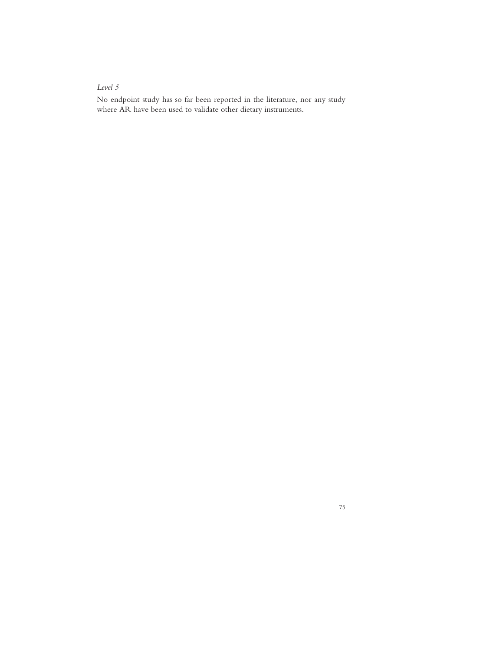### *Level 5*

No endpoint study has so far been reported in the literature, nor any study where AR have been used to validate other dietary instruments.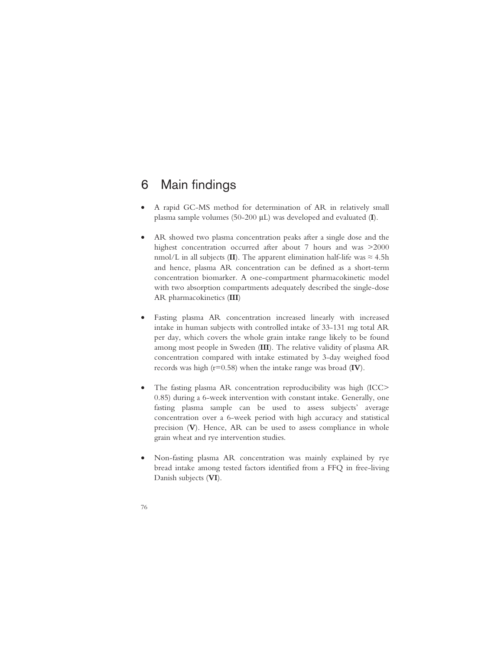### 6 Main findings

- A rapid GC-MS method for determination of AR in relatively small plasma sample volumes (50-200 μL) was developed and evaluated (**I**).
- AR showed two plasma concentration peaks after a single dose and the highest concentration occurred after about 7 hours and was >2000 nmol/L in all subjects (**II**). The apparent elimination half-life was  $\approx 4.5$ h and hence, plasma AR concentration can be defined as a short-term concentration biomarker. A one-compartment pharmacokinetic model with two absorption compartments adequately described the single-dose AR pharmacokinetics (**III**)
- Fasting plasma AR concentration increased linearly with increased intake in human subjects with controlled intake of 33-131 mg total AR per day, which covers the whole grain intake range likely to be found among most people in Sweden (**III**). The relative validity of plasma AR concentration compared with intake estimated by 3-day weighed food records was high (r=0.58) when the intake range was broad (**IV**).
- The fasting plasma AR concentration reproducibility was high (ICC> 0.85) during a 6-week intervention with constant intake. Generally, one fasting plasma sample can be used to assess subjects' average concentration over a 6-week period with high accuracy and statistical precision (**V**). Hence, AR can be used to assess compliance in whole grain wheat and rye intervention studies.
- Non-fasting plasma AR concentration was mainly explained by rye bread intake among tested factors identified from a FFQ in free-living Danish subjects (**VI**).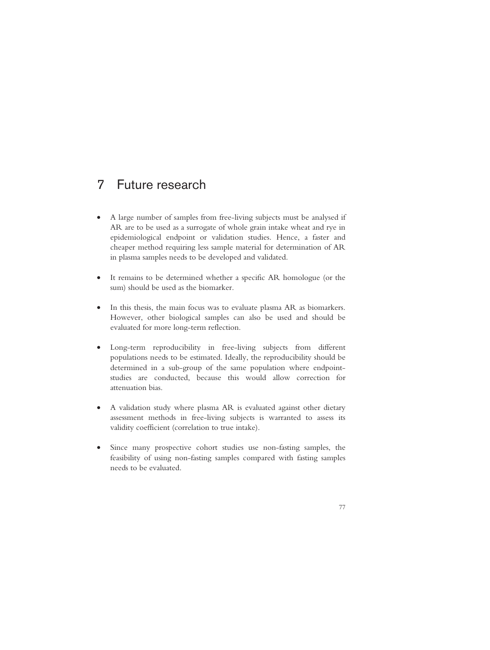## 7 Future research

- A large number of samples from free-living subjects must be analysed if AR are to be used as a surrogate of whole grain intake wheat and rye in epidemiological endpoint or validation studies. Hence, a faster and cheaper method requiring less sample material for determination of AR in plasma samples needs to be developed and validated.
- It remains to be determined whether a specific AR homologue (or the sum) should be used as the biomarker.
- In this thesis, the main focus was to evaluate plasma AR as biomarkers. However, other biological samples can also be used and should be evaluated for more long-term reflection.
- Long-term reproducibility in free-living subjects from different populations needs to be estimated. Ideally, the reproducibility should be determined in a sub-group of the same population where endpointstudies are conducted, because this would allow correction for attenuation bias.
- A validation study where plasma AR is evaluated against other dietary assessment methods in free-living subjects is warranted to assess its validity coefficient (correlation to true intake).
- Since many prospective cohort studies use non-fasting samples, the feasibility of using non-fasting samples compared with fasting samples needs to be evaluated.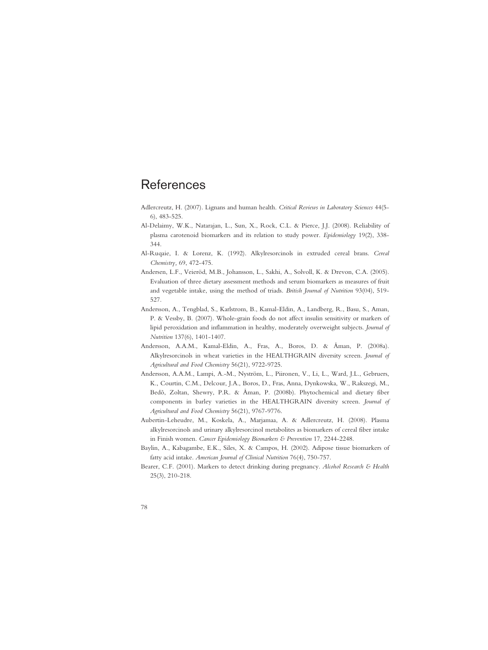### **References**

- Adlercreutz, H. (2007). Lignans and human health. *Critical Reviews in Laboratory Sciences* 44(5- 6), 483-525.
- Al-Delaimy, W.K., Natarajan, L., Sun, X., Rock, C.L. & Pierce, J.J. (2008). Reliability of plasma carotenoid biomarkers and its relation to study power. *Epidemiology* 19(2), 338- 344.
- Al-Ruqaie, I. & Lorenz, K. (1992). Alkylresorcinols in extruded cereal brans. *Cereal Chemistry,* 69, 472-475.
- Andersen, L.F., Veieröd, M.B., Johansson, L., Sakhi, A., Solvoll, K. & Drevon, C.A. (2005). Evaluation of three dietary assessment methods and serum biomarkers as measures of fruit and vegetable intake, using the method of triads. *British Journal of Nutrition* 93(04), 519- 527.
- Andersson, A., Tengblad, S., Karlstrom, B., Kamal-Eldin, A., Landberg, R., Basu, S., Aman, P. & Vessby, B. (2007). Whole-grain foods do not affect insulin sensitivity or markers of lipid peroxidation and inflammation in healthy, moderately overweight subjects. *Journal of Nutrition* 137(6), 1401-1407.
- Andersson, A.A.M., Kamal-Eldin, A., Fras, A., Boros, D. & Åman, P. (2008a). Alkylresorcinols in wheat varieties in the HEALTHGRAIN diversity screen. *Journal of Agricultural and Food Chemistry* 56(21), 9722-9725.
- Andersson, A.A.M., Lampi, A.-M., Nyström, L., Piironen, V., Li, L., Ward, J.L., Gebruers, K., Courtin, C.M., Delcour, J.A., Boros, D., Fras, Anna, Dynkowska, W., Rakszegi, M., Bedõ, Zoltan, Shewry, P.R. & Åman, P. (2008b). Phytochemical and dietary fiber components in barley varieties in the HEALTHGRAIN diversity screen. *Journal of Agricultural and Food Chemistry* 56(21), 9767-9776.
- Aubertin-Leheudre, M., Koskela, A., Marjamaa, A. & Adlercreutz, H. (2008). Plasma alkylresorcinols and urinary alkylresorcinol metabolites as biomarkers of cereal fiber intake in Finish women. *Cancer Epidemiology Biomarkers & Prevention* 17, 2244-2248.
- Baylin, A., Kabagambe, E.K., Siles, X. & Campos, H. (2002). Adipose tissue biomarkers of fatty acid intake. *American Journal of Clinical Nutrition* 76(4), 750-757.
- Bearer, C.F. (2001). Markers to detect drinking during pregnancy. *Alcohol Research & Health* 25(3), 210-218.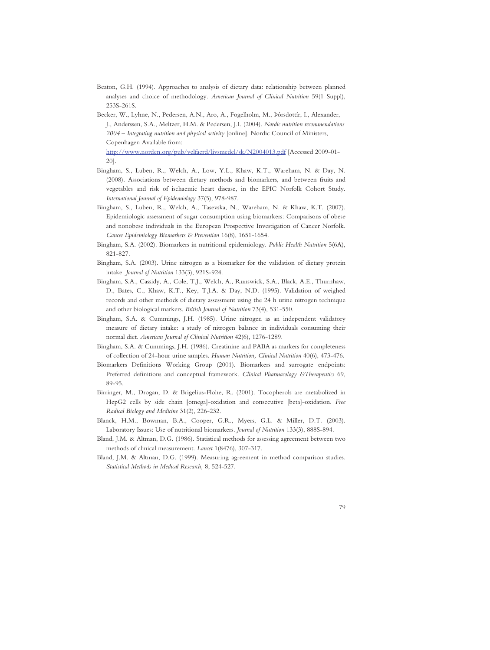- Beaton, G.H. (1994). Approaches to analysis of dietary data: relationship between planned analyses and choice of methodology. *American Journal of Clinical Nutrition* 59(1 Suppl), 253S-261S.
- Becker, W., Lyhne, N., Pedersen, A.N., Aro, A., Fogelholm, M., Þórsdottír, I., Alexander, J., Anderssen, S.A., Meltzer, H.M. & Pedersen, J.I. (2004). *Nordic nutrition recommendations 2004 – Integrating nutrition and physical activity* [online]. Nordic Council of Ministers, Copenhagen Available from: http://www.norden.org/pub/velfaerd/livsmedel/sk/N2004013.pdf [Accessed 2009-01- 20].
- Bingham, S., Luben, R., Welch, A., Low, Y.L., Khaw, K.T., Wareham, N. & Day, N. (2008). Associations between dietary methods and biomarkers, and between fruits and vegetables and risk of ischaemic heart disease, in the EPIC Norfolk Cohort Study. *International Journal of Epidemiology* 37(5), 978-987.
- Bingham, S., Luben, R., Welch, A., Tasevska, N., Wareham, N. & Khaw, K.T. (2007). Epidemiologic assessment of sugar consumption using biomarkers: Comparisons of obese and nonobese individuals in the European Prospective Investigation of Cancer Norfolk. *Cancer Epidemiology Biomarkers & Prevention* 16(8), 1651-1654.
- Bingham, S.A. (2002). Biomarkers in nutritional epidemiology. *Public Health Nutrition* 5(6A), 821-827.
- Bingham, S.A. (2003). Urine nitrogen as a biomarker for the validation of dietary protein intake. *Journal of Nutrition* 133(3), 921S-924.
- Bingham, S.A., Cassidy, A., Cole, T.J., Welch, A., Runswick, S.A., Black, A.E., Thurnhaw, D., Bates, C., Khaw, K.T., Key, T.J.A. & Day, N.D. (1995). Validation of weighed records and other methods of dietary assessment using the 24 h urine nitrogen technique and other biological markers. *British Journal of Nutrition* 73(4), 531-550.
- Bingham, S.A. & Cummings, J.H. (1985). Urine nitrogen as an independent validatory measure of dietary intake: a study of nitrogen balance in individuals consuming their normal diet. *American Journal of Clinical Nutrition* 42(6), 1276-1289.
- Bingham, S.A. & Cummings, J.H. (1986). Creatinine and PABA as markers for completeness of collection of 24-hour urine samples. *Human Nutrition, Clinical Nutrition* 40(6), 473-476.
- Biomarkers Definitions Working Group (2001). Biomarkers and surrogate endpoints: Preferred definitions and conceptual framework. *Clinical Pharmacology &Therapeutics* 69, 89-95.
- Birringer, M., Drogan, D. & Brigelius-Flohe, R. (2001). Tocopherols are metabolized in HepG2 cells by side chain [omega]-oxidation and consecutive [beta]-oxidation. *Free Radical Biology and Medicine* 31(2), 226-232.
- Blanck, H.M., Bowman, B.A., Cooper, G.R., Myers, G.L. & Miller, D.T. (2003). Laboratory Issues: Use of nutritional biomarkers. *Journal of Nutrition* 133(3), 888S-894.
- Bland, J.M. & Altman, D.G. (1986). Statistical methods for assessing agreement between two methods of clinical measurement. *Lancet* 1(8476), 307-317.
- Bland, J.M. & Altman, D.G. (1999). Measuring agreement in method comparison studies. *Statistical Methods in Medical Research,* 8, 524-527.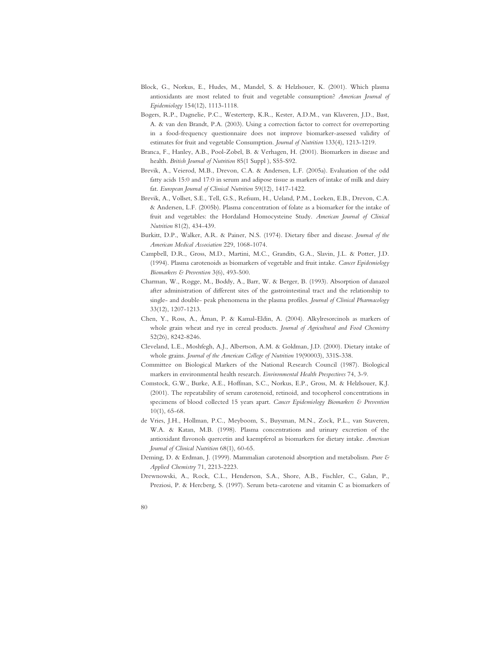- Block, G., Norkus, E., Hudes, M., Mandel, S. & Helzlsouer, K. (2001). Which plasma antioxidants are most related to fruit and vegetable consumption? *American Journal of Epidemiology* 154(12), 1113-1118.
- Bogers, R.P., Dagnelie, P.C., Westerterp, K.R., Kester, A.D.M., van Klaveren, J.D., Bast, A. & van den Brandt, P.A. (2003). Using a correction factor to correct for overreporting in a food-frequency questionnaire does not improve biomarker-assessed validity of estimates for fruit and vegetable Consumption. *Journal of Nutrition* 133(4), 1213-1219.
- Branca, F., Hanley, A.B., Pool-Zobel, B. & Verhagen, H. (2001). Biomarkers in disease and health. *British Journal of Nutrition* 85(1 Suppl ), S55-S92.
- Brevik, A., Veierod, M.B., Drevon, C.A. & Andersen, L.F. (2005a). Evaluation of the odd fatty acids 15:0 and 17:0 in serum and adipose tissue as markers of intake of milk and dairy fat. *European Journal of Clinical Nutrition* 59(12), 1417-1422.
- Brevik, A., Vollset, S.E., Tell, G.S., Refsum, H., Ueland, P.M., Loeken, E.B., Drevon, C.A. & Andersen, L.F. (2005b). Plasma concentration of folate as a biomarker for the intake of fruit and vegetables: the Hordaland Homocysteine Study. *American Journal of Clinical Nutrition* 81(2), 434-439.
- Burkitt, D.P., Walker, A.R. & Painer, N.S. (1974). Dietary fiber and disease. *Journal of the American Medical Association* 229, 1068-1074.
- Campbell, D.R., Gross, M.D., Martini, M.C., Grandits, G.A., Slavin, J.L. & Potter, J.D. (1994). Plasma carotenoids as biomarkers of vegetable and fruit intake. *Cancer Epidemiology Biomarkers & Prevention* 3(6), 493-500.
- Charman, W., Rogge, M., Boddy, A., Barr, W. & Berger, B. (1993). Absorption of danazol after administration of different sites of the gastrointestinal tract and the relationship to single- and double- peak phenomena in the plasma profiles. *Journal of Clinical Pharmacology* 33(12), 1207-1213.
- Chen, Y., Ross, A., Åman, P. & Kamal-Eldin, A. (2004). Alkylresorcinols as markers of whole grain wheat and rye in cereal products. *Journal of Agricultural and Food Chemistry* 52(26), 8242-8246.
- Cleveland, L.E., Moshfegh, A.J., Albertson, A.M. & Goldman, J.D. (2000). Dietary intake of whole grains. *Journal of the American College of Nutrition* 19(90003), 331S-338.
- Committee on Biological Markers of the National Research Council (1987). Biological markers in environmental health research. *Environmental Health Prespectives* 74, 3-9.
- Comstock, G.W., Burke, A.E., Hoffman, S.C., Norkus, E.P., Gross, M. & Helzlsouer, K.J. (2001). The repeatability of serum carotenoid, retinoid, and tocopherol concentrations in specimens of blood collected 15 years apart. *Cancer Epidemiology Biomarkers & Prevention* 10(1), 65-68.
- de Vries, J.H., Hollman, P.C., Meyboom, S., Buysman, M.N., Zock, P.L., van Staveren, W.A. & Katan, M.B. (1998). Plasma concentrations and urinary excretion of the antioxidant flavonols quercetin and kaempferol as biomarkers for dietary intake. *American Journal of Clinical Nutrition* 68(1), 60-65.
- Deming, D. & Erdman, J. (1999). Mammalian carotenoid absorption and metabolism. *Pure & Applied Chemistry* 71, 2213-2223.
- Drewnowski, A., Rock, C.L., Henderson, S.A., Shore, A.B., Fischler, C., Galan, P., Preziosi, P. & Hercberg, S. (1997). Serum beta-carotene and vitamin C as biomarkers of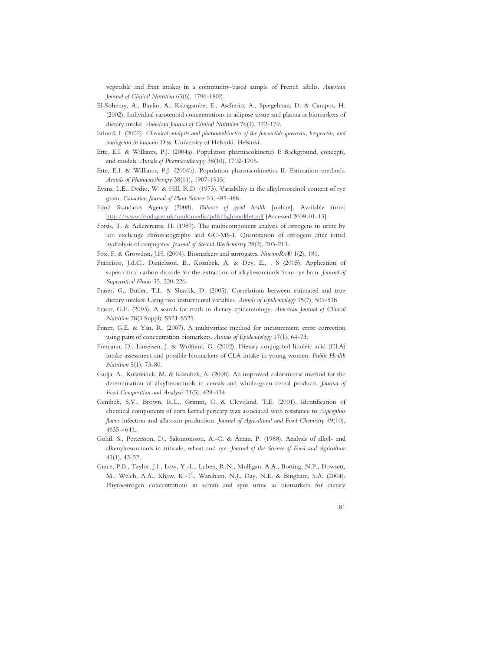vegetable and fruit intakes in a community-based sample of French adults. *American Journal of Clinical Nutrition* 65(6), 1796-1802.

- El-Sohemy, A., Baylin, A., Kabagambe, E., Ascherio, A., Spiegelman, D. & Campos, H. (2002). Individual carotenoid concentrations in adipose tissue and plasma as biomarkers of dietary intake. *American Journal of Clinical Nutrition* 76(1), 172-179.
- Erlund, I. (2002). *Chemical analysis and pharmacokinetics of the flavanoids quercetin, hesperetin, and naringenin in humans* Diss. University of Helsinki. Helsinki.
- Ette, E.I. & Williams, P.J. (2004a). Population pharmacokinetics I: Background, concepts, and models. *Annals of Pharmacotherapy* 38(10), 1702-1706.
- Ette, E.I. & Williams, P.J. (2004b). Population pharmacokinetics II: Estimation methods. *Annals of Pharmacotherapy* 38(11), 1907-1915.
- Evans, L.E., Dedio, W. & Hill, R.D. (1973). Variability in the alkylresorcinol content of rye grain. *Canadian Journal of Plant Science* 53, 485-488.
- Food Standards Agency (2008). *Balance of good health* [online]. Available from: http://www.food.gov.uk/multimedia/pdfs/bghbooklet.pdf [Accessed 2009-01-13].
- Fotsis, T. & Adlercreutz, H. (1987). The multicomponent analysis of estrogens in urine by ion exchange chromatography and GC-MS-I. Quantitation of estrogens after initial hydrolysis of conjugates. *Journal of Steroid Biochemistry* 28(2), 203-213.
- Fox, F. & Growdon, J.H. (2004). Biomarkers and surrogates. *NueuroRx®* 1(2), 181.
- Francisco, J.d.C., Danielsson, B., Kozubek, A. & Dey, E., . S (2005). Application of supercritical carbon dioxide for the extraction of alkylresorcinols from rye bran. *Journal of Supercritical Fluids* 35, 220-226.
- Fraser, G., Butler, T.L. & Shavlik, D. (2005). Correlations between estimated and true dietary intakes: Using two insturmental variables. *Annals of Epidemiology* 15(7), 509-518.
- Fraser, G.E. (2003). A search for truth in dietary epidemiology. *American Journal of Clinical Nutrition* 78(3 Suppl), S521-S525.
- Fraser, G.E. & Yan, R. (2007). A multivariate method for measurement error correction using pairs of concentration biomarkers. *Annals of Epidemiology* 17(1), 64-73.
- Fremann, D., Linseisen, J. & Wolfram, G. (2002). Dietary conjugated linoleic acid (CLA) intake assessment and possible biomarkers of CLA intake in young women. *Public Health Nutrition* 5(1), 73-80.
- Gadja, A., Kulawinek, M. & Kozubek, A. (2008). An improved colorimetric method for the determination of alkylresorcinols in cereals and whole-grain cereal products. *Journal of Food Composition and Analysis* 21(5), 428-434.
- Gembeh, S.V., Brown, R.L., Grimm, C. & Cleveland, T.E. (2001). Identification of chemical components of corn kernel pericarp wax associated with resistance to *Aspergillus flavus* infection and aflatoxin production. *Journal of Agricultural and Food Chemistry* 49(10), 4635-4641.
- Gohil, S., Pettersson, D., Salomonsson, A.-C. & Åman, P. (1988). Analysis of alkyl- and alkenylresorcinols in triticale, wheat and rye. *Journal of the Science of Food and Agriculture* 45(1), 43-52.
- Grace, P.B., Taylor, J.I., Low, Y.-L., Luben, R.N., Mulligan, A.A., Botting, N.P., Dowsett, M., Welch, A.A., Khaw, K.-T., Wareham, N.J., Day, N.E. & Bingham, S.A. (2004). Phytoestrogen concentrations in serum and spot urine as biomarkers for dietary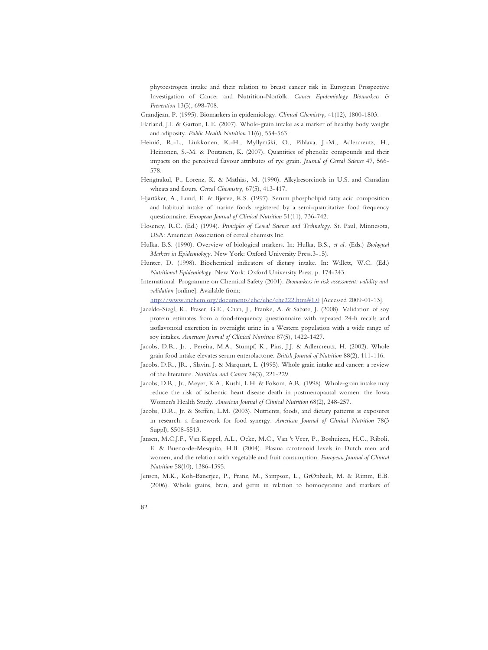phytoestrogen intake and their relation to breast cancer risk in European Prospective Investigation of Cancer and Nutrition-Norfolk. *Cancer Epidemiology Biomarkers & Prevention* 13(5), 698-708.

- Grandjean, P. (1995). Biomarkers in epidemiology. *Clinical Chemistry,* 41(12), 1800-1803.
- Harland, J.I. & Garton, L.E. (2007). Whole-grain intake as a marker of healthy body weight and adiposity. *Public Health Nutrition* 11(6), 554-563.
- Heiniö, R.-L., Liukkonen, K.-H., Myllymäki, O., Pihlava, J.-M., Adlercreutz, H., Heinonen, S.-M. & Poutanen, K. (2007). Quantities of phenolic compounds and their impacts on the perceived flavour attributes of rye grain. *Journal of Cereal Science* 47, 566- 578.
- Hengtrakul, P., Lorenz, K. & Mathias, M. (1990). Alkylresorcinols in U.S. and Canadian wheats and flours. *Cereal Chemistry,* 67(5), 413-417.
- Hjartåker, A., Lund, E. & Bjerve, K.S. (1997). Serum phospholipid fatty acid composition and habitual intake of marine foods registered by a semi-quantitative food frequency questionnaire. *European Journal of Clinical Nutrition* 51(11), 736-742.
- Hoseney, R.C. (Ed.) (1994). *Principles of Cereal Science and Technology*. St. Paul, Minnesota, USA: American Association of cereal chemists Inc.
- Hulka, B.S. (1990). Overview of biological markers. In: Hulka, B.S.*, et al.* (Eds.) *Biological Markers in Epidemiology.* New York: Oxford University Press.3-15).
- Hunter, D. (1998). Biochemical indicators of dietary intake. In: Willett, W.C. (Ed.) *Nutritional Epidemiology.* New York: Oxford University Press. p. 174-243.
- International Programme on Chemical Safety (2001). *Biomarkers in risk assessment: validity and validation* [online]. Available from:

http://www.inchem.org/documents/ehc/ehc/ehc222.htm#1.0 [Accessed 2009-01-13].

- Jaceldo-Siegl, K., Fraser, G.E., Chan, J., Franke, A. & Sabate, J. (2008). Validation of soy protein estimates from a food-frequency questionnaire with repeated 24-h recalls and isoflavonoid excretion in overnight urine in a Western population with a wide range of soy intakes. *American Journal of Clinical Nutrition* 87(5), 1422-1427.
- Jacobs, D.R., Jr. , Pereira, M.A., Stumpf, K., Pins, J.J. & Adlercreutz, H. (2002). Whole grain food intake elevates serum enterolactone. *British Journal of Nutrition* 88(2), 111-116.
- Jacobs, D.R., JR. , Slavin, J. & Marquart, L. (1995). Whole grain intake and cancer: a review of the literature. *Nutrition and Cancer* 24(3), 221-229.
- Jacobs, D.R., Jr., Meyer, K.A., Kushi, L.H. & Folsom, A.R. (1998). Whole-grain intake may reduce the risk of ischemic heart disease death in postmenopausal women: the Iowa Women's Health Study. *American Journal of Clinical Nutrition* 68(2), 248-257.
- Jacobs, D.R., Jr. & Steffen, L.M. (2003). Nutrients, foods, and dietary patterns as exposures in research: a framework for food synergy. *American Journal of Clinical Nutrition* 78(3 Suppl), S508-S513.
- Jansen, M.C.J.F., Van Kappel, A.L., Ocke, M.C., Van 't Veer, P., Boshuizen, H.C., Riboli, E. & Bueno-de-Mesquita, H.B. (2004). Plasma carotenoid levels in Dutch men and women, and the relation with vegetable and fruit consumption. *European Journal of Clinical Nutrition* 58(10), 1386-1395.
- Jensen, M.K., Koh-Banerjee, P., Franz, M., Sampson, L., GrØnbaek, M. & Rimm, E.B. (2006). Whole grains, bran, and germ in relation to homocysteine and markers of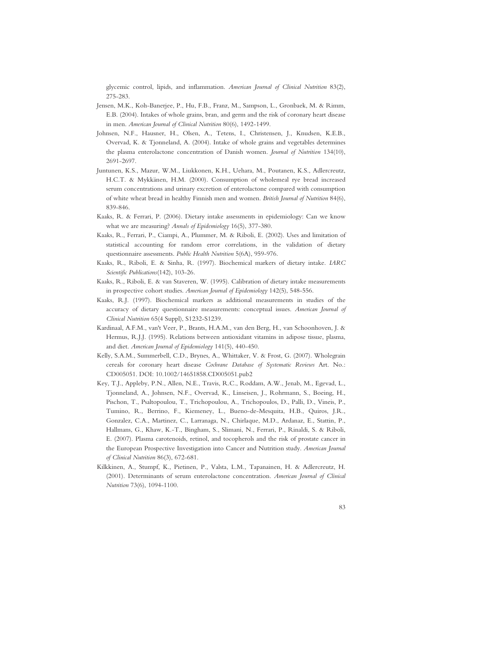glycemic control, lipids, and inflammation. *American Journal of Clinical Nutrition* 83(2), 275-283.

- Jensen, M.K., Koh-Banerjee, P., Hu, F.B., Franz, M., Sampson, L., Gronbaek, M. & Rimm, E.B. (2004). Intakes of whole grains, bran, and germ and the risk of coronary heart disease in men. *American Journal of Clinical Nutrition* 80(6), 1492-1499.
- Johnsen, N.F., Hausner, H., Olsen, A., Tetens, I., Christensen, J., Knudsen, K.E.B., Overvad, K. & Tjonneland, A. (2004). Intake of whole grains and vegetables determines the plasma enterolactone concentration of Danish women. *Journal of Nutrition* 134(10), 2691-2697.
- Juntunen, K.S., Mazur, W.M., Liukkonen, K.H., Uehara, M., Poutanen, K.S., Adlercreutz, H.C.T. & Mykkänen, H.M. (2000). Consumption of wholemeal rye bread increased serum concentrations and urinary excretion of enterolactone compared with consumption of white wheat bread in healthy Finnish men and women. *British Journal of Nutrition* 84(6), 839-846.
- Kaaks, R. & Ferrari, P. (2006). Dietary intake assessments in epidemiology: Can we know what we are measuring? *Annals of Epidemiology* 16(5), 377-380.
- Kaaks, R., Ferrari, P., Ciampi, A., Plummer, M. & Riboli, E. (2002). Uses and limitation of statistical accounting for random error correlations, in the validation of dietary questionnaire assessments. *Public Health Nutrition* 5(6A), 959-976.
- Kaaks, R., Riboli, E. & Sinha, R. (1997). Biochemical markers of dietary intake. *IARC Scientific Publications*(142), 103-26.
- Kaaks, R., Riboli, E. & van Staveren, W. (1995). Calibration of dietary intake measurements in prospective cohort studies. *American Journal of Epidemiology* 142(5), 548-556.
- Kaaks, R.J. (1997). Biochemical markers as additional measurements in studies of the accuracy of dietary questionnaire measurements: conceptual issues. *American Journal of Clinical Nutrition* 65(4 Suppl), S1232-S1239.
- Kardinaal, A.F.M., van't Veer, P., Brants, H.A.M., van den Berg, H., van Schoonhoven, J. & Hermus, R.J.J. (1995). Relations between antioxidant vitamins in adipose tissue, plasma, and diet. *American Journal of Epidemiology* 141(5), 440-450.
- Kelly, S.A.M., Summerbell, C.D., Brynes, A., Whittaker, V. & Frost, G. (2007). Wholegrain cereals for coronary heart disease *Cochrane Database of Systematic Reviews* Art. No.: CD005051. DOI: 10.1002/14651858.CD005051.pub2
- Key, T.J., Appleby, P.N., Allen, N.E., Travis, R.C., Roddam, A.W., Jenab, M., Egevad, L., Tjonneland, A., Johnsen, N.F., Overvad, K., Linseisen, J., Rohrmann, S., Boeing, H., Pischon, T., Psaltopoulou, T., Trichopoulou, A., Trichopoulos, D., Palli, D., Vineis, P., Tumino, R., Berrino, F., Kiemeney, L., Bueno-de-Mesquita, H.B., Quiros, J.R., Gonzalez, C.A., Martinez, C., Larranaga, N., Chirlaque, M.D., Ardanaz, E., Stattin, P., Hallmans, G., Khaw, K.-T., Bingham, S., Slimani, N., Ferrari, P., Rinaldi, S. & Riboli, E. (2007). Plasma carotenoids, retinol, and tocopherols and the risk of prostate cancer in the European Prospective Investigation into Cancer and Nutrition study. *American Journal of Clinical Nutrition* 86(3), 672-681.
- Kilkkinen, A., Stumpf, K., Pietinen, P., Valsta, L.M., Tapanainen, H. & Adlercreutz, H. (2001). Determinants of serum enterolactone concentration. *American Journal of Clinical Nutrition* 73(6), 1094-1100.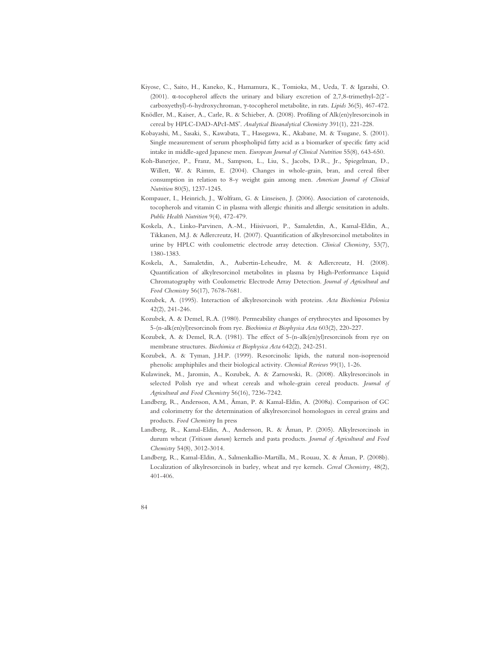- Kiyose, C., Saito, H., Kaneko, K., Hamamura, K., Tomioka, M., Ueda, T. & Igarashi, O. (2001).  $\alpha$ -tocopherol affects the urinary and biliary excretion of 2,7,8-trimethyl-2(2´carboxyethyl)-6-hydroxychroman,  $\gamma$ -tocopherol metabolite, in rats. *Lipids* 36(5), 467-472.
- Knödler, M., Kaiser, A., Carle, R. & Schieber, A. (2008). Profiling of Alk(en)ylresorcinols in cereal by HPLC-DAD-APcI-MS<sup>n</sup>. Analytical Bioanalytical Chemistry 391(1), 221-228.
- Kobayashi, M., Sasaki, S., Kawabata, T., Hasegawa, K., Akabane, M. & Tsugane, S. (2001). Single measurement of serum phospholipid fatty acid as a biomarker of specific fatty acid intake in middle-aged Japanese men. *European Journal of Clinical Nutrition* 55(8), 643-650.
- Koh-Banerjee, P., Franz, M., Sampson, L., Liu, S., Jacobs, D.R., Jr., Spiegelman, D., Willett, W. & Rimm, E. (2004). Changes in whole-grain, bran, and cereal fiber consumption in relation to 8-y weight gain among men. *American Journal of Clinical Nutrition* 80(5), 1237-1245.
- Kompauer, I., Heinrich, J., Wolfram, G. & Linseisen, J. (2006). Association of carotenoids, tocopherols and vitamin C in plasma with allergic rhinitis and allergic sensitation in adults. *Public Health Nutrition* 9(4), 472-479.
- Koskela, A., Linko-Parvinen, A.-M., Hiisivuori, P., Samaletdin, A., Kamal-Eldin, A., Tikkanen, M.J. & Adlercreutz, H. (2007). Quantification of alkylresorcinol metabolites in urine by HPLC with coulometric electrode array detection. *Clinical Chemistry,* 53(7), 1380-1383.
- Koskela, A., Samaletdin, A., Aubertin-Leheudre, M. & Adlercreutz, H. (2008). Quantification of alkylresorcinol metabolites in plasma by High-Performance Liquid Chromatography with Coulometric Electrode Array Detection. *Journal of Agricultural and Food Chemistry* 56(17), 7678-7681.
- Kozubek, A. (1995). Interaction of alkylresorcinols with proteins. *Acta Biochimica Polonica* 42(2), 241-246.
- Kozubek, A. & Demel, R.A. (1980). Permeability changes of erythrocytes and liposomes by 5-(n-alk(en)yl)resorcinols from rye. *Biochimica et Biophysica Acta* 603(2), 220-227.
- Kozubek, A. & Demel, R.A. (1981). The effect of 5-(n-alk(en)yl)resorcinols from rye on membrane structures. *Biochimica et Biophysica Acta* 642(2), 242-251.
- Kozubek, A. & Tyman, J.H.P. (1999). Resorcinolic lipids, the natural non-isoprenoid phenolic amphiphiles and their biological activity. *Chemical Reviews* 99(1), 1-26.
- Kulawinek, M., Jaromin, A., Kozubek, A. & Zarnowski, R. (2008). Alkylresorcinols in selected Polish rye and wheat cereals and whole-grain cereal products. *Journal of Agricultural and Food Chemistry* 56(16), 7236-7242.
- Landberg, R., Andersson, A.M., Åman, P. & Kamal-Eldin, A. (2008a). Comparison of GC and colorimetry for the determination of alkylresorcinol homologues in cereal grains and products. *Food Chemistry* In press
- Landberg, R., Kamal-Eldin, A., Andersson, R. & Åman, P. (2005). Alkylresorcinols in durum wheat (*Triticum durum*) kernels and pasta products. *Journal of Agricultural and Food Chemistry* 54(8), 3012-3014.
- Landberg, R., Kamal-Eldin, A., Salmenkallio-Martilla, M., Rouau, X. & Åman, P. (2008b). Localization of alkylresorcinols in barley, wheat and rye kernels. *Cereal Chemistry,* 48(2), 401-406.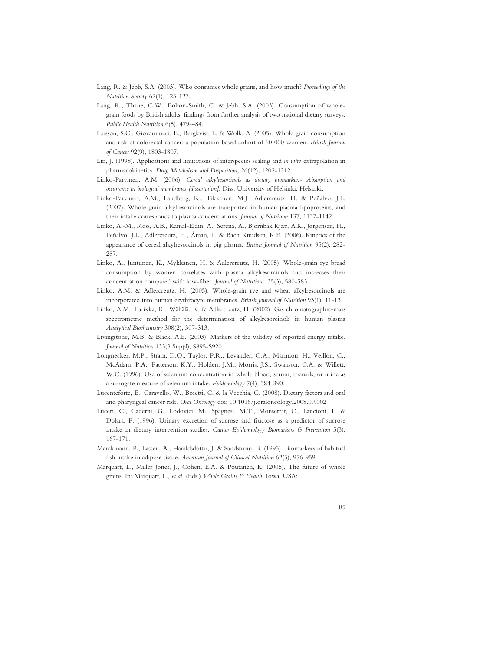- Lang, R. & Jebb, S.A. (2003). Who consumes whole grains, and how much? *Proceedings of the Nutrition Society* 62(1), 123-127.
- Lang, R., Thane, C.W., Bolton-Smith, C. & Jebb, S.A. (2003). Consumption of wholegrain foods by British adults: findings from further analysis of two national dietary surveys. *Public Health Nutrition* 6(5), 479-484.
- Larsson, S.C., Giovannucci, E., Bergkvist, L. & Wolk, A. (2005). Whole grain consumption and risk of colorectal cancer: a population-based cohort of 60 000 women. *British Journal of Cancer* 92(9), 1803-1807.
- Lin, J. (1998). Applications and limitations of interspecies scaling and *in vitro* extrapolation in pharmacokinetics. *Drug Metabolism and Disposition,* 26(12), 1202-1212.
- Linko-Parvinen, A.M. (2006). *Cereal alkylresorcinols as dietary biomarkers- Absorption and occurrence in biological membranes [dissertation].* Diss. University of Helsinki. Helsinki.
- Linko-Parvinen, A.M., Landberg, R., Tikkanen, M.J., Adlercreutz, H. & Peñalvo, J.L. (2007). Whole-grain alkylresorcinols are transported in human plasma lipoproteins, and their intake corresponds to plasma concentrations. *Journal of Nutrition* 137, 1137-1142.
- Linko, A.-M., Ross, A.B., Kamal-Eldin, A., Serena, A., Bjørnbak Kjær, A.K., Jørgensen, H., Peñalvo, J.L., Adlercreutz, H., Åman, P. & Bach Knudsen, K.E. (2006). Kinetics of the appearance of cereal alkylresorcinols in pig plasma. *British Journal of Nutrition* 95(2), 282- 287.
- Linko, A., Juntunen, K., Mykkanen, H. & Adlercreutz, H. (2005). Whole-grain rye bread consumption by women correlates with plasma alkylresorcinols and increases their concentration compared with low-fiber. *Journal of Nutrition* 135(3), 580-583.
- Linko, A.M. & Adlercreutz, H. (2005). Whole-grain rye and wheat alkylresorcinols are incorporated into human erythrocyte membranes. *British Journal of Nutrition* 93(1), 11-13.
- Linko, A.M., Parikka, K., Wähälä, K. & Adlercreutz, H. (2002). Gas chromatographic-mass spectrometric method for the determination of alkylresorcinols in human plasma *Analytical Biochemistry* 308(2), 307-313.
- Livingstone, M.B. & Black, A.E. (2003). Markers of the validity of reported energy intake. *Journal of Nutrition* 133(3 Suppl), S895-S920.
- Longnecker, M.P., Stram, D.O., Taylor, P.R., Levander, O.A., Marmion, H., Veillon, C., McAdam, P.A., Patterson, K.Y., Holden, J.M., Morris, J.S., Swanson, C.A. & Willett, W.C. (1996). Use of selenium concentration in whole blood, serum, toenails, or urine as a surrogate measure of selenium intake. *Epidemiology* 7(4), 384-390.
- Lucenteforte, E., Garavello, W., Bosetti, C. & la Vecchia, C. (2008). Dietary factors and oral and pharyngeal cancer risk. *Oral Oncology* doi: 10.1016/j.oraloncology.2008.09.002
- Luceri, C., Caderni, G., Lodovici, M., Spagnesi, M.T., Monserrat, C., Lancioni, L. & Dolara, P. (1996). Urinary excretion of sucrose and fructose as a predictor of sucrose intake in dietary intervention studies. *Cancer Epidemiology Biomarkers & Prevention* 5(3), 167-171.
- Marckmann, P., Lassen, A., Haraldsdottir, J. & Sandstrom, B. (1995). Biomarkers of habitual fish intake in adipose tissue. *American Journal of Clinical Nutrition* 62(5), 956-959.
- Marquart, L., Miller Jones, J., Cohen, E.A. & Poutanen, K. (2005). The future of whole grains. In: Marquart, L.*, et al.* (Eds.) *Whole Grains & Health.* Iowa, USA: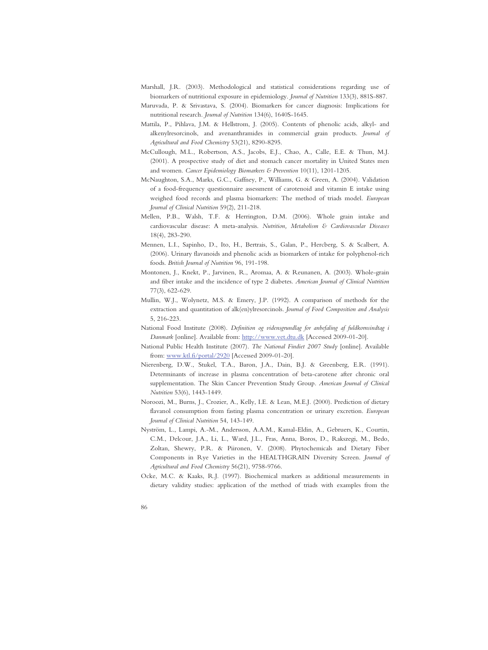- Marshall, J.R. (2003). Methodological and statistical considerations regarding use of biomarkers of nutritional exposure in epidemiology. *Journal of Nutrition* 133(3), 881S-887.
- Maruvada, P. & Srivastava, S. (2004). Biomarkers for cancer diagnosis: Implications for nutritional research. *Journal of Nutrition* 134(6), 1640S-1645.
- Mattila, P., Pihlava, J.M. & Hellstrom, J. (2005). Contents of phenolic acids, alkyl- and alkenylresorcinols, and avenanthramides in commercial grain products. *Journal of Agricultural and Food Chemistry* 53(21), 8290-8295.
- McCullough, M.L., Robertson, A.S., Jacobs, E.J., Chao, A., Calle, E.E. & Thun, M.J. (2001). A prospective study of diet and stomach cancer mortality in United States men and women. *Cancer Epidemiology Biomarkers & Prevention* 10(11), 1201-1205.
- McNaughton, S.A., Marks, G.C., Gaffney, P., Williams, G. & Green, A. (2004). Validation of a food-frequency questionnaire assessment of carotenoid and vitamin E intake using weighed food records and plasma biomarkers: The method of triads model. *European Journal of Clinical Nutrition* 59(2), 211-218.
- Mellen, P.B., Walsh, T.F. & Herrington, D.M. (2006). Whole grain intake and cardiovascular disease: A meta-analysis. *Nutrition, Metabolism & Cardiovascular Diseases* 18(4), 283-290.
- Mennen, L.I., Sapinho, D., Ito, H., Bertrais, S., Galan, P., Hercberg, S. & Scalbert, A. (2006). Urinary flavanoids and phenolic acids as biomarkers of intake for polyphenol-rich foods. *British Journal of Nutrition* 96, 191-198.
- Montonen, J., Knekt, P., Jarvinen, R., Aromaa, A. & Reunanen, A. (2003). Whole-grain and fiber intake and the incidence of type 2 diabetes. *American Journal of Clinical Nutrition* 77(3), 622-629.
- Mullin, W.J., Wolynetz, M.S. & Emery, J.P. (1992). A comparison of methods for the extraction and quantitation of alk(en)ylresorcinols. *Journal of Food Composition and Analysis* 5, 216-223.
- National Food Institute (2008). *Definition og vidensgrundlag for anbefaling af fuldkornsindtag i Danmark* [online]. Available from: http://www.vet.dtu.dk [Accessed 2009-01-20].
- National Public Health Institute (2007). *The National Findiet 2007 Study* [online]. Available from: www.ktl.fi/portal/2920 [Accessed 2009-01-20].
- Nierenberg, D.W., Stukel, T.A., Baron, J.A., Dain, B.J. & Greenberg, E.R. (1991). Determinants of increase in plasma concentration of beta-carotene after chronic oral supplementation. The Skin Cancer Prevention Study Group. *American Journal of Clinical Nutrition* 53(6), 1443-1449.
- Noroozi, M., Burns, J., Crozier, A., Kelly, I.E. & Lean, M.E.J. (2000). Prediction of dietary flavanol consumption from fasting plasma concentration or urinary excretion. *European Journal of Clinical Nutrition* 54, 143-149.
- Nyström, L., Lampi, A.-M., Andersson, A.A.M., Kamal-Eldin, A., Gebruers, K., Courtin, C.M., Delcour, J.A., Li, L., Ward, J.L., Fras, Anna, Boros, D., Rakszegi, M., Bedo, Zoltan, Shewry, P.R. & Piironen, V. (2008). Phytochemicals and Dietary Fiber Components in Rye Varieties in the HEALTHGRAIN Diversity Screen. *Journal of Agricultural and Food Chemistry* 56(21), 9758-9766.
- Ocke, M.C. & Kaaks, R.J. (1997). Biochemical markers as additional measurements in dietary validity studies: application of the method of triads with examples from the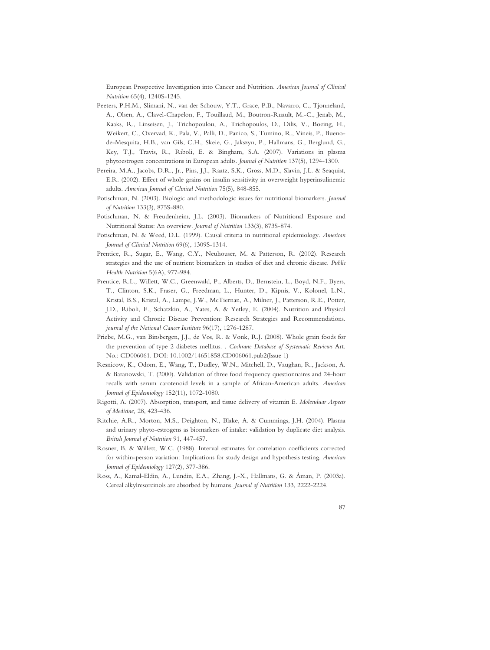European Prospective Investigation into Cancer and Nutrition. *American Journal of Clinical Nutrition* 65(4), 1240S-1245.

- Peeters, P.H.M., Slimani, N., van der Schouw, Y.T., Grace, P.B., Navarro, C., Tjonneland, A., Olsen, A., Clavel-Chapelon, F., Touillaud, M., Boutron-Ruault, M.-C., Jenab, M., Kaaks, R., Linseisen, J., Trichopoulou, A., Trichopoulos, D., Dilis, V., Boeing, H., Weikert, C., Overvad, K., Pala, V., Palli, D., Panico, S., Tumino, R., Vineis, P., Buenode-Mesquita, H.B., van Gils, C.H., Skeie, G., Jakszyn, P., Hallmans, G., Berglund, G., Key, T.J., Travis, R., Riboli, E. & Bingham, S.A. (2007). Variations in plasma phytoestrogen concentrations in European adults. *Journal of Nutrition* 137(5), 1294-1300.
- Pereira, M.A., Jacobs, D.R., Jr., Pins, J.J., Raatz, S.K., Gross, M.D., Slavin, J.L. & Seaquist, E.R. (2002). Effect of whole grains on insulin sensitivity in overweight hyperinsulinemic adults. *American Journal of Clinical Nutrition* 75(5), 848-855.
- Potischman, N. (2003). Biologic and methodologic issues for nutritional biomarkers. *Journal of Nutrition* 133(3), 875S-880.
- Potischman, N. & Freudenheim, J.L. (2003). Biomarkers of Nutritional Exposure and Nutritional Status: An overview. *Journal of Nutrition* 133(3), 873S-874.
- Potischman, N. & Weed, D.L. (1999). Causal criteria in nutritional epidemiology. *American Journal of Clinical Nutrition* 69(6), 1309S-1314.
- Prentice, R., Sugar, E., Wang, C.Y., Neuhouser, M. & Patterson, R. (2002). Research strategies and the use of nutrient biomarkers in studies of diet and chronic disease. *Public Health Nutrition* 5(6A), 977-984.
- Prentice, R.L., Willett, W.C., Greenwald, P., Alberts, D., Bernstein, L., Boyd, N.F., Byers, T., Clinton, S.K., Fraser, G., Freedman, L., Hunter, D., Kipnis, V., Kolonel, L.N., Kristal, B.S., Kristal, A., Lampe, J.W., McTiernan, A., Milner, J., Patterson, R.E., Potter, J.D., Riboli, E., Schatzkin, A., Yates, A. & Yetley, E. (2004). Nutrition and Physical Activity and Chronic Disease Prevention: Research Strategies and Recommendations. *journal of the National Cancer Institute* 96(17), 1276-1287.
- Priebe, M.G., van Binsbergen, J.J., de Vos, R. & Vonk, R.J. (2008). Whole grain foods for the prevention of type 2 diabetes mellitus. . *Cochrane Database of Systematic Reviews* Art. No.: CD006061. DOI: 10.1002/14651858.CD006061.pub2(Issue 1)
- Resnicow, K., Odom, E., Wang, T., Dudley, W.N., Mitchell, D., Vaughan, R., Jackson, A. & Baranowski, T. (2000). Validation of three food frequency questionnaires and 24-hour recalls with serum carotenoid levels in a sample of African-American adults. *American Journal of Epidemiology* 152(11), 1072-1080.
- Rigotti, A. (2007). Absorption, transport, and tissue delivery of vitamin E. *Moleculuar Aspects of Medicine,* 28, 423-436.
- Ritchie, A.R., Morton, M.S., Deighton, N., Blake, A. & Cummings, J.H. (2004). Plasma and urinary phyto-estrogens as biomarkers of intake: validation by duplicate diet analysis. *British Journal of Nutrition* 91, 447-457.
- Rosner, B. & Willett, W.C. (1988). Interval estimates for correlation coefficients corrected for within-person variation: Implications for study design and hypothesis testing. *American Journal of Epidemiology* 127(2), 377-386.
- Ross, A., Kamal-Eldin, A., Lundin, E.A., Zhang, J.-X., Hallmans, G. & Åman, P. (2003a). Cereal alkylresorcinols are absorbed by humans. *Journal of Nutrition* 133, 2222-2224.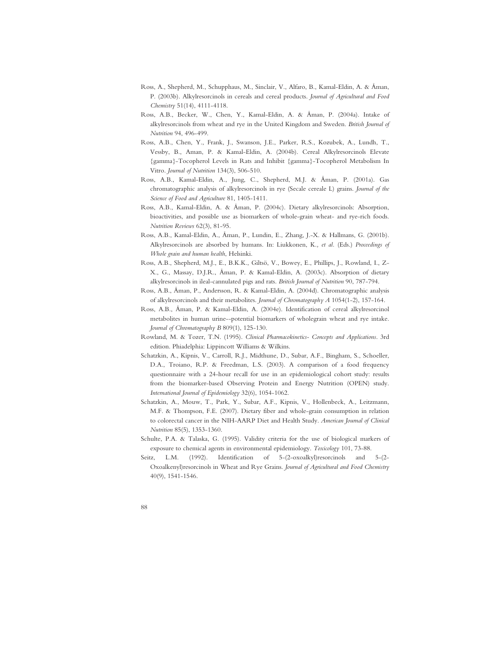- Ross, A., Shepherd, M., Schupphaus, M., Sinclair, V., Alfaro, B., Kamal-Eldin, A. & Åman, P. (2003b). Alkylresorcinols in cereals and cereal products. *Journal of Agricultural and Food Chemistry* 51(14), 4111-4118.
- Ross, A.B., Becker, W., Chen, Y., Kamal-Eldin, A. & Åman, P. (2004a). Intake of alkylresorcinols from wheat and rye in the United Kingdom and Sweden. *British Journal of Nutrition* 94, 496-499.
- Ross, A.B., Chen, Y., Frank, J., Swanson, J.E., Parker, R.S., Kozubek, A., Lundh, T., Vessby, B., Aman, P. & Kamal-Eldin, A. (2004b). Cereal Alkylresorcinols Elevate {gamma}-Tocopherol Levels in Rats and Inhibit {gamma}-Tocopherol Metabolism In Vitro. *Journal of Nutrition* 134(3), 506-510.
- Ross, A.B., Kamal-Eldin, A., Jung, C., Shepherd, M.J. & Åman, P. (2001a). Gas chromatographic analysis of alkylresorcinols in rye (Secale cereale L) grains. *Journal of the Science of Food and Agriculture* 81, 1405-1411.
- Ross, A.B., Kamal-Eldin, A. & Åman, P. (2004c). Dietary alkylresorcinols: Absorption, bioactivities, and possible use as biomarkers of whole-grain wheat- and rye-rich foods. *Nutrition Reviews* 62(3), 81-95.
- Ross, A.B., Kamal-Eldin, A., Åman, P., Lundin, E., Zhang, J.-X. & Hallmans, G. (2001b). Alkylresorcinols are absorbed by humans. In: Liukkonen, K.*, et al.* (Eds.) *Proceedings of Whole grain and human health*, Helsinki.
- Ross, A.B., Shepherd, M.J., E., B.K.K., Giltsö, V., Bowey, E., Phillips, J., Rowland, I., Z-X., G., Massay, D.J.R., Åman, P. & Kamal-Eldin, A. (2003c). Absorption of dietary alkylresorcinols in ileal-cannulated pigs and rats. *British Journal of Nutrition* 90, 787-794.
- Ross, A.B., Åman, P., Andersson, R. & Kamal-Eldin, A. (2004d). Chromatographic analysis of alkylresorcinols and their metabolites. *Journal of Chromatography A* 1054(1-2), 157-164.
- Ross, A.B., Åman, P. & Kamal-Eldin, A. (2004e). Identification of cereal alkylresorcinol metabolites in human urine--potential biomarkers of wholegrain wheat and rye intake. *Journal of Chromatography B* 809(1), 125-130.
- Rowland, M. & Tozer, T.N. (1995). *Clinical Pharmacokinetics- Concepts and Applications*. 3rd edition. Phiadelphia: Lippincott Williams & Wilkins.
- Schatzkin, A., Kipnis, V., Carroll, R.J., Midthune, D., Subar, A.F., Bingham, S., Schoeller, D.A., Troiano, R.P. & Freedman, L.S. (2003). A comparison of a food frequency questionnaire with a 24-hour recall for use in an epidemiological cohort study: results from the biomarker-based Observing Protein and Energy Nutrition (OPEN) study. *International Journal of Epidemiology* 32(6), 1054-1062.
- Schatzkin, A., Mouw, T., Park, Y., Subar, A.F., Kipnis, V., Hollenbeck, A., Leitzmann, M.F. & Thompson, F.E. (2007). Dietary fiber and whole-grain consumption in relation to colorectal cancer in the NIH-AARP Diet and Health Study. *American Journal of Clinical Nutrition* 85(5), 1353-1360.
- Schulte, P.A. & Talaska, G. (1995). Validity criteria for the use of biological markers of exposure to chemical agents in environmental epidemiology. *Toxicology* 101, 73-88.
- Seitz, L.M. (1992). Identification of 5-(2-oxoalkyl)resorcinols and 5-(2- Oxoalkenyl)resorcinols in Wheat and Rye Grains. *Journal of Agricultural and Food Chemistry* 40(9), 1541-1546.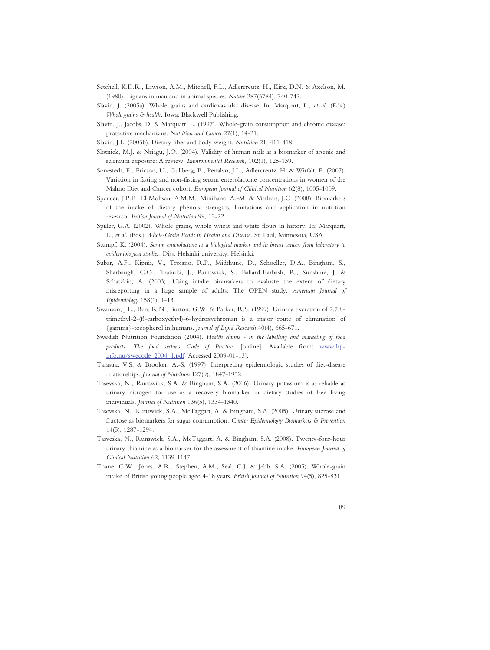- Setchell, K.D.R., Lawson, A.M., Mitchell, F.L., Adlercreutz, H., Kirk, D.N. & Axelson, M. (1980). Lignans in man and in animal species. *Nature* 287(5784), 740-742.
- Slavin, J. (2005a). Whole grains and cardiovascular disease. In: Marquart, L.*, et al.* (Eds.) *Whole grains & health.* Iowa: Blackwell Publishing.
- Slavin, J., Jacobs, D. & Marquart, L. (1997). Whole-grain consumption and chronic disease: protective mechanisms. *Nutrition and Cancer* 27(1), 14-21.
- Slavin, J.L. (2005b). Dietary fiber and body weight. *Nutrition* 21, 411-418.
- Slotnick, M.J. & Nriagu, J.O. (2004). Validity of human nails as a biomarker of arsenic and selenium exposure: A review. *Environmental Research,* 102(1), 125-139.
- Sonestedt, E., Ericson, U., Gullberg, B., Penalvo, J.L., Adlercreutz, H. & Wirfalt, E. (2007). Variation in fasting and non-fasting serum enterolactone concentrations in women of the Malmo Diet and Cancer cohort. *European Journal of Clinical Nutrition* 62(8), 1005-1009.
- Spencer, J.P.E., El Mohsen, A.M.M., Minihane, A.-M. & Mathers, J.C. (2008). Biomarkers of the intake of dietary phenols: strengths, limitations and application in nutrition research. *British Journal of Nutrition* 99, 12-22.
- Spiller, G.A. (2002). Whole grains, whole wheat and white flours in history. In: Marquart, L.*, et al.* (Eds.) *Whole-Grain Foods in Health and Disease.* St. Paul, Minnesota, USA
- Stumpf, K. (2004). *Serum enterolactone as a biological marker and in breast cancer: from laboratory to epidemiological studies.* Diss. Helsinki university. Helsinki.
- Subar, A.F., Kipnis, V., Troiano, R.P., Midthune, D., Schoeller, D.A., Bingham, S., Sharbaugh, C.O., Trabulsi, J., Runswick, S., Ballard-Barbash, R., Sunshine, J. & Schatzkin, A. (2003). Using intake biomarkers to evaluate the extent of dietary misreporting in a large sample of adults: The OPEN study. *American Journal of Epidemiology* 158(1), 1-13.
- Swanson, J.E., Ben, R.N., Burton, G.W. & Parker, R.S. (1999). Urinary excretion of 2,7,8 trimethyl-2-(ß-carboxyethyl)-6-hydroxychroman is a major route of elimination of {gamma}-tocopherol in humans. *journal of Lipid Research* 40(4), 665-671.
- Swedish Nutrition Foundation (2004). *Health claims in the labelling and marketing of food products. The food sector's Code of Practice.* [online]. Available from: www.hpinfo.nu/swecode\_2004\_1.pdf [Accessed 2009-01-13].
- Tarasuk, V.S. & Brooker, A.-S. (1997). Interpreting epidemiologic studies of diet-disease relationships. *Journal of Nutrition* 127(9), 1847-1952.
- Tasevska, N., Runswick, S.A. & Bingham, S.A. (2006). Urinary potassium is as reliable as urinary nitrogen for use as a recovery biomarker in dietary studies of free living individuals. *Journal of Nutrition* 136(5), 1334-1340.
- Tasevska, N., Runswick, S.A., McTaggart, A. & Bingham, S.A. (2005). Urinary sucrose and fructose as biomarkers for sugar consumption. *Cancer Epidemiology Biomarkers & Prevention* 14(5), 1287-1294.
- Tasveska, N., Runswick, S.A., McTaggart, A. & Bingham, S.A. (2008). Twenty-four-hour urinary thiamine as a biomarker for the assessment of thiamine intake. *European Journal of Clinical Nutrition* 62, 1139-1147.
- Thane, C.W., Jones, A.R., Stephen, A.M., Seal, C.J. & Jebb, S.A. (2005). Whole-grain intake of British young people aged 4-18 years. *British Journal of Nutrition* 94(5), 825-831.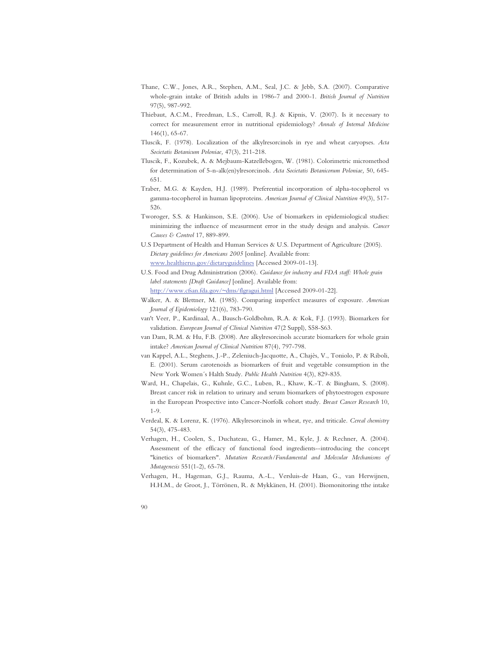- Thane, C.W., Jones, A.R., Stephen, A.M., Seal, J.C. & Jebb, S.A. (2007). Comparative whole-grain intake of British adults in 1986-7 and 2000-1. *British Journal of Nutrition* 97(5), 987-992.
- Thiebaut, A.C.M., Freedman, L.S., Carroll, R.J. & Kipnis, V. (2007). Is it necessary to correct for measurement error in nutritional epidemiology? *Annals of Internal Medicine* 146(1), 65-67.
- Tluscik, F. (1978). Localization of the alkylresorcinols in rye and wheat caryopses. *Acta Societatis Botanicum Poloniae,* 47(3), 211-218.
- Tluscik, F., Kozubek, A. & Mejbaum-Katzellebogen, W. (1981). Colorimetric micromethod for determination of 5-n-alk(en)ylresorcinols. *Acta Societatis Botanicorum Poloniae,* 50, 645- 651.
- Traber, M.G. & Kayden, H.J. (1989). Preferential incorporation of alpha-tocopherol vs gamma-tocopherol in human lipoproteins. *American Journal of Clinical Nutrition* 49(3), 517- 526.
- Tworoger, S.S. & Hankinson, S.E. (2006). Use of biomarkers in epidemiological studies: minimizing the influence of measurment error in the study design and analysis. *Cancer Causes & Control* 17, 889-899.
- U.S Department of Health and Human Services & U.S. Department of Agriculture (2005). *Dietary guidelines for Americans 2005* [online]. Available from: www.healthierus.gov/dietaryguidelines [Accessed 2009-01-13].
- U.S. Food and Drug Administration (2006). *Guidance for industry and FDA staff: Whole grain label statements [Draft Guidance]* [online]. Available from:

http://www.cfsan.fda.gov/~dms/flgragui.html [Accessed 2009-01-22].

- Walker, A. & Blettner, M. (1985). Comparing imperfect measures of exposure. *American Journal of Epidemiology* 121(6), 783-790.
- van't Veer, P., Kardinaal, A., Bausch-Goldbohm, R.A. & Kok, F.J. (1993). Biomarkers for validation. *European Journal of Clinical Nutrition* 47(2 Suppl), S58-S63.
- van Dam, R.M. & Hu, F.B. (2008). Are alkylresorcinols accurate biomarkers for whole grain intake? *American Journal of Clinical Nutrition* 87(4), 797-798.
- van Kappel, A.L., Steghens, J.-P., Zeleniuch-Jacquotte, A., Chajès, V., Toniolo, P. & Riboli, E. (2001). Serum carotenoids as biomarkers of fruit and vegetable consumption in the New York Women´s Halth Study. *Public Health Nutrition* 4(3), 829-835.
- Ward, H., Chapelais, G., Kuhnle, G.C., Luben, R., Khaw, K.-T. & Bingham, S. (2008). Breast cancer risk in relation to urinary and serum biomarkers of phytoestrogen exposure in the European Prospective into Cancer-Norfolk cohort study. *Breast Cancer Research* 10, 1-9.
- Verdeal, K. & Lorenz, K. (1976). Alkylresorcinols in wheat, rye, and triticale. *Cereal chemistry* 54(3), 475-483.
- Verhagen, H., Coolen, S., Duchateau, G., Hamer, M., Kyle, J. & Rechner, A. (2004). Assessment of the efficacy of functional food ingredients--introducing the concept "kinetics of biomarkers". *Mutation Research/Fundamental and Molecular Mechanisms of Mutagenesis* 551(1-2), 65-78.
- Verhagen, H., Hageman, G.J., Rauma, A.-L., Versluis-de Haan, G., van Herwijnen, H.H.M., de Groot, J., Törrönen, R. & Mykkänen, H. (2001). Biomonitoring tthe intake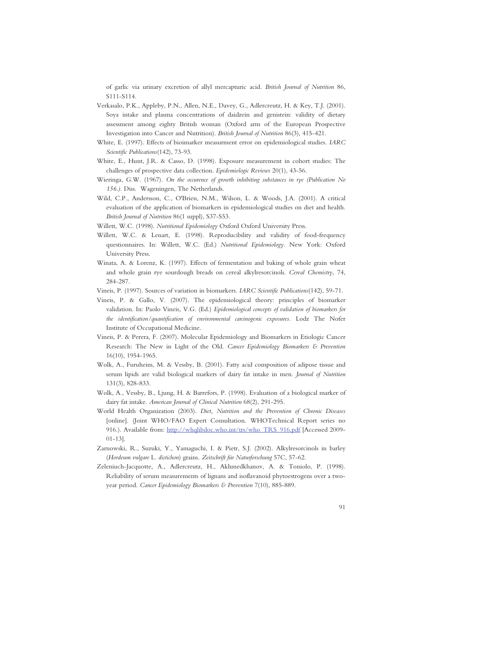of garlic via urinary excretion of allyl mercapturic acid. *British Journal of Nutrition* 86, S111-S114.

- Verkasalo, P.K., Appleby, P.N., Allen, N.E., Davey, G., Adlercreutz, H. & Key, T.J. (2001). Soya intake and plasma concentrations of daidzein and genistein: validity of dietary assessment among eighty British woman (Oxford arm of the European Prospective Investigation into Cancer and Nutrition). *British Journal of Nutrition* 86(3), 415-421.
- White, E. (1997). Effects of bioimarker measurment error on epidemiological studies. *IARC Scientific Publications*(142), 73-93.
- White, E., Hunt, J.R. & Casso, D. (1998). Exposure measurement in cohort studies: The challenges of prospective data collection. *Epidemiologic Reviews* 20(1), 43-56.
- Wieringa, G.W. (1967). *On the occurence of growth inhibiting substances in rye (Publication No 156.).* Diss. Wageningen, The Netherlands.
- Wild, C.P., Andersson, C., O'Brien, N.M., Wilson, L. & Woods, J.A. (2001). A critical evaluation of the application of biomarkers in epidemiological studies on diet and health. *British Journal of Nutrition* 86(1 suppl), S37-S53.
- Willett, W.C. (1998). *Nutritional Epidemiology* Oxford Oxford University Press.
- Willett, W.C. & Lenart, E. (1998). Reproducibility and validity of food-frequency questionnaires. In: Willett, W.C. (Ed.) *Nutritional Epidemiology.* New York: Oxford University Press.
- Winata, A. & Lorenz, K. (1997). Effects of fermentation and baking of whole grain wheat and whole grain rye sourdough breads on cereal alkylresorcinols. *Cereal Chemistry,* 74, 284-287.
- Vineis, P. (1997). Sources of variation in biomarkers. *IARC Scientific Publications*(142), 59-71.
- Vineis, P. & Gallo, V. (2007). The epidemiological theory: principles of biomarker validation. In: Paolo Vineis, V.G. (Ed.) *Epidemiological concepts of validation of biomarkers for the identification/quantification of environmental carcinogenic exposures.* Lodz The Nofer Institute of Occupational Medicine.
- Vineis, P. & Perera, F. (2007). Molecular Epidemiology and Biomarkers in Etiologic Cancer Research: The New in Light of the Old. *Cancer Epidemiology Biomarkers & Prevention* 16(10), 1954-1965.
- Wolk, A., Furuheim, M. & Vessby, B. (2001). Fatty acid composition of adipose tissue and serum lipids are valid biological markers of dairy fat intake in men. *Journal of Nutrition* 131(3), 828-833.
- Wolk, A., Vessby, B., Ljung, H. & Barrefors, P. (1998). Evaluation of a biological marker of dairy fat intake. *American Journal of Clinical Nutrition* 68(2), 291-295.
- World Health Organization (2003). *Diet, Nutrition and the Prevention of Chronic Diseases* [online]. (Joint WHO/FAO Expert Consultation. WHOTechnical Report series no 916.). Available from: http://whqlibdoc.who.int/trs/who\_TRS\_916.pdf [Accessed 2009- 01-13].
- Zarnowski, R., Suzuki, Y., Yamaguchi, I. & Pietr, S.J. (2002). Alkylresorcinols in barley (*Hordeum vulgare* L. *distichon*) grains. *Zeitschrift für Naturforschung* 57C, 57-62.
- Zeleniuch-Jacquotte, A., Adlercreutz, H., Akhmedkhanov, A. & Toniolo, P. (1998). Reliability of serum measurements of lignans and isoflavanoid phytoestrogens over a twoyear period. *Cancer Epidemiology Biomarkers & Prevention* 7(10), 885-889.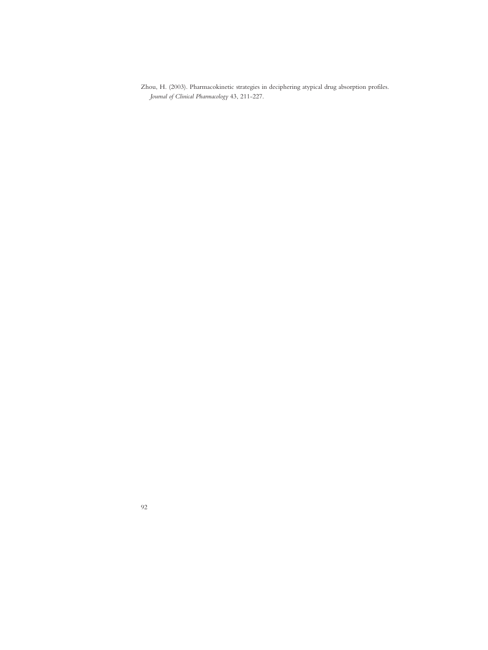Zhou, H. (2003). Pharmacokinetic strategies in deciphering atypical drug absorption profiles. *Journal of Clinical Pharmacology* 43, 211-227.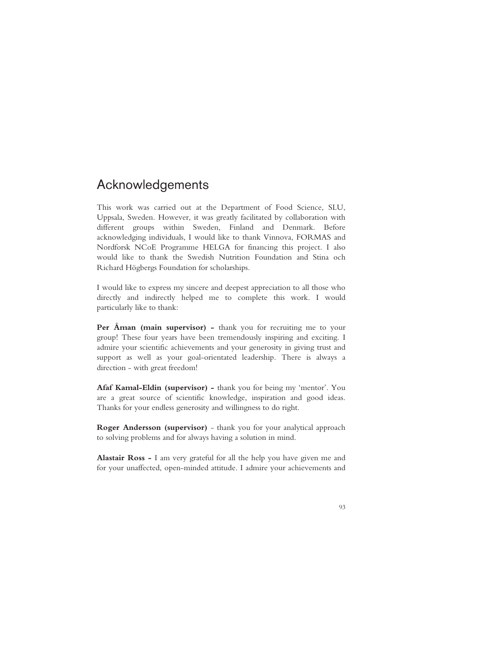# Acknowledgements

This work was carried out at the Department of Food Science, SLU, Uppsala, Sweden. However, it was greatly facilitated by collaboration with different groups within Sweden, Finland and Denmark. Before acknowledging individuals, I would like to thank Vinnova, FORMAS and Nordforsk NCoE Programme HELGA for financing this project. I also would like to thank the Swedish Nutrition Foundation and Stina och Richard Högbergs Foundation for scholarships.

I would like to express my sincere and deepest appreciation to all those who directly and indirectly helped me to complete this work. I would particularly like to thank:

Per Åman (main supervisor) - thank you for recruiting me to your group! These four years have been tremendously inspiring and exciting. I admire your scientific achievements and your generosity in giving trust and support as well as your goal-orientated leadership. There is always a direction - with great freedom!

**Afaf Kamal-Eldin (supervisor) -** thank you for being my 'mentor'. You are a great source of scientific knowledge, inspiration and good ideas. Thanks for your endless generosity and willingness to do right.

**Roger Andersson (supervisor)** - thank you for your analytical approach to solving problems and for always having a solution in mind.

**Alastair Ross -** I am very grateful for all the help you have given me and for your unaffected, open-minded attitude. I admire your achievements and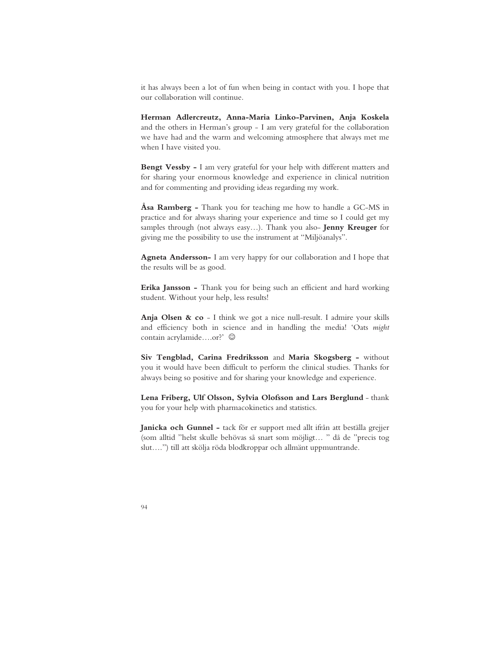it has always been a lot of fun when being in contact with you. I hope that our collaboration will continue.

**Herman Adlercreutz, Anna-Maria Linko-Parvinen, Anja Koskela**  and the others in Herman's group - I am very grateful for the collaboration we have had and the warm and welcoming atmosphere that always met me when I have visited you.

**Bengt Vessby -** I am very grateful for your help with different matters and for sharing your enormous knowledge and experience in clinical nutrition and for commenting and providing ideas regarding my work.

**Åsa Ramberg -** Thank you for teaching me how to handle a GC-MS in practice and for always sharing your experience and time so I could get my samples through (not always easy…). Thank you also- **Jenny Kreuger** for giving me the possibility to use the instrument at "Miljöanalys".

**Agneta Andersson-** I am very happy for our collaboration and I hope that the results will be as good.

**Erika Jansson -** Thank you for being such an efficient and hard working student. Without your help, less results!

**Anja Olsen & co** - I think we got a nice null-result. I admire your skills and efficiency both in science and in handling the media! 'Oats *might* contain acrylamide....or?'  $\odot$ 

**Siv Tengblad, Carina Fredriksson** and **Maria Skogsberg -** without you it would have been difficult to perform the clinical studies. Thanks for always being so positive and for sharing your knowledge and experience.

**Lena Friberg, Ulf Olsson, Sylvia Olofsson and Lars Berglund** - thank you for your help with pharmacokinetics and statistics.

**Janicka och Gunnel -** tack för er support med allt ifrån att beställa grejjer (som alltid "helst skulle behövas så snart som möjligt… " då de "precis tog slut….") till att skölja röda blodkroppar och allmänt uppmuntrande.